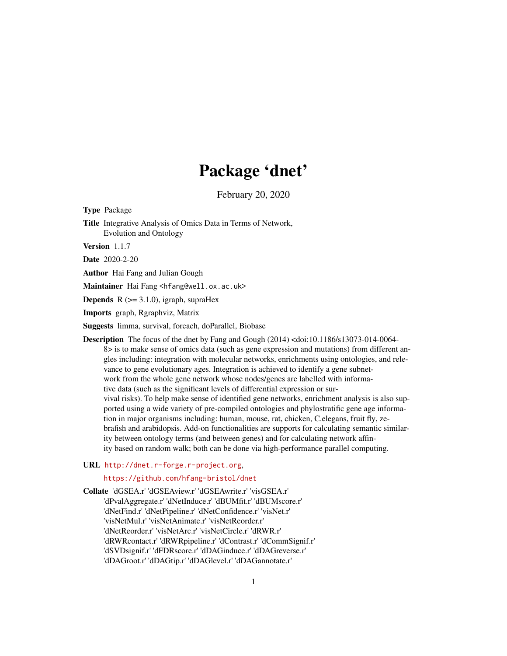# Package 'dnet'

February 20, 2020

Type Package Title Integrative Analysis of Omics Data in Terms of Network, Evolution and Ontology

Version 1.1.7

Date 2020-2-20

Author Hai Fang and Julian Gough

Maintainer Hai Fang <hfang@well.ox.ac.uk>

**Depends**  $R$  ( $>= 3.1.0$ ), igraph, supraHex

Imports graph, Rgraphviz, Matrix

Suggests limma, survival, foreach, doParallel, Biobase

Description The focus of the dnet by Fang and Gough (2014) <doi:10.1186/s13073-014-0064-8> is to make sense of omics data (such as gene expression and mutations) from different angles including: integration with molecular networks, enrichments using ontologies, and relevance to gene evolutionary ages. Integration is achieved to identify a gene subnetwork from the whole gene network whose nodes/genes are labelled with informative data (such as the significant levels of differential expression or survival risks). To help make sense of identified gene networks, enrichment analysis is also supported using a wide variety of pre-compiled ontologies and phylostratific gene age information in major organisms including: human, mouse, rat, chicken, C.elegans, fruit fly, zebrafish and arabidopsis. Add-on functionalities are supports for calculating semantic similarity between ontology terms (and between genes) and for calculating network affinity based on random walk; both can be done via high-performance parallel computing.

# URL <http://dnet.r-forge.r-project.org>,

# <https://github.com/hfang-bristol/dnet>

Collate 'dGSEA.r' 'dGSEAview.r' 'dGSEAwrite.r' 'visGSEA.r' 'dPvalAggregate.r' 'dNetInduce.r' 'dBUMfit.r' 'dBUMscore.r' 'dNetFind.r' 'dNetPipeline.r' 'dNetConfidence.r' 'visNet.r' 'visNetMul.r' 'visNetAnimate.r' 'visNetReorder.r' 'dNetReorder.r' 'visNetArc.r' 'visNetCircle.r' 'dRWR.r' 'dRWRcontact.r' 'dRWRpipeline.r' 'dContrast.r' 'dCommSignif.r' 'dSVDsignif.r' 'dFDRscore.r' 'dDAGinduce.r' 'dDAGreverse.r' 'dDAGroot.r' 'dDAGtip.r' 'dDAGlevel.r' 'dDAGannotate.r'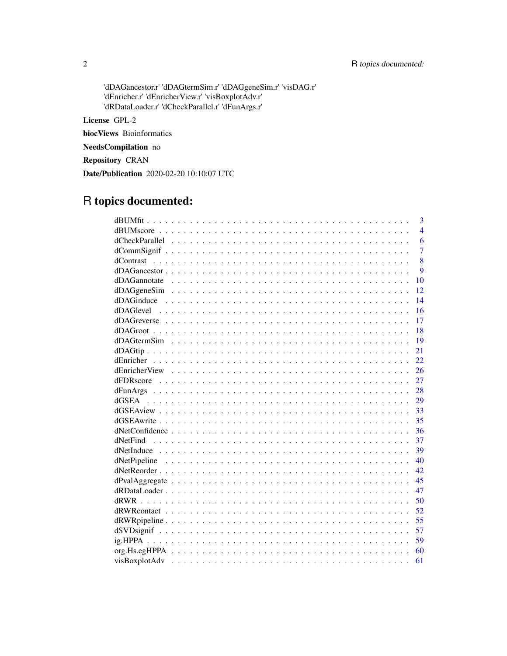'dDAGancestor.r' 'dDAGtermSim.r' 'dDAGgeneSim.r' 'visDAG.r' 'dEnricher.r' 'dEnricherView.r' 'visBoxplotAdv.r' 'dRDataLoader.r' 'dCheckParallel.r' 'dFunArgs.r'

License GPL-2

biocViews Bioinformatics

NeedsCompilation no

Repository CRAN

Date/Publication 2020-02-20 10:10:07 UTC

# R topics documented:

|          | 3              |
|----------|----------------|
|          | $\overline{4}$ |
|          | 6              |
|          | $\overline{7}$ |
|          | 8              |
|          | 9              |
|          | 10             |
|          | 12             |
|          | 14             |
|          |                |
|          | 16             |
|          | 17             |
|          | 18             |
|          | 19             |
|          | 21             |
|          | 22             |
|          | 26             |
|          | 27             |
|          | 28             |
|          | 29             |
|          | 33             |
|          | 35             |
|          | 36             |
| dNetFind | 37             |
|          | 39             |
|          | 40             |
|          | 42.            |
|          | 45             |
|          | 47             |
|          | 50             |
|          | 52             |
|          | 55             |
|          | 57             |
|          | 59             |
|          | 60             |
|          | 61             |
|          |                |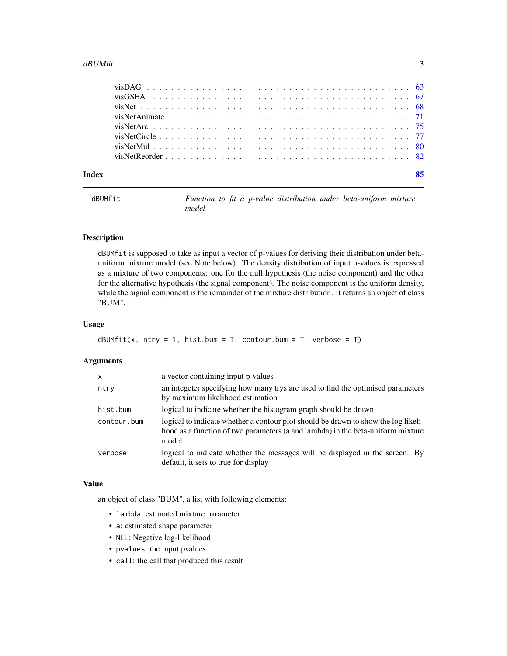#### <span id="page-2-0"></span>dBUMfit 3

<span id="page-2-1"></span>dBUMfit *Function to fit a p-value distribution under beta-uniform mixture model*

# Description

dBUMfit is supposed to take as input a vector of p-values for deriving their distribution under betauniform mixture model (see Note below). The density distribution of input p-values is expressed as a mixture of two components: one for the null hypothesis (the noise component) and the other for the alternative hypothesis (the signal component). The noise component is the uniform density, while the signal component is the remainder of the mixture distribution. It returns an object of class "BUM".

# Usage

```
dBUMfit(x, ntry = 1, hist.bum = T, contour.bum = T, verbose = T)
```
# Arguments

| X           | a vector containing input p-values                                                                                                                                             |
|-------------|--------------------------------------------------------------------------------------------------------------------------------------------------------------------------------|
| ntry        | an integeter specifying how many trys are used to find the optimised parameters<br>by maximum likelihood estimation                                                            |
| hist.bum    | logical to indicate whether the histogram graph should be drawn                                                                                                                |
| contour.bum | logical to indicate whether a contour plot should be drawn to show the log likeli-<br>hood as a function of two parameters (a and lambda) in the beta-uniform mixture<br>model |
| verbose     | logical to indicate whether the messages will be displayed in the screen. By<br>default, it sets to true for display                                                           |

# Value

an object of class "BUM", a list with following elements:

- lambda: estimated mixture parameter
- a: estimated shape parameter
- NLL: Negative log-likelihood
- pvalues: the input pvalues
- call: the call that produced this result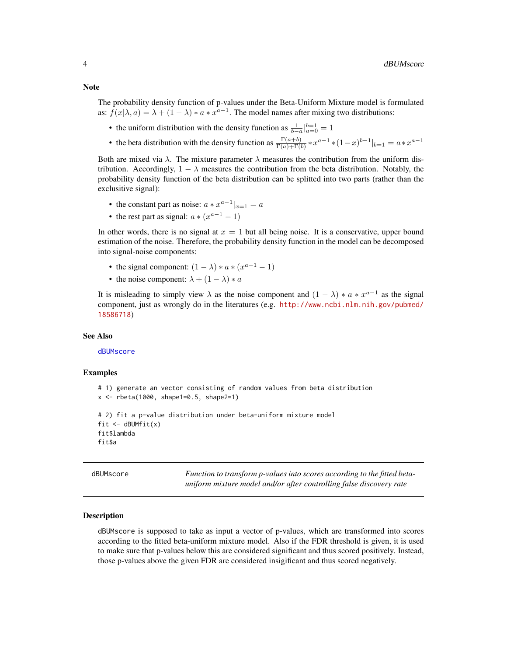<span id="page-3-0"></span>The probability density function of p-values under the Beta-Uniform Mixture model is formulated as:  $f(x|\lambda, a) = \lambda + (1 - \lambda) * a * x^{a-1}$ . The model names after mixing two distributions:

- the uniform distribution with the density function as  $\frac{1}{b-a}\Big|_{a=0}^{b=1} = 1$
- the beta distribution with the density function as  $\frac{\Gamma(a+b)}{\Gamma(a)+\Gamma(b)} * x^{a-1} * (1-x)^{b-1}|_{b=1} = a * x^{a-1}$

Both are mixed via  $\lambda$ . The mixture parameter  $\lambda$  measures the contribution from the uniform distribution. Accordingly,  $1 - \lambda$  measures the contribution from the beta distribution. Notably, the probability density function of the beta distribution can be splitted into two parts (rather than the exclusitive signal):

- the constant part as noise:  $a * x^{a-1}|_{x=1} = a$
- the rest part as signal:  $a * (x^{a-1} 1)$

In other words, there is no signal at  $x = 1$  but all being noise. It is a conservative, upper bound estimation of the noise. Therefore, the probability density function in the model can be decomposed into signal-noise components:

- the signal component:  $(1 \lambda) * a * (x^{a-1} 1)$
- the noise component:  $\lambda + (1 \lambda) * a$

It is misleading to simply view  $\lambda$  as the noise component and  $(1 - \lambda) * a * x^{a-1}$  as the signal component, just as wrongly do in the literatures (e.g. [http://www.ncbi.nlm.nih.gov/pubmed/](http://www.ncbi.nlm.nih.gov/pubmed/18586718) [18586718](http://www.ncbi.nlm.nih.gov/pubmed/18586718))

#### See Also

#### [dBUMscore](#page-3-1)

#### Examples

```
# 1) generate an vector consisting of random values from beta distribution
x <- rbeta(1000, shape1=0.5, shape2=1)
# 2) fit a p-value distribution under beta-uniform mixture model
fit \leftarrow dBUMfit(x)
fit$lambda
fit$a
```
<span id="page-3-1"></span>dBUMscore *Function to transform p-values into scores according to the fitted betauniform mixture model and/or after controlling false discovery rate*

#### Description

dBUMscore is supposed to take as input a vector of p-values, which are transformed into scores according to the fitted beta-uniform mixture model. Also if the FDR threshold is given, it is used to make sure that p-values below this are considered significant and thus scored positively. Instead, those p-values above the given FDR are considered insigificant and thus scored negatively.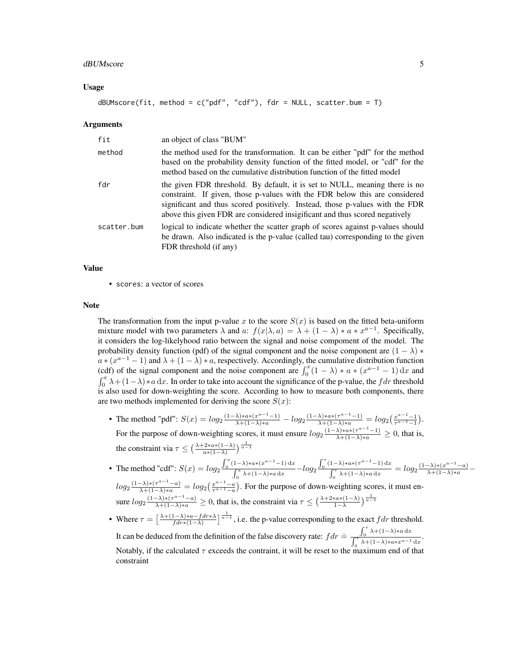#### dBUMscore 55

#### Usage

dBUMscore(fit, method =  $c("pdf", "cdf"),$  fdr = NULL, scatter.bum = T)

#### Arguments

| fit         | an object of class "BUM"                                                                                                                                                                                                                                                                                                  |
|-------------|---------------------------------------------------------------------------------------------------------------------------------------------------------------------------------------------------------------------------------------------------------------------------------------------------------------------------|
| method      | the method used for the transformation. It can be either "pdf" for the method<br>based on the probability density function of the fitted model, or "cdf" for the<br>method based on the cumulative distribution function of the fitted model                                                                              |
| fdr         | the given FDR threshold. By default, it is set to NULL, meaning there is no<br>constraint. If given, those p-values with the FDR below this are considered<br>significant and thus scored positively. Instead, those p-values with the FDR<br>above this given FDR are considered insigificant and thus scored negatively |
| scatter.bum | logical to indicate whether the scatter graph of scores against p-values should<br>be drawn. Also indicated is the p-value (called tau) corresponding to the given<br>FDR threshold (if any)                                                                                                                              |

#### Value

• scores: a vector of scores

#### Note

The transformation from the input p-value x to the score  $S(x)$  is based on the fitted beta-uniform mixture model with two parameters  $\lambda$  and a:  $f(x|\lambda, a) = \lambda + (1 - \lambda) * a * x^{a-1}$ . Specifically, it considers the log-likelyhood ratio between the signal and noise compoment of the model. The probability density function (pdf) of the signal component and the noise component are  $(1 - \lambda) *$  $a * (x^{a-1} - 1)$  and  $\lambda + (1 - \lambda) * a$ , respectively. Accordingly, the cumulative distribution function (cdf) of the signal component and the noise component are  $\int_0^x (1 - \lambda) * a * (x^{a-1} - 1) dx$  and  $\int_0^x \lambda + (1-\lambda) * a \, dx$ . In order to take into account the significance of the p-value, the f dr threshold is also used for down-weighting the score. According to how to measure both components, there are two methods implemented for deriving the score  $S(x)$ :

- The method "pdf":  $S(x) = log_2 \frac{(1-\lambda)*a*(x^{a-1}-1)}{\lambda+(1-\lambda)*a} log_2 \frac{(1-\lambda)*a*(x^{a-1}-1)}{\lambda+(1-\lambda)*a} = log_2 \left(\frac{x^{a-1}-1}{x^{a-1}-1}\right)$ . For the purpose of down-weighting scores, it must ensure  $log_2 \frac{(1-\lambda)*a*(\tau^{a-1}-1)}{\lambda+(1-\lambda)*a} \geq 0$ , that is, the constraint via  $\tau \leq \left(\frac{\lambda + 2 * a * (1 - \lambda)}{a * (1 - \lambda)}\right)^{\frac{1}{\alpha - 1}}$  $\int_0^x (1-\lambda) * a * (x^{a-1}-1) \, \mathrm{d}x$  $\int_0^{\tau} (1-\lambda) * a * (\tau^{a-1} - 1) \,dx$
- The method "cdf":  $S(x) = log_2$  $\int_{a}^{x} \frac{\lambda + (1-\lambda)*a \, dx}{\lambda + (1-\lambda)*a \, dx} - log_2$  $0 \qquad \qquad \mathcal{J}_0$  $\int_{\pi}^{\pi} \lambda + (1-\lambda)*a \, dx = log_2 \frac{(1-\lambda)*(x^{a-1}-a)}{\lambda + (1-\lambda)*a}$  $log_2\frac{(1-\lambda)*(T^{a-1}-a)}{\lambda+(1-\lambda)*a} = log_2\left(\frac{x^{a-1}-a}{T^{a-1}-a}\right)$ . For the purpose of down-weighting scores, it must ensure  $log_2\frac{(1-\lambda)*(\tau^{\alpha-1}-a)}{\lambda+(1-\lambda)*a} \ge 0$ , that is, the constraint via  $\tau \le (\frac{\lambda+2*a*(1-\lambda)}{1-\lambda})^{\frac{1}{\alpha-1}}$
- Where  $\tau = \left[\frac{\lambda + (1 \lambda) * a f dr * \lambda}{f dr * (1 \lambda)}\right]$  $\frac{(1-\lambda)*a-fdr*\lambda}{fdr*(1-\lambda)}$   $\frac{1}{a-1}$ , i.e. the p-value corresponding to the exact  $fdr$  threshold. It can be deduced from the definition of the false discovery rate:  $f dr = \int_{0}^{\tau} \frac{\lambda + (1 - \lambda) * a dx}{\lambda + (1 - \lambda) * a dx}$  $\int_0^\tau \lambda + (1-\lambda) \cdot a \cdot x^{a-1} \, \mathrm{d}x$ Notably, if the calculated  $\tau$  exceeds the contraint, it will be reset to the maximum end of that constraint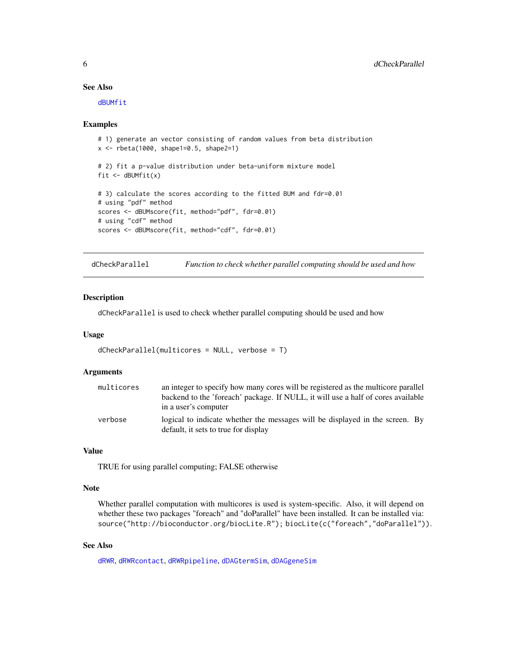# See Also

[dBUMfit](#page-2-1)

#### Examples

```
# 1) generate an vector consisting of random values from beta distribution
x <- rbeta(1000, shape1=0.5, shape2=1)
# 2) fit a p-value distribution under beta-uniform mixture model
fit \leftarrow dBUMfit(x)
# 3) calculate the scores according to the fitted BUM and fdr=0.01
# using "pdf" method
scores <- dBUMscore(fit, method="pdf", fdr=0.01)
# using "cdf" method
scores <- dBUMscore(fit, method="cdf", fdr=0.01)
```
<span id="page-5-1"></span>dCheckParallel *Function to check whether parallel computing should be used and how*

#### Description

dCheckParallel is used to check whether parallel computing should be used and how

#### Usage

```
dCheckParallel(multicores = NULL, verbose = T)
```
# Arguments

| multicores | an integer to specify how many cores will be registered as the multicore parallel                                    |
|------------|----------------------------------------------------------------------------------------------------------------------|
|            | backend to the 'foreach' package. If NULL, it will use a half of cores available                                     |
|            | in a user's computer                                                                                                 |
| verbose    | logical to indicate whether the messages will be displayed in the screen. By<br>default, it sets to true for display |

# Value

TRUE for using parallel computing; FALSE otherwise

# Note

Whether parallel computation with multicores is used is system-specific. Also, it will depend on whether these two packages "foreach" and "doParallel" have been installed. It can be installed via: source("http://bioconductor.org/biocLite.R"); biocLite(c("foreach","doParallel")).

#### See Also

[dRWR](#page-49-1), [dRWRcontact](#page-51-1), [dRWRpipeline](#page-54-1), [dDAGtermSim](#page-18-1), [dDAGgeneSim](#page-11-1)

<span id="page-5-0"></span>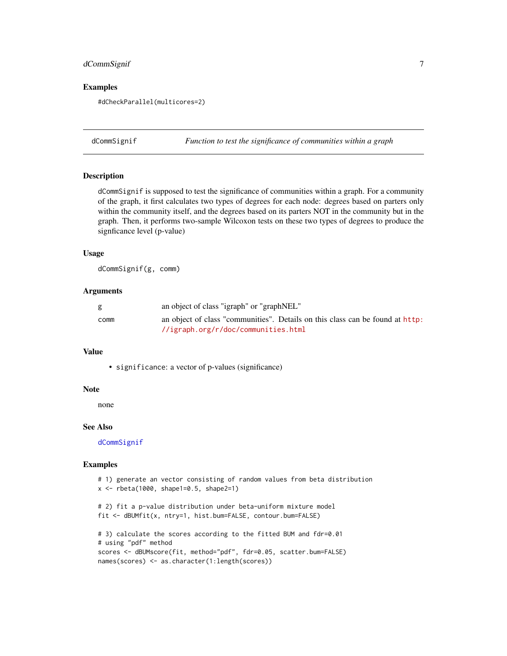# <span id="page-6-0"></span>dCommSignif 7

# Examples

#dCheckParallel(multicores=2)

<span id="page-6-1"></span>dCommSignif *Function to test the significance of communities within a graph*

#### Description

dCommSignif is supposed to test the significance of communities within a graph. For a community of the graph, it first calculates two types of degrees for each node: degrees based on parters only within the community itself, and the degrees based on its parters NOT in the community but in the graph. Then, it performs two-sample Wilcoxon tests on these two types of degrees to produce the signficance level (p-value)

#### Usage

dCommSignif(g, comm)

#### Arguments

| g    | an object of class "igraph" or "graphNEL"                                     |
|------|-------------------------------------------------------------------------------|
| comm | an object of class "communities". Details on this class can be found at http: |
|      | //igraph.org/r/doc/communities.html                                           |

#### Value

• significance: a vector of p-values (significance)

#### Note

none

#### See Also

[dCommSignif](#page-6-1)

#### Examples

```
# 1) generate an vector consisting of random values from beta distribution
x <- rbeta(1000, shape1=0.5, shape2=1)
# 2) fit a p-value distribution under beta-uniform mixture model
fit <- dBUMfit(x, ntry=1, hist.bum=FALSE, contour.bum=FALSE)
# 3) calculate the scores according to the fitted BUM and fdr=0.01
# using "pdf" method
scores <- dBUMscore(fit, method="pdf", fdr=0.05, scatter.bum=FALSE)
names(scores) <- as.character(1:length(scores))
```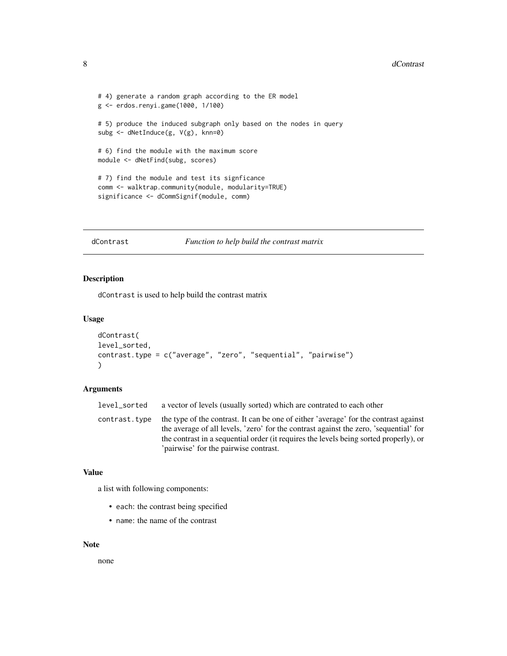```
# 4) generate a random graph according to the ER model
g <- erdos.renyi.game(1000, 1/100)
# 5) produce the induced subgraph only based on the nodes in query
subg <- dNetInduce(g, V(g), knn=0)
# 6) find the module with the maximum score
module <- dNetFind(subg, scores)
# 7) find the module and test its signficance
comm <- walktrap.community(module, modularity=TRUE)
significance <- dCommSignif(module, comm)
```
dContrast *Function to help build the contrast matrix*

#### Description

dContrast is used to help build the contrast matrix

#### Usage

```
dContrast(
level_sorted,
contrast.type = c("average", "zero", "sequential", "pairwise")
)
```
#### Arguments

```
level_sorted a vector of levels (usually sorted) which are contrated to each other
contrast. type the type of the contrast. It can be one of either 'average' for the contrast against
                   the average of all levels, 'zero' for the contrast against the zero, 'sequential' for
                   the contrast in a sequential order (it requires the levels being sorted properly), or
                    'pairwise' for the pairwise contrast.
```
#### Value

a list with following components:

- each: the contrast being specified
- name: the name of the contrast

#### Note

none

<span id="page-7-0"></span>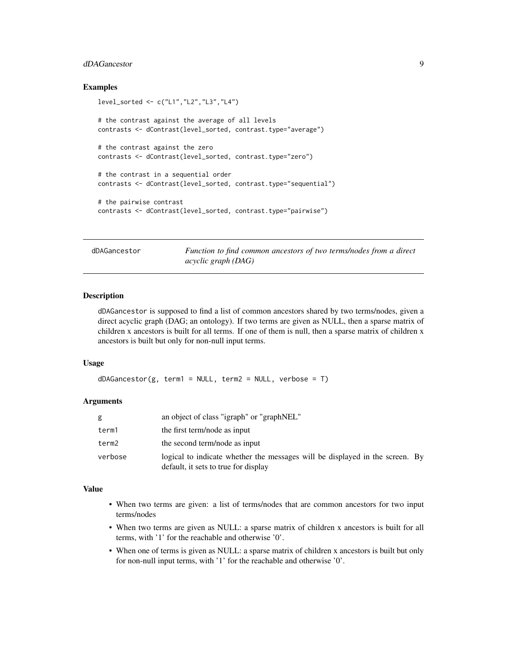# <span id="page-8-0"></span>dDAGancestor 9

# Examples

```
level_sorted <- c("L1","L2","L3","L4")
# the contrast against the average of all levels
contrasts <- dContrast(level_sorted, contrast.type="average")
# the contrast against the zero
contrasts <- dContrast(level_sorted, contrast.type="zero")
# the contrast in a sequential order
contrasts <- dContrast(level_sorted, contrast.type="sequential")
# the pairwise contrast
contrasts <- dContrast(level_sorted, contrast.type="pairwise")
```
<span id="page-8-1"></span>dDAGancestor *Function to find common ancestors of two terms/nodes from a direct acyclic graph (DAG)*

# **Description**

dDAGancestor is supposed to find a list of common ancestors shared by two terms/nodes, given a direct acyclic graph (DAG; an ontology). If two terms are given as NULL, then a sparse matrix of children x ancestors is built for all terms. If one of them is null, then a sparse matrix of children x ancestors is built but only for non-null input terms.

#### Usage

 $dDAGancestor(g, term1 = NULL, term2 = NULL, verbose = T)$ 

#### Arguments

| g       | an object of class "igraph" or "graphNEL"                                                                            |
|---------|----------------------------------------------------------------------------------------------------------------------|
| term1   | the first term/node as input                                                                                         |
| term2   | the second term/node as input                                                                                        |
| verbose | logical to indicate whether the messages will be displayed in the screen. By<br>default, it sets to true for display |

# Value

- When two terms are given: a list of terms/nodes that are common ancestors for two input terms/nodes
- When two terms are given as NULL: a sparse matrix of children x ancestors is built for all terms, with '1' for the reachable and otherwise '0'.
- When one of terms is given as NULL: a sparse matrix of children x ancestors is built but only for non-null input terms, with '1' for the reachable and otherwise '0'.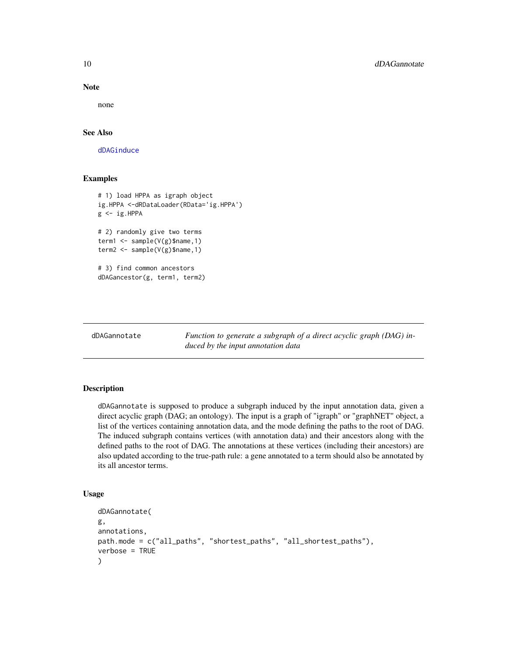<span id="page-9-0"></span>10 dDAGannotate

#### Note

none

# See Also

[dDAGinduce](#page-13-1)

# Examples

```
# 1) load HPPA as igraph object
ig.HPPA <-dRDataLoader(RData='ig.HPPA')
g <- ig.HPPA
# 2) randomly give two terms
term1 <- sample(V(g)$name,1)
term2 <- sample(V(g)$name,1)
# 3) find common ancestors
dDAGancestor(g, term1, term2)
```
<span id="page-9-1"></span>dDAGannotate *Function to generate a subgraph of a direct acyclic graph (DAG) induced by the input annotation data*

#### Description

dDAGannotate is supposed to produce a subgraph induced by the input annotation data, given a direct acyclic graph (DAG; an ontology). The input is a graph of "igraph" or "graphNET" object, a list of the vertices containing annotation data, and the mode defining the paths to the root of DAG. The induced subgraph contains vertices (with annotation data) and their ancestors along with the defined paths to the root of DAG. The annotations at these vertices (including their ancestors) are also updated according to the true-path rule: a gene annotated to a term should also be annotated by its all ancestor terms.

# Usage

```
dDAGannotate(
g,
annotations,
path.mode = c("all_paths", "shortest_paths", "all_shortest_paths"),
verbose = TRUE
)
```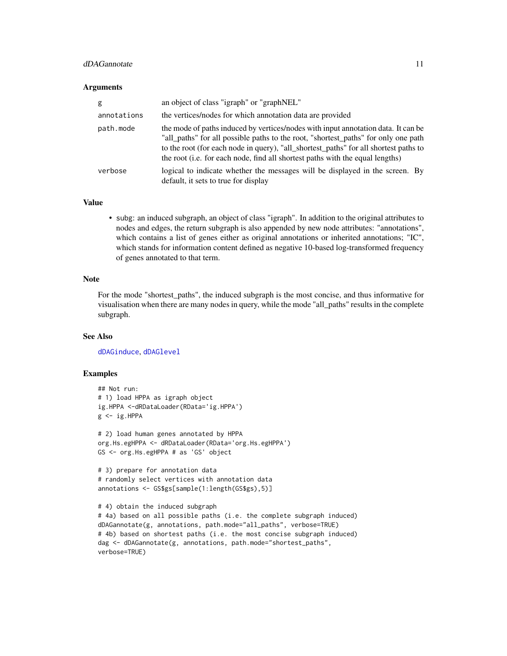# dDAGannotate 11

#### **Arguments**

| g           | an object of class "igraph" or "graphNEL"                                                                                                                                                                                                                                                                                                                |
|-------------|----------------------------------------------------------------------------------------------------------------------------------------------------------------------------------------------------------------------------------------------------------------------------------------------------------------------------------------------------------|
| annotations | the vertices/nodes for which annotation data are provided                                                                                                                                                                                                                                                                                                |
| path.mode   | the mode of paths induced by vertices/nodes with input annotation data. It can be<br>"all_paths" for all possible paths to the root, "shortest_paths" for only one path<br>to the root (for each node in query), "all_shortest_paths" for all shortest paths to<br>the root ( <i>i.e.</i> for each node, find all shortest paths with the equal lengths) |
| verbose     | logical to indicate whether the messages will be displayed in the screen. By<br>default, it sets to true for display                                                                                                                                                                                                                                     |

#### Value

• subg: an induced subgraph, an object of class "igraph". In addition to the original attributes to nodes and edges, the return subgraph is also appended by new node attributes: "annotations", which contains a list of genes either as original annotations or inherited annotations; "IC", which stands for information content defined as negative 10-based log-transformed frequency of genes annotated to that term.

#### Note

For the mode "shortest\_paths", the induced subgraph is the most concise, and thus informative for visualisation when there are many nodes in query, while the mode "all\_paths" results in the complete subgraph.

# See Also

[dDAGinduce](#page-13-1), [dDAGlevel](#page-15-1)

#### Examples

verbose=TRUE)

```
## Not run:
# 1) load HPPA as igraph object
ig.HPPA <-dRDataLoader(RData='ig.HPPA')
g \leftarrow ig.HPPA# 2) load human genes annotated by HPPA
org.Hs.egHPPA <- dRDataLoader(RData='org.Hs.egHPPA')
GS <- org.Hs.egHPPA # as 'GS' object
# 3) prepare for annotation data
# randomly select vertices with annotation data
annotations <- GS$gs[sample(1:length(GS$gs),5)]
# 4) obtain the induced subgraph
# 4a) based on all possible paths (i.e. the complete subgraph induced)
dDAGannotate(g, annotations, path.mode="all_paths", verbose=TRUE)
# 4b) based on shortest paths (i.e. the most concise subgraph induced)
dag <- dDAGannotate(g, annotations, path.mode="shortest_paths",
```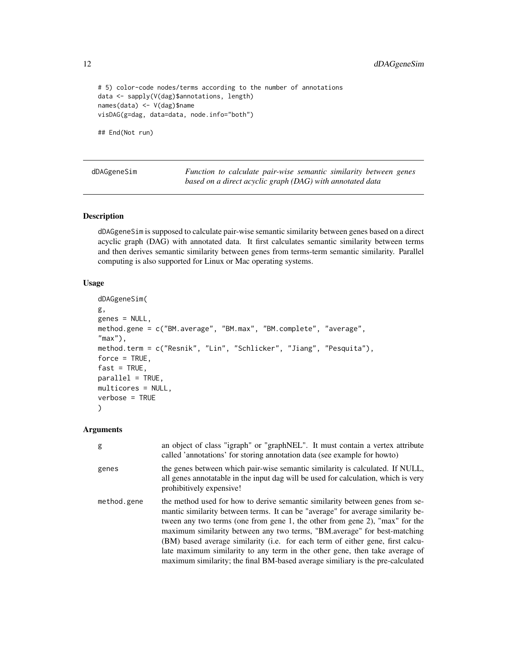<span id="page-11-0"></span>12 dDAGgeneSim

```
# 5) color-code nodes/terms according to the number of annotations
data <- sapply(V(dag)$annotations, length)
names(data) <- V(dag)$name
visDAG(g=dag, data=data, node.info="both")
```
## End(Not run)

<span id="page-11-1"></span>dDAGgeneSim *Function to calculate pair-wise semantic similarity between genes based on a direct acyclic graph (DAG) with annotated data*

#### Description

dDAGgeneSim is supposed to calculate pair-wise semantic similarity between genes based on a direct acyclic graph (DAG) with annotated data. It first calculates semantic similarity between terms and then derives semantic similarity between genes from terms-term semantic similarity. Parallel computing is also supported for Linux or Mac operating systems.

# Usage

```
dDAGgeneSim(
g,
genes = NULL,
method.gene = c("BM.average", "BM.max", "BM.complete", "average",
"max"),
method.term = c("Resnik", "Lin", "Schlicker", "Jiang", "Pesquita"),
force = TRUE,fast = TRUE,parallel = TRUE,
multicores = NULL,
verbose = TRUE
)
```
# Arguments

| g           | an object of class "igraph" or "graphNEL". It must contain a vertex attribute<br>called 'annotations' for storing annotation data (see example for howto)                                                                                                                                                                                                                                                                                                                                                                                                                     |
|-------------|-------------------------------------------------------------------------------------------------------------------------------------------------------------------------------------------------------------------------------------------------------------------------------------------------------------------------------------------------------------------------------------------------------------------------------------------------------------------------------------------------------------------------------------------------------------------------------|
| genes       | the genes between which pair-wise semantic similarity is calculated. If NULL,<br>all genes annotatable in the input dag will be used for calculation, which is very<br>prohibitively expensive!                                                                                                                                                                                                                                                                                                                                                                               |
| method.gene | the method used for how to derive semantic similarity between genes from se-<br>mantic similarity between terms. It can be "average" for average similarity be-<br>tween any two terms (one from gene 1, the other from gene 2), "max" for the<br>maximum similarity between any two terms, "BM average" for best-matching<br>(BM) based average similarity (i.e. for each term of either gene, first calcu-<br>late maximum similarity to any term in the other gene, then take average of<br>maximum similarity; the final BM-based average similiary is the pre-calculated |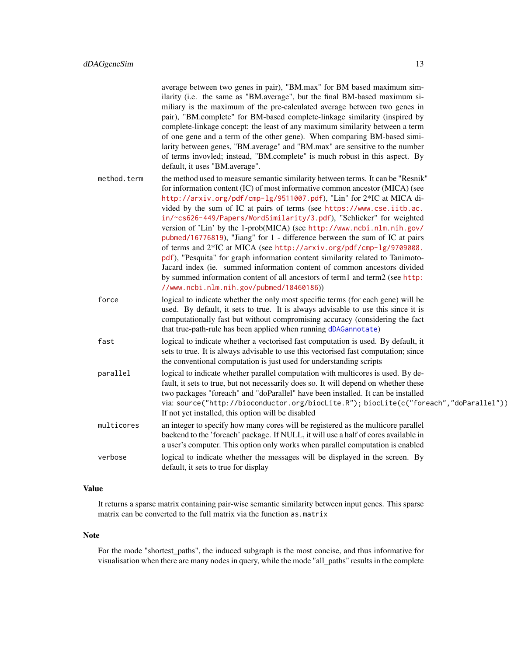|             | average between two genes in pair), "BM.max" for BM based maximum sim-<br>ilarity (i.e. the same as "BM.average", but the final BM-based maximum si-<br>miliary is the maximum of the pre-calculated average between two genes in<br>pair), "BM.complete" for BM-based complete-linkage similarity (inspired by<br>complete-linkage concept: the least of any maximum similarity between a term<br>of one gene and a term of the other gene). When comparing BM-based simi-<br>larity between genes, "BM.average" and "BM.max" are sensitive to the number<br>of terms invovled; instead, "BM.complete" is much robust in this aspect. By<br>default, it uses "BM.average".                                                                                                                                                                                                                                          |
|-------------|----------------------------------------------------------------------------------------------------------------------------------------------------------------------------------------------------------------------------------------------------------------------------------------------------------------------------------------------------------------------------------------------------------------------------------------------------------------------------------------------------------------------------------------------------------------------------------------------------------------------------------------------------------------------------------------------------------------------------------------------------------------------------------------------------------------------------------------------------------------------------------------------------------------------|
| method.term | the method used to measure semantic similarity between terms. It can be "Resnik"<br>for information content (IC) of most informative common ancestor (MICA) (see<br>http://arxiv.org/pdf/cmp-lg/9511007.pdf), "Lin" for 2*IC at MICA di-<br>vided by the sum of IC at pairs of terms (see https://www.cse.iitb.ac.<br>in/~cs626-449/Papers/WordSimilarity/3.pdf), "Schlicker" for weighted<br>version of 'Lin' by the 1-prob(MICA) (see http://www.ncbi.nlm.nih.gov/<br>pubmed/16776819), "Jiang" for 1 - difference between the sum of IC at pairs<br>of terms and 2*IC at MICA (see http://arxiv.org/pdf/cmp-1g/9709008.<br>pdf), "Pesquita" for graph information content similarity related to Tanimoto-<br>Jacard index (ie. summed information content of common ancestors divided<br>by summed information content of all ancestors of term1 and term2 (see http:<br>//www.ncbi.nlm.nih.gov/pubmed/18460186)) |
| force       | logical to indicate whether the only most specific terms (for each gene) will be<br>used. By default, it sets to true. It is always advisable to use this since it is<br>computationally fast but without compromising accuracy (considering the fact<br>that true-path-rule has been applied when running dDAGannotate)                                                                                                                                                                                                                                                                                                                                                                                                                                                                                                                                                                                             |
| fast        | logical to indicate whether a vectorised fast computation is used. By default, it<br>sets to true. It is always advisable to use this vectorised fast computation; since<br>the conventional computation is just used for understanding scripts                                                                                                                                                                                                                                                                                                                                                                                                                                                                                                                                                                                                                                                                      |
| parallel    | logical to indicate whether parallel computation with multicores is used. By de-<br>fault, it sets to true, but not necessarily does so. It will depend on whether these<br>two packages "foreach" and "doParallel" have been installed. It can be installed<br>via: source("http://bioconductor.org/biocLite.R"); biocLite(c("foreach","doParallel"))<br>If not yet installed, this option will be disabled                                                                                                                                                                                                                                                                                                                                                                                                                                                                                                         |
| multicores  | an integer to specify how many cores will be registered as the multicore parallel<br>backend to the 'foreach' package. If NULL, it will use a half of cores available in<br>a user's computer. This option only works when parallel computation is enabled                                                                                                                                                                                                                                                                                                                                                                                                                                                                                                                                                                                                                                                           |
| verbose     | logical to indicate whether the messages will be displayed in the screen. By<br>default, it sets to true for display                                                                                                                                                                                                                                                                                                                                                                                                                                                                                                                                                                                                                                                                                                                                                                                                 |

# Value

It returns a sparse matrix containing pair-wise semantic similarity between input genes. This sparse matrix can be converted to the full matrix via the function as.matrix

#### Note

For the mode "shortest\_paths", the induced subgraph is the most concise, and thus informative for visualisation when there are many nodes in query, while the mode "all\_paths" results in the complete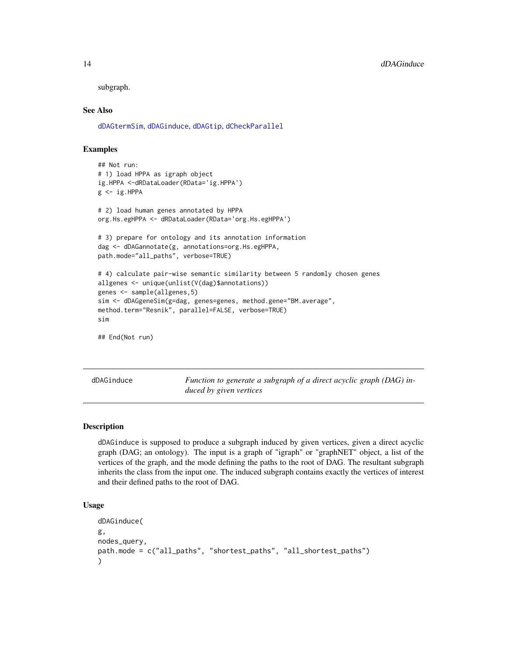subgraph.

#### See Also

[dDAGtermSim](#page-18-1), [dDAGinduce](#page-13-1), [dDAGtip](#page-20-1), [dCheckParallel](#page-5-1)

# Examples

```
## Not run:
# 1) load HPPA as igraph object
ig.HPPA <-dRDataLoader(RData='ig.HPPA')
g \leftarrow ig.HPPA# 2) load human genes annotated by HPPA
org.Hs.egHPPA <- dRDataLoader(RData='org.Hs.egHPPA')
# 3) prepare for ontology and its annotation information
dag <- dDAGannotate(g, annotations=org.Hs.egHPPA,
path.mode="all_paths", verbose=TRUE)
# 4) calculate pair-wise semantic similarity between 5 randomly chosen genes
allgenes <- unique(unlist(V(dag)$annotations))
genes <- sample(allgenes,5)
sim <- dDAGgeneSim(g=dag, genes=genes, method.gene="BM.average",
method.term="Resnik", parallel=FALSE, verbose=TRUE)
sim
## End(Not run)
```
<span id="page-13-1"></span>dDAGinduce *Function to generate a subgraph of a direct acyclic graph (DAG) induced by given vertices*

#### Description

dDAGinduce is supposed to produce a subgraph induced by given vertices, given a direct acyclic graph (DAG; an ontology). The input is a graph of "igraph" or "graphNET" object, a list of the vertices of the graph, and the mode defining the paths to the root of DAG. The resultant subgraph inherits the class from the input one. The induced subgraph contains exactly the vertices of interest and their defined paths to the root of DAG.

#### Usage

```
dDAGinduce(
g,
nodes_query,
path.mode = c("all_paths", "shortest_paths", "all_shortest_paths")
)
```
<span id="page-13-0"></span>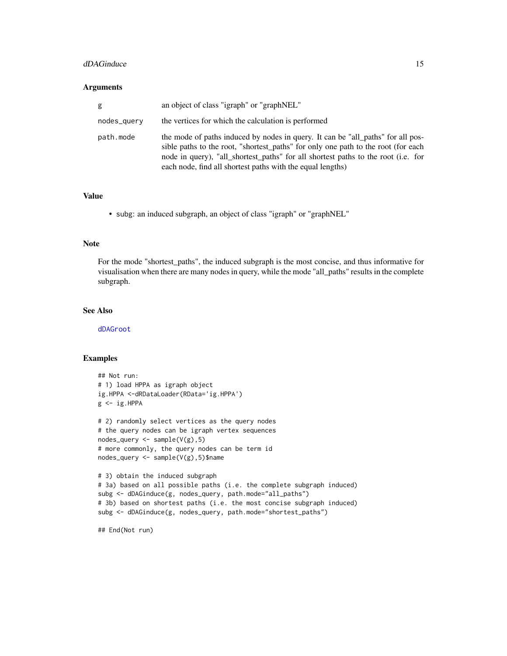#### dDAGinduce 15

#### **Arguments**

| g           | an object of class "igraph" or "graphNEL"                                                                                                                                                                                                                                                                               |
|-------------|-------------------------------------------------------------------------------------------------------------------------------------------------------------------------------------------------------------------------------------------------------------------------------------------------------------------------|
| nodes_query | the vertices for which the calculation is performed                                                                                                                                                                                                                                                                     |
| path.mode   | the mode of paths induced by nodes in query. It can be "all_paths" for all pos-<br>sible paths to the root, "shortest_paths" for only one path to the root (for each<br>node in query), "all_shortest_paths" for all shortest paths to the root (i.e. for<br>each node, find all shortest paths with the equal lengths) |

# Value

• subg: an induced subgraph, an object of class "igraph" or "graphNEL"

#### Note

For the mode "shortest\_paths", the induced subgraph is the most concise, and thus informative for visualisation when there are many nodes in query, while the mode "all\_paths" results in the complete subgraph.

# See Also

[dDAGroot](#page-17-1)

# Examples

```
## Not run:
# 1) load HPPA as igraph object
ig.HPPA <-dRDataLoader(RData='ig.HPPA')
g <- ig.HPPA
# 2) randomly select vertices as the query nodes
# the query nodes can be igraph vertex sequences
nodes\_query \leftarrow sample(V(g), 5)# more commonly, the query nodes can be term id
nodes_query <- sample(V(g),5)$name
# 3) obtain the induced subgraph
# 3a) based on all possible paths (i.e. the complete subgraph induced)
subg <- dDAGinduce(g, nodes_query, path.mode="all_paths")
# 3b) based on shortest paths (i.e. the most concise subgraph induced)
subg <- dDAGinduce(g, nodes_query, path.mode="shortest_paths")
```
## End(Not run)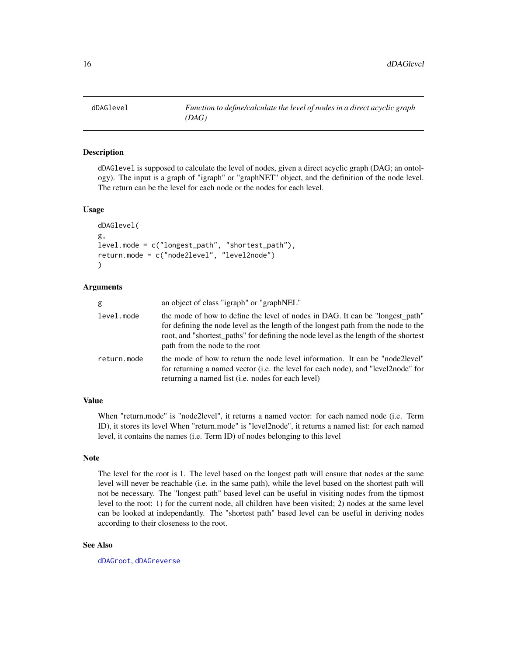<span id="page-15-1"></span><span id="page-15-0"></span>

#### Description

dDAGlevel is supposed to calculate the level of nodes, given a direct acyclic graph (DAG; an ontology). The input is a graph of "igraph" or "graphNET" object, and the definition of the node level. The return can be the level for each node or the nodes for each level.

#### Usage

```
dDAGlevel(
g,
level.mode = c("longest_path", "shortest_path"),
return.mode = c("node2level", "level2node")
\lambda
```
# Arguments

| g           | an object of class "igraph" or "graphNEL"                                                                                                                                                                                                                                                     |
|-------------|-----------------------------------------------------------------------------------------------------------------------------------------------------------------------------------------------------------------------------------------------------------------------------------------------|
| level.mode  | the mode of how to define the level of nodes in DAG. It can be "longest_path"<br>for defining the node level as the length of the longest path from the node to the<br>root, and "shortest_paths" for defining the node level as the length of the shortest<br>path from the node to the root |
| return.mode | the mode of how to return the node level information. It can be "node2level"<br>for returning a named vector (i.e. the level for each node), and "level2node" for<br>returning a named list (i.e. nodes for each level)                                                                       |

# Value

When "return.mode" is "node2level", it returns a named vector: for each named node (i.e. Term ID), it stores its level When "return.mode" is "level2node", it returns a named list: for each named level, it contains the names (i.e. Term ID) of nodes belonging to this level

### Note

The level for the root is 1. The level based on the longest path will ensure that nodes at the same level will never be reachable (i.e. in the same path), while the level based on the shortest path will not be necessary. The "longest path" based level can be useful in visiting nodes from the tipmost level to the root: 1) for the current node, all children have been visited; 2) nodes at the same level can be looked at independantly. The "shortest path" based level can be useful in deriving nodes according to their closeness to the root.

# See Also

[dDAGroot](#page-17-1), [dDAGreverse](#page-16-1)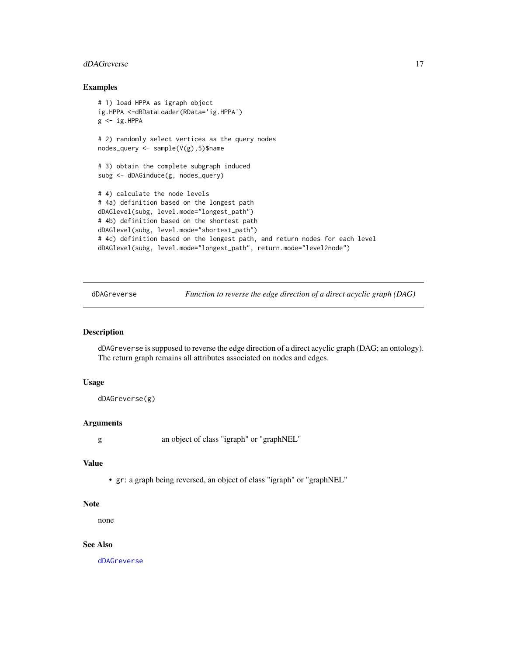#### <span id="page-16-0"></span>dDAGreverse and the state of the state of the state of the state of the state of the state of the state of the state of the state of the state of the state of the state of the state of the state of the state of the state o

#### Examples

```
# 1) load HPPA as igraph object
ig.HPPA <-dRDataLoader(RData='ig.HPPA')
g \leftarrow ig.HPPA# 2) randomly select vertices as the query nodes
nodes_query <- sample(V(g),5)$name
# 3) obtain the complete subgraph induced
subg <- dDAGinduce(g, nodes_query)
# 4) calculate the node levels
# 4a) definition based on the longest path
dDAGlevel(subg, level.mode="longest_path")
# 4b) definition based on the shortest path
dDAGlevel(subg, level.mode="shortest_path")
# 4c) definition based on the longest path, and return nodes for each level
dDAGlevel(subg, level.mode="longest_path", return.mode="level2node")
```
<span id="page-16-1"></span>dDAGreverse *Function to reverse the edge direction of a direct acyclic graph (DAG)*

# Description

dDAGreverse is supposed to reverse the edge direction of a direct acyclic graph (DAG; an ontology). The return graph remains all attributes associated on nodes and edges.

#### Usage

```
dDAGreverse(g)
```
# Arguments

g an object of class "igraph" or "graphNEL"

#### Value

• gr: a graph being reversed, an object of class "igraph" or "graphNEL"

#### Note

none

# See Also

[dDAGreverse](#page-16-1)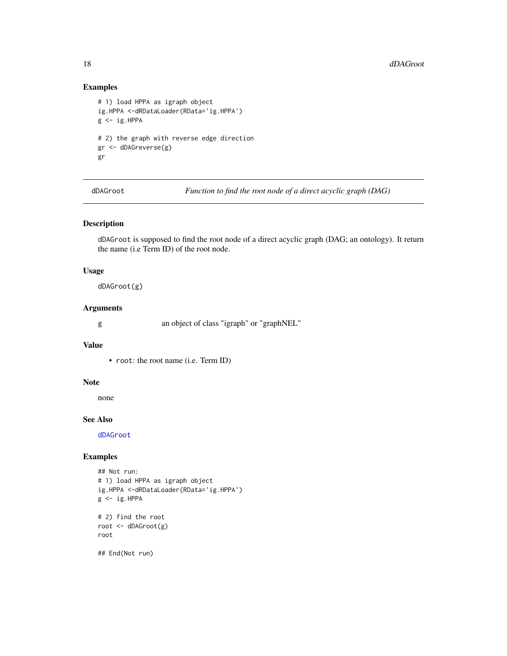# Examples

```
# 1) load HPPA as igraph object
ig.HPPA <-dRDataLoader(RData='ig.HPPA')
g \leftarrow ig.HPPA# 2) the graph with reverse edge direction
gr <- dDAGreverse(g)
gr
```
<span id="page-17-1"></span>dDAGroot *Function to find the root node of a direct acyclic graph (DAG)*

# Description

dDAGroot is supposed to find the root node of a direct acyclic graph (DAG; an ontology). It return the name (i.e Term ID) of the root node.

# Usage

dDAGroot(g)

#### Arguments

g an object of class "igraph" or "graphNEL"

#### Value

• root: the root name (i.e. Term ID)

#### Note

none

# See Also

[dDAGroot](#page-17-1)

# Examples

```
## Not run:
# 1) load HPPA as igraph object
ig.HPPA <-dRDataLoader(RData='ig.HPPA')
g \leftarrow ig.HPPA# 2) find the root
root <- dDAGroot(g)
root
## End(Not run)
```
<span id="page-17-0"></span>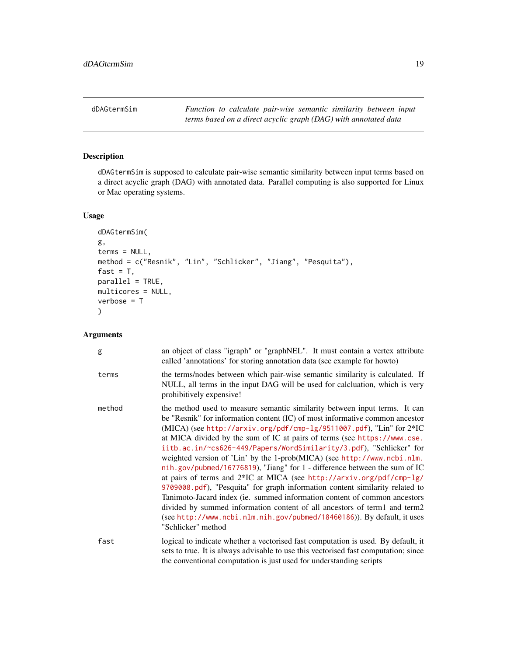<span id="page-18-1"></span><span id="page-18-0"></span>

# Description

dDAGtermSim is supposed to calculate pair-wise semantic similarity between input terms based on a direct acyclic graph (DAG) with annotated data. Parallel computing is also supported for Linux or Mac operating systems.

#### Usage

```
dDAGtermSim(
g,
terms = NULL,
method = c("Resnik", "Lin", "Schlicker", "Jiang", "Pesquita"),
fast = T,
parallel = TRUE,
multicores = NULL,
verbose = T
)
```
# Arguments

| g      | an object of class "igraph" or "graphNEL". It must contain a vertex attribute<br>called 'annotations' for storing annotation data (see example for howto)                                                                                                                                                                                                                                                                                                                                                                                                                                                                                                                                                                                                                                                                                                                                                                                                         |
|--------|-------------------------------------------------------------------------------------------------------------------------------------------------------------------------------------------------------------------------------------------------------------------------------------------------------------------------------------------------------------------------------------------------------------------------------------------------------------------------------------------------------------------------------------------------------------------------------------------------------------------------------------------------------------------------------------------------------------------------------------------------------------------------------------------------------------------------------------------------------------------------------------------------------------------------------------------------------------------|
| terms  | the terms/nodes between which pair-wise semantic similarity is calculated. If<br>NULL, all terms in the input DAG will be used for calcluation, which is very<br>prohibitively expensive!                                                                                                                                                                                                                                                                                                                                                                                                                                                                                                                                                                                                                                                                                                                                                                         |
| method | the method used to measure semantic similarity between input terms. It can<br>be "Resnik" for information content (IC) of most informative common ancestor<br>(MICA) (see http://arxiv.org/pdf/cmp-1g/9511007.pdf), "Lin" for 2*IC<br>at MICA divided by the sum of IC at pairs of terms (see https://www.cse.<br>iitb.ac.in/~cs626-449/Papers/WordSimilarity/3.pdf), "Schlicker" for<br>weighted version of 'Lin' by the 1-prob(MICA) (see http://www.ncbi.nlm.<br>nih.gov/pubmed/16776819), "Jiang" for 1 - difference between the sum of IC<br>at pairs of terms and 2*IC at MICA (see http://arxiv.org/pdf/cmp-lg/<br>9709008.pdf), "Pesquita" for graph information content similarity related to<br>Tanimoto-Jacard index (ie. summed information content of common ancestors<br>divided by summed information content of all ancestors of term1 and term2<br>(see http://www.ncbi.nlm.nih.gov/pubmed/18460186)). By default, it uses<br>"Schlicker" method |
| fast   | logical to indicate whether a vectorised fast computation is used. By default, it<br>sets to true. It is always advisable to use this vectorised fast computation; since<br>the conventional computation is just used for understanding scripts                                                                                                                                                                                                                                                                                                                                                                                                                                                                                                                                                                                                                                                                                                                   |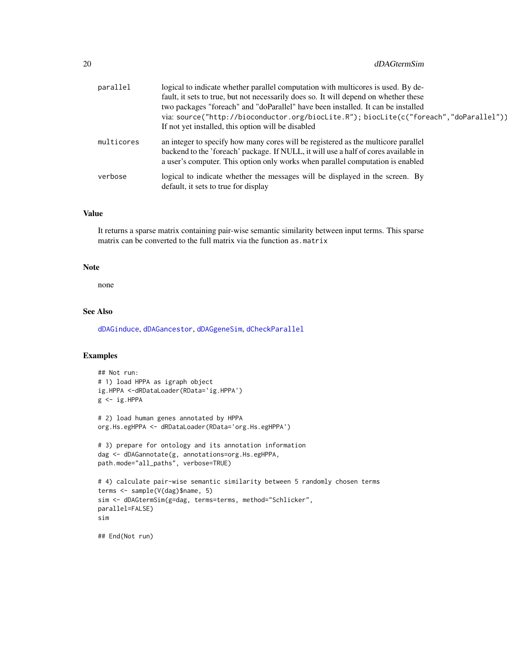| parallel   | logical to indicate whether parallel computation with multicores is used. By de-       |
|------------|----------------------------------------------------------------------------------------|
|            | fault, it sets to true, but not necessarily does so. It will depend on whether these   |
|            | two packages "foreach" and "doParallel" have been installed. It can be installed       |
|            | via: source("http://bioconductor.org/biocLite.R"); biocLite(c("foreach","doParallel")) |
|            | If not yet installed, this option will be disabled                                     |
| multicores | an integer to specify how many cores will be registered as the multicore parallel      |
|            | backend to the 'foreach' package. If NULL, it will use a half of cores available in    |
|            | a user's computer. This option only works when parallel computation is enabled         |
| verbose    | logical to indicate whether the messages will be displayed in the screen. By           |
|            | default, it sets to true for display                                                   |

# Value

It returns a sparse matrix containing pair-wise semantic similarity between input terms. This sparse matrix can be converted to the full matrix via the function as.matrix

# Note

none

# See Also

[dDAGinduce](#page-13-1), [dDAGancestor](#page-8-1), [dDAGgeneSim](#page-11-1), [dCheckParallel](#page-5-1)

# Examples

```
## Not run:
# 1) load HPPA as igraph object
ig.HPPA <-dRDataLoader(RData='ig.HPPA')
g \leftarrow ig.HPPA# 2) load human genes annotated by HPPA
org.Hs.egHPPA <- dRDataLoader(RData='org.Hs.egHPPA')
# 3) prepare for ontology and its annotation information
dag <- dDAGannotate(g, annotations=org.Hs.egHPPA,
path.mode="all_paths", verbose=TRUE)
# 4) calculate pair-wise semantic similarity between 5 randomly chosen terms
terms <- sample(V(dag)$name, 5)
sim <- dDAGtermSim(g=dag, terms=terms, method="Schlicker",
parallel=FALSE)
sim
## End(Not run)
```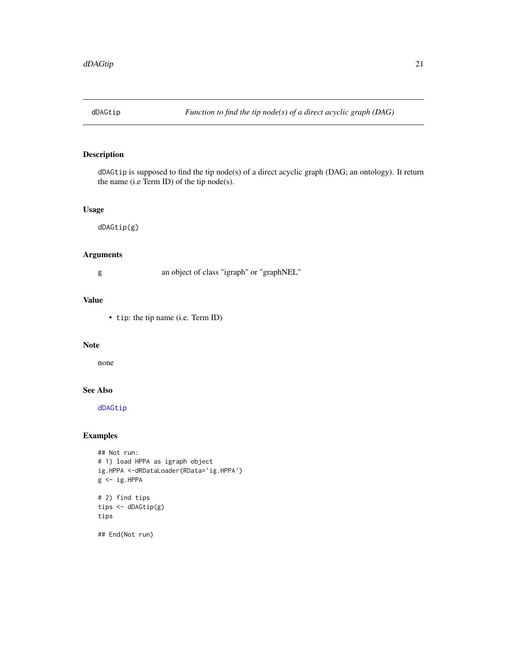<span id="page-20-1"></span><span id="page-20-0"></span>

# Description

dDAGtip is supposed to find the tip node(s) of a direct acyclic graph (DAG; an ontology). It return the name (i.e Term ID) of the tip node(s).

# Usage

dDAGtip(g)

# Arguments

# g an object of class "igraph" or "graphNEL"

# Value

• tip: the tip name (i.e. Term ID)

#### Note

none

# See Also

[dDAGtip](#page-20-1)

# Examples

```
## Not run:
# 1) load HPPA as igraph object
ig.HPPA <-dRDataLoader(RData='ig.HPPA')
g \leftarrow ig.HPPA# 2) find tips
tips <- dDAGtip(g)
tips
## End(Not run)
```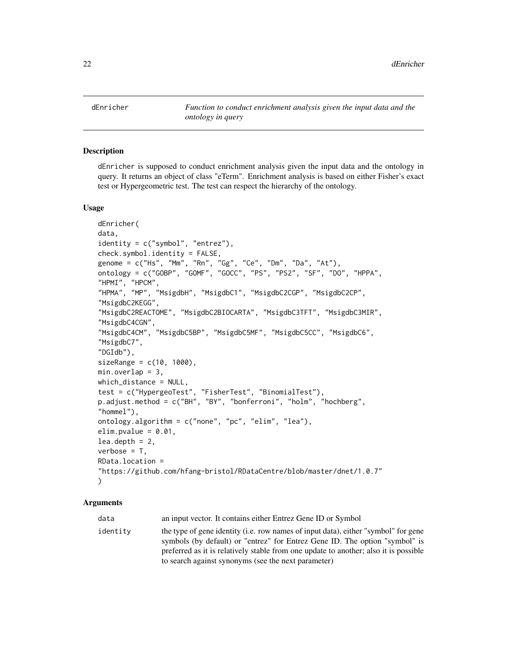<span id="page-21-1"></span><span id="page-21-0"></span>dEnricher *Function to conduct enrichment analysis given the input data and the ontology in query*

#### Description

dEnricher is supposed to conduct enrichment analysis given the input data and the ontology in query. It returns an object of class "eTerm". Enrichment analysis is based on either Fisher's exact test or Hypergeometric test. The test can respect the hierarchy of the ontology.

#### Usage

```
dEnricher(
data,
identity = c("symbol", "entrez"),
check.symbol.identity = FALSE,genome = c("Hs", "Mm", "Rn", "Gg", "Ce", "Dm", "Da", "At"),
ontology = c("GOBP", "GOMF", "GOCC", "PS", "PS2", "SF", "DO", "HPPA",
"HPMI", "HPCM",
"HPMA", "MP", "MsigdbH", "MsigdbC1", "MsigdbC2CGP", "MsigdbC2CP",
"MsigdbC2KEGG",
"MsigdbC2REACTOME", "MsigdbC2BIOCARTA", "MsigdbC3TFT", "MsigdbC3MIR",
"MsigdbC4CGN",
"MsigdbC4CM", "MsigdbC5BP", "MsigdbC5MF", "MsigdbC5CC", "MsigdbC6",
"MsigdbC7",
"DGIdb"),
sizeRange = c(10, 1000),
min. overlap = 3,which_distance = NULL,
test = c("HypergeoTest", "FisherTest", "BinomialTest"),
p.adjust.method = c("BH", "BY", "bonferroni", "holm", "hochberg",
"hommel"),
ontology.algorithm = c("none", "pc", "elim", "lea"),
elim.pvalue = 0.01,lea.depth = 2,verbose = T,
RData.location =
"https://github.com/hfang-bristol/RDataCentre/blob/master/dnet/1.0.7"
)
```
#### Arguments

data an input vector. It contains either Entrez Gene ID or Symbol identity the type of gene identity (i.e. row names of input data), either "symbol" for gene symbols (by default) or "entrez" for Entrez Gene ID. The option "symbol" is preferred as it is relatively stable from one update to another; also it is possible to search against synonyms (see the next parameter)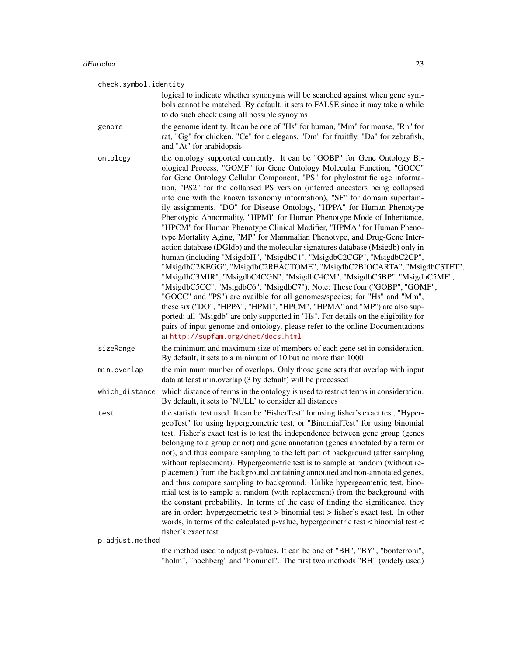check.symbol.identity logical to indicate whether synonyms will be searched against when gene symbols cannot be matched. By default, it sets to FALSE since it may take a while to do such check using all possible synoyms genome the genome identity. It can be one of "Hs" for human, "Mm" for mouse, "Rn" for rat, "Gg" for chicken, "Ce" for c.elegans, "Dm" for fruitfly, "Da" for zebrafish, and "At" for arabidopsis ontology the ontology supported currently. It can be "GOBP" for Gene Ontology Biological Process, "GOMF" for Gene Ontology Molecular Function, "GOCC" for Gene Ontology Cellular Component, "PS" for phylostratific age information, "PS2" for the collapsed PS version (inferred ancestors being collapsed into one with the known taxonomy information), "SF" for domain superfamily assignments, "DO" for Disease Ontology, "HPPA" for Human Phenotype Phenotypic Abnormality, "HPMI" for Human Phenotype Mode of Inheritance, "HPCM" for Human Phenotype Clinical Modifier, "HPMA" for Human Phenotype Mortality Aging, "MP" for Mammalian Phenotype, and Drug-Gene Interaction database (DGIdb) and the molecular signatures database (Msigdb) only in human (including "MsigdbH", "MsigdbC1", "MsigdbC2CGP", "MsigdbC2CP", "MsigdbC2KEGG", "MsigdbC2REACTOME", "MsigdbC2BIOCARTA", "MsigdbC3TFT", "MsigdbC3MIR", "MsigdbC4CGN", "MsigdbC4CM", "MsigdbC5BP", "MsigdbC5MF", "MsigdbC5CC", "MsigdbC6", "MsigdbC7"). Note: These four ("GOBP", "GOMF", "GOCC" and "PS") are availble for all genomes/species; for "Hs" and "Mm", these six ("DO", "HPPA", "HPMI", "HPCM", "HPMA" and "MP") are also supported; all "Msigdb" are only supported in "Hs". For details on the eligibility for pairs of input genome and ontology, please refer to the online Documentations at <http://supfam.org/dnet/docs.html> sizeRange the minimum and maximum size of members of each gene set in consideration. By default, it sets to a minimum of 10 but no more than 1000 min.overlap the minimum number of overlaps. Only those gene sets that overlap with input data at least min.overlap (3 by default) will be processed which\_distance which distance of terms in the ontology is used to restrict terms in consideration. By default, it sets to 'NULL' to consider all distances test the statistic test used. It can be "FisherTest" for using fisher's exact test, "HypergeoTest" for using hypergeometric test, or "BinomialTest" for using binomial test. Fisher's exact test is to test the independence between gene group (genes belonging to a group or not) and gene annotation (genes annotated by a term or not), and thus compare sampling to the left part of background (after sampling without replacement). Hypergeometric test is to sample at random (without replacement) from the background containing annotated and non-annotated genes, and thus compare sampling to background. Unlike hypergeometric test, binomial test is to sample at random (with replacement) from the background with the constant probability. In terms of the ease of finding the significance, they are in order: hypergeometric test > binomial test > fisher's exact test. In other words, in terms of the calculated p-value, hypergeometric test < binomial test < fisher's exact test p.adjust.method the method used to adjust p-values. It can be one of "BH", "BY", "bonferroni", "holm", "hochberg" and "hommel". The first two methods "BH" (widely used)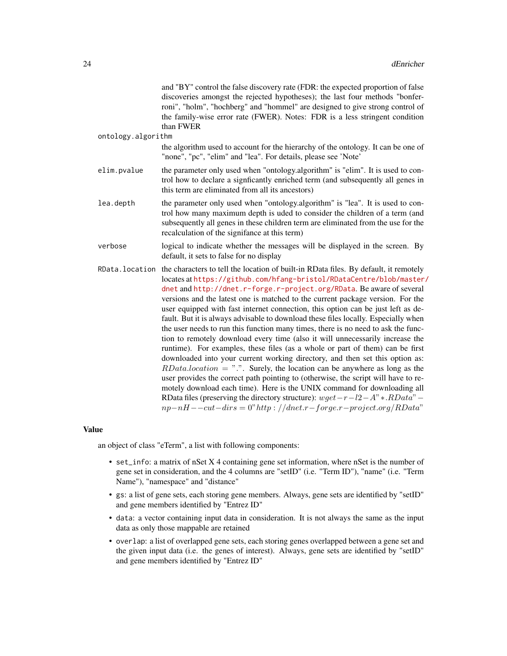|                    | and "BY" control the false discovery rate (FDR: the expected proportion of false<br>discoveries amongst the rejected hypotheses); the last four methods "bonfer-<br>roni", "holm", "hochberg" and "hommel" are designed to give strong control of<br>the family-wise error rate (FWER). Notes: FDR is a less stringent condition<br>than FWER                                                                                                                                                                                                                                                                                                                                                                                                                                                                                                                                                                                                                                                                                                                                                                                                                                                                                                     |
|--------------------|---------------------------------------------------------------------------------------------------------------------------------------------------------------------------------------------------------------------------------------------------------------------------------------------------------------------------------------------------------------------------------------------------------------------------------------------------------------------------------------------------------------------------------------------------------------------------------------------------------------------------------------------------------------------------------------------------------------------------------------------------------------------------------------------------------------------------------------------------------------------------------------------------------------------------------------------------------------------------------------------------------------------------------------------------------------------------------------------------------------------------------------------------------------------------------------------------------------------------------------------------|
| ontology.algorithm |                                                                                                                                                                                                                                                                                                                                                                                                                                                                                                                                                                                                                                                                                                                                                                                                                                                                                                                                                                                                                                                                                                                                                                                                                                                   |
|                    | the algorithm used to account for the hierarchy of the ontology. It can be one of<br>"none", "pc", "elim" and "lea". For details, please see 'Note'                                                                                                                                                                                                                                                                                                                                                                                                                                                                                                                                                                                                                                                                                                                                                                                                                                                                                                                                                                                                                                                                                               |
| elim.pvalue        | the parameter only used when "ontology.algorithm" is "elim". It is used to con-<br>trol how to declare a signficantly enriched term (and subsequently all genes in<br>this term are eliminated from all its ancestors)                                                                                                                                                                                                                                                                                                                                                                                                                                                                                                                                                                                                                                                                                                                                                                                                                                                                                                                                                                                                                            |
| lea.depth          | the parameter only used when "ontology.algorithm" is "lea". It is used to con-<br>trol how many maximum depth is uded to consider the children of a term (and<br>subsequently all genes in these children term are eliminated from the use for the<br>recalculation of the signifance at this term)                                                                                                                                                                                                                                                                                                                                                                                                                                                                                                                                                                                                                                                                                                                                                                                                                                                                                                                                               |
| verbose            | logical to indicate whether the messages will be displayed in the screen. By<br>default, it sets to false for no display                                                                                                                                                                                                                                                                                                                                                                                                                                                                                                                                                                                                                                                                                                                                                                                                                                                                                                                                                                                                                                                                                                                          |
| RData.location     | the characters to tell the location of built-in RData files. By default, it remotely<br>locates at https://github.com/hfang-bristol/RDataCentre/blob/master/<br>dnet and http://dnet.r-forge.r-project.org/RData. Be aware of several<br>versions and the latest one is matched to the current package version. For the<br>user equipped with fast internet connection, this option can be just left as de-<br>fault. But it is always advisable to download these files locally. Especially when<br>the user needs to run this function many times, there is no need to ask the func-<br>tion to remotely download every time (also it will unnecessarily increase the<br>runtime). For examples, these files (as a whole or part of them) can be first<br>downloaded into your current working directory, and then set this option as:<br>$RData. location = "."$ Surely, the location can be anywhere as long as the<br>user provides the correct path pointing to (otherwise, the script will have to re-<br>motely download each time). Here is the UNIX command for downloading all<br>RData files (preserving the directory structure): $wget - r - l2 - A'' * RData'' -$<br>$np-nH--cut-dirs=0" http://dnet.r-forge.r-project.org/RData"$ |

# Value

an object of class "eTerm", a list with following components:

- set\_info: a matrix of nSet X 4 containing gene set information, where nSet is the number of gene set in consideration, and the 4 columns are "setID" (i.e. "Term ID"), "name" (i.e. "Term Name"), "namespace" and "distance"
- gs: a list of gene sets, each storing gene members. Always, gene sets are identified by "setID" and gene members identified by "Entrez ID"
- data: a vector containing input data in consideration. It is not always the same as the input data as only those mappable are retained
- overlap: a list of overlapped gene sets, each storing genes overlapped between a gene set and the given input data (i.e. the genes of interest). Always, gene sets are identified by "setID" and gene members identified by "Entrez ID"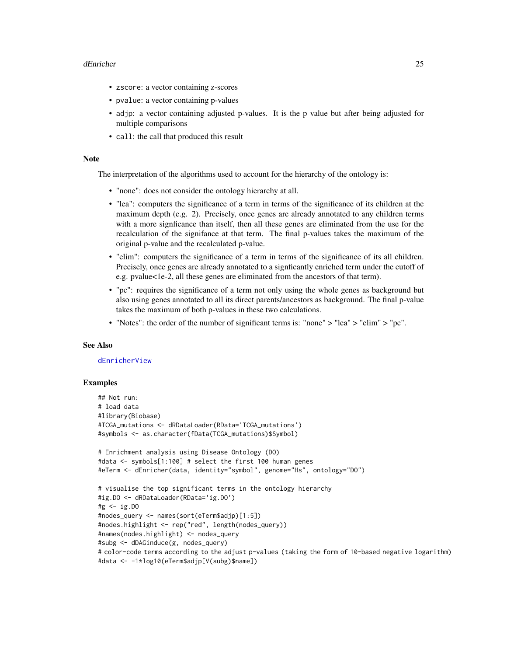#### dEnricher 25

- zscore: a vector containing z-scores
- pvalue: a vector containing p-values
- adjp: a vector containing adjusted p-values. It is the p value but after being adjusted for multiple comparisons
- call: the call that produced this result

#### Note

The interpretation of the algorithms used to account for the hierarchy of the ontology is:

- "none": does not consider the ontology hierarchy at all.
- "lea": computers the significance of a term in terms of the significance of its children at the maximum depth (e.g. 2). Precisely, once genes are already annotated to any children terms with a more signficance than itself, then all these genes are eliminated from the use for the recalculation of the signifance at that term. The final p-values takes the maximum of the original p-value and the recalculated p-value.
- "elim": computers the significance of a term in terms of the significance of its all children. Precisely, once genes are already annotated to a signficantly enriched term under the cutoff of e.g. pvalue<1e-2, all these genes are eliminated from the ancestors of that term).
- "pc": requires the significance of a term not only using the whole genes as background but also using genes annotated to all its direct parents/ancestors as background. The final p-value takes the maximum of both p-values in these two calculations.
- "Notes": the order of the number of significant terms is: "none" > "lea" > "elim" > "pc".

# See Also

#### [dEnricherView](#page-25-1)

#### Examples

```
## Not run:
# load data
#library(Biobase)
#TCGA_mutations <- dRDataLoader(RData='TCGA_mutations')
#symbols <- as.character(fData(TCGA_mutations)$Symbol)
# Enrichment analysis using Disease Ontology (DO)
#data <- symbols[1:100] # select the first 100 human genes
#eTerm <- dEnricher(data, identity="symbol", genome="Hs", ontology="DO")
# visualise the top significant terms in the ontology hierarchy
#ig.DO <- dRDataLoader(RData='ig.DO')
#g <- ig.DO
#nodes_query <- names(sort(eTerm$adjp)[1:5])
#nodes.highlight <- rep("red", length(nodes_query))
#names(nodes.highlight) <- nodes_query
#subg <- dDAGinduce(g, nodes_query)
# color-code terms according to the adjust p-values (taking the form of 10-based negative logarithm)
#data <- -1*log10(eTerm$adjp[V(subg)$name])
```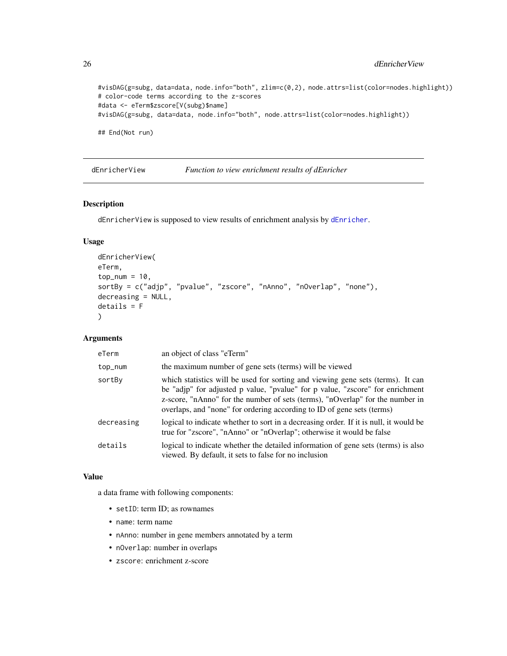```
#visDAG(g=subg, data=data, node.info="both", zlim=c(0,2), node.attrs=list(color=nodes.highlight))
# color-code terms according to the z-scores
#data <- eTerm$zscore[V(subg)$name]
#visDAG(g=subg, data=data, node.info="both", node.attrs=list(color=nodes.highlight))
## End(Not run)
```
<span id="page-25-1"></span>dEnricherView *Function to view enrichment results of dEnricher*

# Description

dEnricherView is supposed to view results of enrichment analysis by [dEnricher](#page-21-1).

# Usage

```
dEnricherView(
eTerm,
top\_num = 10,
sortBy = c("adjp", "pvalue", "zscore", "nAnno", "nOverlap", "none"),
decreasing = NULL,
details = F
)
```
# Arguments

| eTerm      | an object of class "eTerm"                                                                                                                                                                                                                                                                                                  |
|------------|-----------------------------------------------------------------------------------------------------------------------------------------------------------------------------------------------------------------------------------------------------------------------------------------------------------------------------|
| top_num    | the maximum number of gene sets (terms) will be viewed                                                                                                                                                                                                                                                                      |
| sortBy     | which statistics will be used for sorting and viewing gene sets (terms). It can<br>be "adjp" for adjusted p value, "pvalue" for p value, "zscore" for enrichment<br>z-score, "nAnno" for the number of sets (terms), "nOverlap" for the number in<br>overlaps, and "none" for ordering according to ID of gene sets (terms) |
| decreasing | logical to indicate whether to sort in a decreasing order. If it is null, it would be<br>true for "zscore", "nAnno" or "nOverlap"; otherwise it would be false                                                                                                                                                              |
| details    | logical to indicate whether the detailed information of gene sets (terms) is also<br>viewed. By default, it sets to false for no inclusion                                                                                                                                                                                  |

#### Value

a data frame with following components:

- setID: term ID; as rownames
- name: term name
- nAnno: number in gene members annotated by a term
- nOverlap: number in overlaps
- zscore: enrichment z-score

<span id="page-25-0"></span>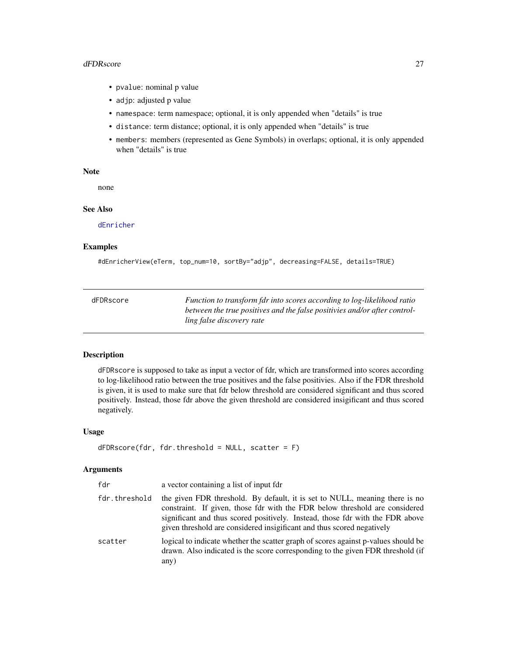#### <span id="page-26-0"></span>dFDRscore 27

- pvalue: nominal p value
- adjp: adjusted p value
- namespace: term namespace; optional, it is only appended when "details" is true
- distance: term distance; optional, it is only appended when "details" is true
- members: members (represented as Gene Symbols) in overlaps; optional, it is only appended when "details" is true

#### Note

none

#### See Also

[dEnricher](#page-21-1)

# Examples

```
#dEnricherView(eTerm, top_num=10, sortBy="adjp", decreasing=FALSE, details=TRUE)
```

| dFDRscore | Function to transform fdr into scores according to log-likelihood ratio   |
|-----------|---------------------------------------------------------------------------|
|           | between the true positives and the false positivies and/or after control- |
|           | ling false discovery rate                                                 |

# Description

dFDRscore is supposed to take as input a vector of fdr, which are transformed into scores according to log-likelihood ratio between the true positives and the false positivies. Also if the FDR threshold is given, it is used to make sure that fdr below threshold are considered significant and thus scored positively. Instead, those fdr above the given threshold are considered insigificant and thus scored negatively.

# Usage

```
dFDRscore(fdr, fdr.threshold = NULL, scatter = F)
```
#### Arguments

| fdr           | a vector containing a list of input fdr                                                                                                                                                                                                                                                                               |
|---------------|-----------------------------------------------------------------------------------------------------------------------------------------------------------------------------------------------------------------------------------------------------------------------------------------------------------------------|
| fdr.threshold | the given FDR threshold. By default, it is set to NULL, meaning there is no<br>constraint. If given, those fdr with the FDR below threshold are considered<br>significant and thus scored positively. Instead, those fdr with the FDR above<br>given threshold are considered insigificant and thus scored negatively |
| scatter       | logical to indicate whether the scatter graph of scores against p-values should be<br>drawn. Also indicated is the score corresponding to the given FDR threshold (if<br>any)                                                                                                                                         |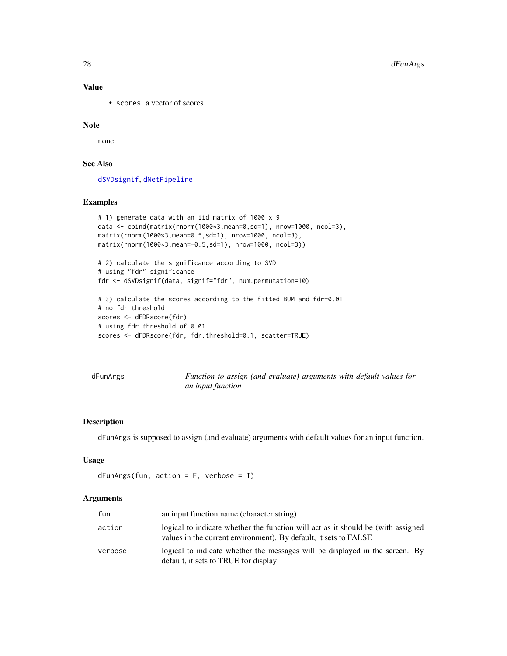# Value

• scores: a vector of scores

### Note

none

# See Also

[dSVDsignif](#page-56-1), [dNetPipeline](#page-39-1)

# Examples

```
# 1) generate data with an iid matrix of 1000 x 9
data <- cbind(matrix(rnorm(1000*3,mean=0,sd=1), nrow=1000, ncol=3),
matrix(rnorm(1000*3,mean=0.5,sd=1), nrow=1000, ncol=3),
matrix(rnorm(1000*3,mean=-0.5,sd=1), nrow=1000, ncol=3))
# 2) calculate the significance according to SVD
# using "fdr" significance
fdr <- dSVDsignif(data, signif="fdr", num.permutation=10)
# 3) calculate the scores according to the fitted BUM and fdr=0.01
# no fdr threshold
scores <- dFDRscore(fdr)
# using fdr threshold of 0.01
```

```
scores <- dFDRscore(fdr, fdr.threshold=0.1, scatter=TRUE)
```
dFunArgs *Function to assign (and evaluate) arguments with default values for an input function*

# Description

dFunArgs is supposed to assign (and evaluate) arguments with default values for an input function.

# Usage

```
dFunArgs(fun, action = F, verbose = T)
```
#### Arguments

| fun     | an input function name (character string)                                                                                                            |
|---------|------------------------------------------------------------------------------------------------------------------------------------------------------|
| action  | logical to indicate whether the function will act as it should be (with assigned<br>values in the current environment). By default, it sets to FALSE |
| verbose | logical to indicate whether the messages will be displayed in the screen. By<br>default, it sets to TRUE for display                                 |

<span id="page-27-0"></span>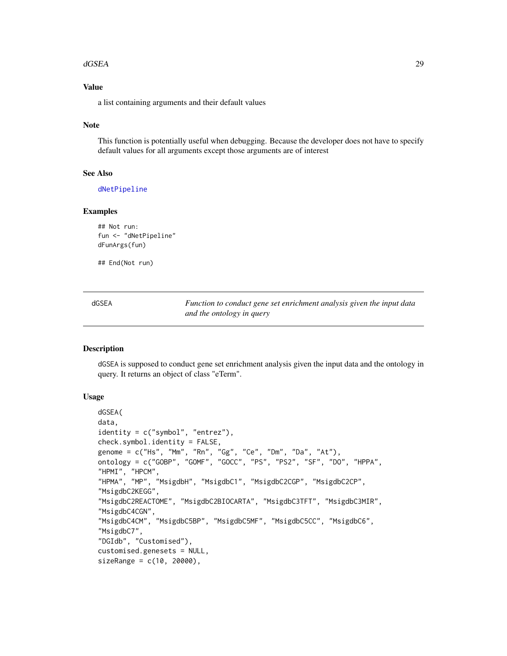#### <span id="page-28-0"></span>dGSEA 29

# Value

a list containing arguments and their default values

#### Note

This function is potentially useful when debugging. Because the developer does not have to specify default values for all arguments except those arguments are of interest

# See Also

[dNetPipeline](#page-39-1)

#### Examples

## Not run: fun <- "dNetPipeline" dFunArgs(fun)

## End(Not run)

<span id="page-28-1"></span>

| dGSEA | Function to conduct gene set enrichment analysis given the input data |
|-------|-----------------------------------------------------------------------|
|       | and the ontology in query                                             |

# Description

dGSEA is supposed to conduct gene set enrichment analysis given the input data and the ontology in query. It returns an object of class "eTerm".

### Usage

```
dGSEA(
data,
identity = c("symbol", "entrez"),
check.symbol.identity = FALSE,
genome = c("Hs", "Mm", "Rn", "Gg", "Ce", "Dm", "Da", "At"),
ontology = c("GOBP", "GOMF", "GOCC", "PS", "PS2", "SF", "DO", "HPPA",
"HPMI", "HPCM",
"HPMA", "MP", "MsigdbH", "MsigdbC1", "MsigdbC2CGP", "MsigdbC2CP",
"MsigdbC2KEGG",
"MsigdbC2REACTOME", "MsigdbC2BIOCARTA", "MsigdbC3TFT", "MsigdbC3MIR",
"MsigdbC4CGN",
"MsigdbC4CM", "MsigdbC5BP", "MsigdbC5MF", "MsigdbC5CC", "MsigdbC6",
"MsigdbC7",
"DGIdb", "Customised"),
customised.genesets = NULL,
sizeRange = c(10, 20000),
```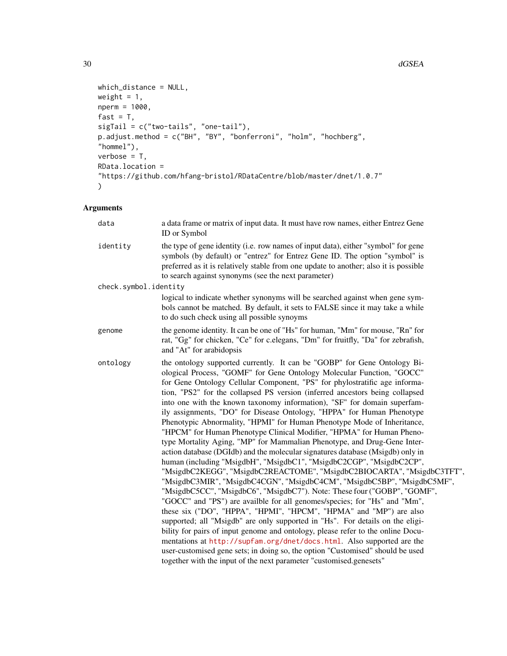```
which_distance = NULL,
weight = 1,
nperm = 1000,
fast = T,
sigTail = c("two-tails", "one-tail"),
p.adjust.method = c("BH", "BY", "bonferroni", "holm", "hochberg",
"hommel"),
verbose = T,
RData.location =
"https://github.com/hfang-bristol/RDataCentre/blob/master/dnet/1.0.7"
\mathcal{L}
```
# Arguments

| data                  | a data frame or matrix of input data. It must have row names, either Entrez Gene<br>ID or Symbol                                                                                                                                                                                                                                                                                                                                                                                                                                                                                                                                                                                                                                                                                                                                                                                                                                                                                                                                                                                                                                                                                                                                                                                                                                                                                                                                                                                                                                                                                                                                                           |
|-----------------------|------------------------------------------------------------------------------------------------------------------------------------------------------------------------------------------------------------------------------------------------------------------------------------------------------------------------------------------------------------------------------------------------------------------------------------------------------------------------------------------------------------------------------------------------------------------------------------------------------------------------------------------------------------------------------------------------------------------------------------------------------------------------------------------------------------------------------------------------------------------------------------------------------------------------------------------------------------------------------------------------------------------------------------------------------------------------------------------------------------------------------------------------------------------------------------------------------------------------------------------------------------------------------------------------------------------------------------------------------------------------------------------------------------------------------------------------------------------------------------------------------------------------------------------------------------------------------------------------------------------------------------------------------------|
| identity              | the type of gene identity (i.e. row names of input data), either "symbol" for gene<br>symbols (by default) or "entrez" for Entrez Gene ID. The option "symbol" is<br>preferred as it is relatively stable from one update to another; also it is possible<br>to search against synonyms (see the next parameter)                                                                                                                                                                                                                                                                                                                                                                                                                                                                                                                                                                                                                                                                                                                                                                                                                                                                                                                                                                                                                                                                                                                                                                                                                                                                                                                                           |
| check.symbol.identity |                                                                                                                                                                                                                                                                                                                                                                                                                                                                                                                                                                                                                                                                                                                                                                                                                                                                                                                                                                                                                                                                                                                                                                                                                                                                                                                                                                                                                                                                                                                                                                                                                                                            |
|                       | logical to indicate whether synonyms will be searched against when gene sym-<br>bols cannot be matched. By default, it sets to FALSE since it may take a while<br>to do such check using all possible synoyms                                                                                                                                                                                                                                                                                                                                                                                                                                                                                                                                                                                                                                                                                                                                                                                                                                                                                                                                                                                                                                                                                                                                                                                                                                                                                                                                                                                                                                              |
| genome                | the genome identity. It can be one of "Hs" for human, "Mm" for mouse, "Rn" for<br>rat, "Gg" for chicken, "Ce" for c.elegans, "Dm" for fruitfly, "Da" for zebrafish,<br>and "At" for arabidopsis                                                                                                                                                                                                                                                                                                                                                                                                                                                                                                                                                                                                                                                                                                                                                                                                                                                                                                                                                                                                                                                                                                                                                                                                                                                                                                                                                                                                                                                            |
| ontology              | the ontology supported currently. It can be "GOBP" for Gene Ontology Bi-<br>ological Process, "GOMF" for Gene Ontology Molecular Function, "GOCC"<br>for Gene Ontology Cellular Component, "PS" for phylostratific age informa-<br>tion, "PS2" for the collapsed PS version (inferred ancestors being collapsed<br>into one with the known taxonomy information), "SF" for domain superfam-<br>ily assignments, "DO" for Disease Ontology, "HPPA" for Human Phenotype<br>Phenotypic Abnormality, "HPMI" for Human Phenotype Mode of Inheritance,<br>"HPCM" for Human Phenotype Clinical Modifier, "HPMA" for Human Pheno-<br>type Mortality Aging, "MP" for Mammalian Phenotype, and Drug-Gene Inter-<br>action database (DGIdb) and the molecular signatures database (Msigdb) only in<br>human (including "MsigdbH", "MsigdbC1", "MsigdbC2CGP", "MsigdbC2CP",<br>"MsigdbC2KEGG", "MsigdbC2REACTOME", "MsigdbC2BIOCARTA", "MsigdbC3TFT",<br>"MsigdbC3MIR", "MsigdbC4CGN", "MsigdbC4CM", "MsigdbC5BP", "MsigdbC5MF",<br>"MsigdbC5CC", "MsigdbC6", "MsigdbC7"). Note: These four ("GOBP", "GOMF",<br>"GOCC" and "PS") are availble for all genomes/species; for "Hs" and "Mm",<br>these six ("DO", "HPPA", "HPMI", "HPCM", "HPMA" and "MP") are also<br>supported; all "Msigdb" are only supported in "Hs". For details on the eligi-<br>bility for pairs of input genome and ontology, please refer to the online Docu-<br>mentations at http://supfam.org/dnet/docs.html. Also supported are the<br>user-customised gene sets; in doing so, the option "Customised" should be used<br>together with the input of the next parameter "customised.genesets" |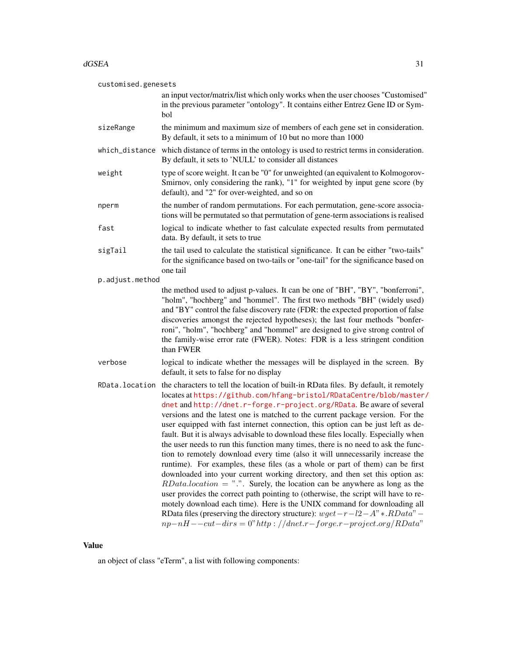#### $dGSEA$  31

| customised.genesets |                                                                                                                                                                                                                                                                                                                                                                                                                                                                                                                                                                                                                                                                                                                                                                                                                                                                                                                                                                                                                                                                                                                                                                                                                                                                     |
|---------------------|---------------------------------------------------------------------------------------------------------------------------------------------------------------------------------------------------------------------------------------------------------------------------------------------------------------------------------------------------------------------------------------------------------------------------------------------------------------------------------------------------------------------------------------------------------------------------------------------------------------------------------------------------------------------------------------------------------------------------------------------------------------------------------------------------------------------------------------------------------------------------------------------------------------------------------------------------------------------------------------------------------------------------------------------------------------------------------------------------------------------------------------------------------------------------------------------------------------------------------------------------------------------|
|                     | an input vector/matrix/list which only works when the user chooses "Customised"<br>in the previous parameter "ontology". It contains either Entrez Gene ID or Sym-<br>bol                                                                                                                                                                                                                                                                                                                                                                                                                                                                                                                                                                                                                                                                                                                                                                                                                                                                                                                                                                                                                                                                                           |
| sizeRange           | the minimum and maximum size of members of each gene set in consideration.<br>By default, it sets to a minimum of 10 but no more than 1000                                                                                                                                                                                                                                                                                                                                                                                                                                                                                                                                                                                                                                                                                                                                                                                                                                                                                                                                                                                                                                                                                                                          |
|                     | which_distance which distance of terms in the ontology is used to restrict terms in consideration.<br>By default, it sets to 'NULL' to consider all distances                                                                                                                                                                                                                                                                                                                                                                                                                                                                                                                                                                                                                                                                                                                                                                                                                                                                                                                                                                                                                                                                                                       |
| weight              | type of score weight. It can be "0" for unweighted (an equivalent to Kolmogorov-<br>Smirnov, only considering the rank), "1" for weighted by input gene score (by<br>default), and "2" for over-weighted, and so on                                                                                                                                                                                                                                                                                                                                                                                                                                                                                                                                                                                                                                                                                                                                                                                                                                                                                                                                                                                                                                                 |
| nperm               | the number of random permutations. For each permutation, gene-score associa-<br>tions will be permutated so that permutation of gene-term associations is realised                                                                                                                                                                                                                                                                                                                                                                                                                                                                                                                                                                                                                                                                                                                                                                                                                                                                                                                                                                                                                                                                                                  |
| fast                | logical to indicate whether to fast calculate expected results from permutated<br>data. By default, it sets to true                                                                                                                                                                                                                                                                                                                                                                                                                                                                                                                                                                                                                                                                                                                                                                                                                                                                                                                                                                                                                                                                                                                                                 |
| sigTail             | the tail used to calculate the statistical significance. It can be either "two-tails"<br>for the significance based on two-tails or "one-tail" for the significance based on<br>one tail                                                                                                                                                                                                                                                                                                                                                                                                                                                                                                                                                                                                                                                                                                                                                                                                                                                                                                                                                                                                                                                                            |
| p.adjust.method     |                                                                                                                                                                                                                                                                                                                                                                                                                                                                                                                                                                                                                                                                                                                                                                                                                                                                                                                                                                                                                                                                                                                                                                                                                                                                     |
|                     | the method used to adjust p-values. It can be one of "BH", "BY", "bonferroni",<br>"holm", "hochberg" and "hommel". The first two methods "BH" (widely used)<br>and "BY" control the false discovery rate (FDR: the expected proportion of false<br>discoveries amongst the rejected hypotheses); the last four methods "bonfer-<br>roni", "holm", "hochberg" and "hommel" are designed to give strong control of<br>the family-wise error rate (FWER). Notes: FDR is a less stringent condition<br>than FWER                                                                                                                                                                                                                                                                                                                                                                                                                                                                                                                                                                                                                                                                                                                                                        |
| verbose             | logical to indicate whether the messages will be displayed in the screen. By<br>default, it sets to false for no display                                                                                                                                                                                                                                                                                                                                                                                                                                                                                                                                                                                                                                                                                                                                                                                                                                                                                                                                                                                                                                                                                                                                            |
|                     | RData. location the characters to tell the location of built-in RData files. By default, it remotely<br>locates at https://github.com/hfang-bristol/RDataCentre/blob/master/<br>dnet and http://dnet.r-forge.r-project.org/RData. Be aware of several<br>versions and the latest one is matched to the current package version. For the<br>user equipped with fast internet connection, this option can be just left as de-<br>fault. But it is always advisable to download these files locally. Especially when<br>the user needs to run this function many times, there is no need to ask the func-<br>tion to remotely download every time (also it will unnecessarily increase the<br>runtime). For examples, these files (as a whole or part of them) can be first<br>downloaded into your current working directory, and then set this option as:<br>$RData. location = "."$ Surely, the location can be anywhere as long as the<br>user provides the correct path pointing to (otherwise, the script will have to re-<br>motely download each time). Here is the UNIX command for downloading all<br>RData files (preserving the directory structure): $wget - r - l2 - A'' * . RData'' -$<br>$np-nH--cut-dirs=0" http://dnet.r-forge.r-project.org/RData"$ |

# Value

an object of class "eTerm", a list with following components: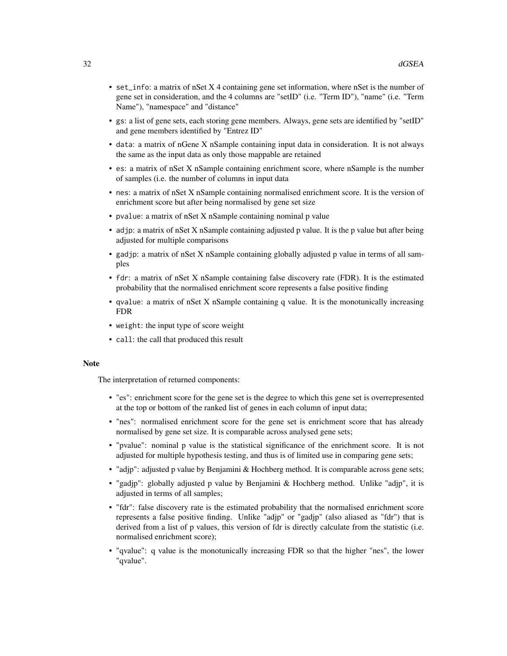- set\_info: a matrix of nSet X 4 containing gene set information, where nSet is the number of gene set in consideration, and the 4 columns are "setID" (i.e. "Term ID"), "name" (i.e. "Term Name"), "namespace" and "distance"
- gs: a list of gene sets, each storing gene members. Always, gene sets are identified by "setID" and gene members identified by "Entrez ID"
- data: a matrix of nGene X nSample containing input data in consideration. It is not always the same as the input data as only those mappable are retained
- es: a matrix of nSet X nSample containing enrichment score, where nSample is the number of samples (i.e. the number of columns in input data
- nes: a matrix of nSet X nSample containing normalised enrichment score. It is the version of enrichment score but after being normalised by gene set size
- pvalue: a matrix of nSet X nSample containing nominal p value
- adjp: a matrix of nSet X nSample containing adjusted p value. It is the p value but after being adjusted for multiple comparisons
- gadjp: a matrix of nSet X nSample containing globally adjusted p value in terms of all samples
- fdr: a matrix of nSet X nSample containing false discovery rate (FDR). It is the estimated probability that the normalised enrichment score represents a false positive finding
- qvalue: a matrix of nSet X nSample containing q value. It is the monotunically increasing FDR
- weight: the input type of score weight
- call: the call that produced this result

# **Note**

The interpretation of returned components:

- "es": enrichment score for the gene set is the degree to which this gene set is overrepresented at the top or bottom of the ranked list of genes in each column of input data;
- "nes": normalised enrichment score for the gene set is enrichment score that has already normalised by gene set size. It is comparable across analysed gene sets;
- "pvalue": nominal p value is the statistical significance of the enrichment score. It is not adjusted for multiple hypothesis testing, and thus is of limited use in comparing gene sets;
- "adjp": adjusted p value by Benjamini & Hochberg method. It is comparable across gene sets;
- "gadjp": globally adjusted p value by Benjamini & Hochberg method. Unlike "adjp", it is adjusted in terms of all samples;
- "fdr": false discovery rate is the estimated probability that the normalised enrichment score represents a false positive finding. Unlike "adjp" or "gadjp" (also aliased as "fdr") that is derived from a list of p values, this version of fdr is directly calculate from the statistic (i.e. normalised enrichment score);
- "qvalue": q value is the monotunically increasing FDR so that the higher "nes", the lower "qvalue".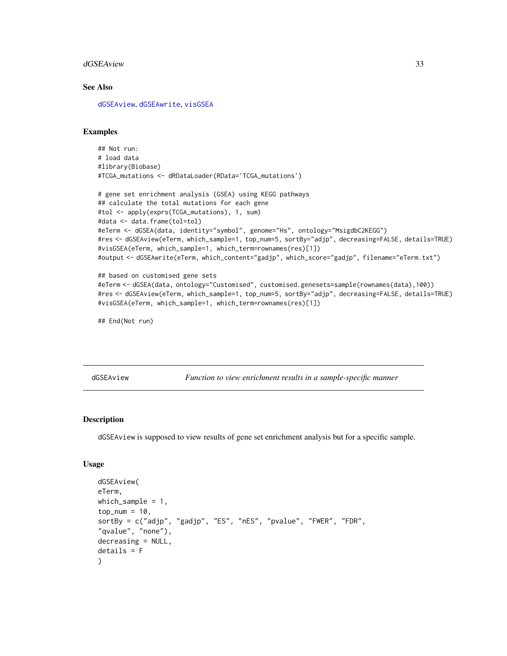#### <span id="page-32-0"></span>dGSEAview 33

### See Also

[dGSEAview](#page-32-1), [dGSEAwrite](#page-34-1), [visGSEA](#page-66-1)

# Examples

```
## Not run:
# load data
#library(Biobase)
#TCGA_mutations <- dRDataLoader(RData='TCGA_mutations')
```

```
# gene set enrichment analysis (GSEA) using KEGG pathways
## calculate the total mutations for each gene
#tol <- apply(exprs(TCGA_mutations), 1, sum)
#data <- data.frame(tol=tol)
#eTerm <- dGSEA(data, identity="symbol", genome="Hs", ontology="MsigdbC2KEGG")
#res <- dGSEAview(eTerm, which_sample=1, top_num=5, sortBy="adjp", decreasing=FALSE, details=TRUE)
#visGSEA(eTerm, which_sample=1, which_term=rownames(res)[1])
#output <- dGSEAwrite(eTerm, which_content="gadjp", which_score="gadjp", filename="eTerm.txt")
```

```
## based on customised gene sets
#eTerm <- dGSEA(data, ontology="Customised", customised.genesets=sample(rownames(data),100))
#res <- dGSEAview(eTerm, which_sample=1, top_num=5, sortBy="adjp", decreasing=FALSE, details=TRUE)
#visGSEA(eTerm, which_sample=1, which_term=rownames(res)[1])
```

```
## End(Not run)
```
<span id="page-32-1"></span>dGSEAview *Function to view enrichment results in a sample-specific manner*

#### Description

dGSEAview is supposed to view results of gene set enrichment analysis but for a specific sample.

#### Usage

```
dGSEAview(
eTerm,
which_sample = 1,
top\_num = 10,
sortBy = c("adjp", "gadjp", "ES", "nES", "pvalue", "FWER", "FDR",
"qvalue", "none"),
decreasing = NULL,
details = F
)
```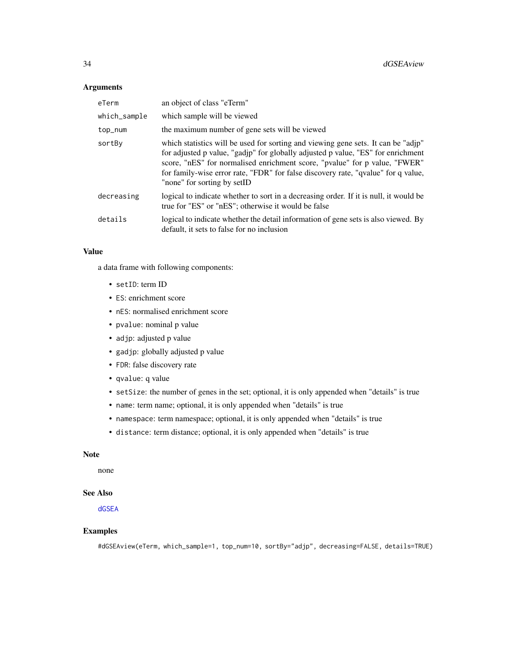# Arguments

| eTerm        | an object of class "eTerm"                                                                                                                                                                                                                                                                                                                                              |
|--------------|-------------------------------------------------------------------------------------------------------------------------------------------------------------------------------------------------------------------------------------------------------------------------------------------------------------------------------------------------------------------------|
| which_sample | which sample will be viewed                                                                                                                                                                                                                                                                                                                                             |
| top_num      | the maximum number of gene sets will be viewed                                                                                                                                                                                                                                                                                                                          |
| sortBy       | which statistics will be used for sorting and viewing gene sets. It can be "adjp"<br>for adjusted p value, "gadjp" for globally adjusted p value, "ES" for enrichment<br>score, "nES" for normalised enrichment score, "pvalue" for p value, "FWER"<br>for family-wise error rate, "FDR" for false discovery rate, "qvalue" for q value,<br>"none" for sorting by setID |
| decreasing   | logical to indicate whether to sort in a decreasing order. If it is null, it would be<br>true for "ES" or "nES"; otherwise it would be false                                                                                                                                                                                                                            |
| details      | logical to indicate whether the detail information of gene sets is also viewed. By<br>default, it sets to false for no inclusion                                                                                                                                                                                                                                        |

# Value

a data frame with following components:

- setID: term ID
- ES: enrichment score
- nES: normalised enrichment score
- pvalue: nominal p value
- adjp: adjusted p value
- gadjp: globally adjusted p value
- FDR: false discovery rate
- qvalue: q value
- setSize: the number of genes in the set; optional, it is only appended when "details" is true
- name: term name; optional, it is only appended when "details" is true
- namespace: term namespace; optional, it is only appended when "details" is true
- distance: term distance; optional, it is only appended when "details" is true

#### Note

none

# See Also

[dGSEA](#page-28-1)

# Examples

#dGSEAview(eTerm, which\_sample=1, top\_num=10, sortBy="adjp", decreasing=FALSE, details=TRUE)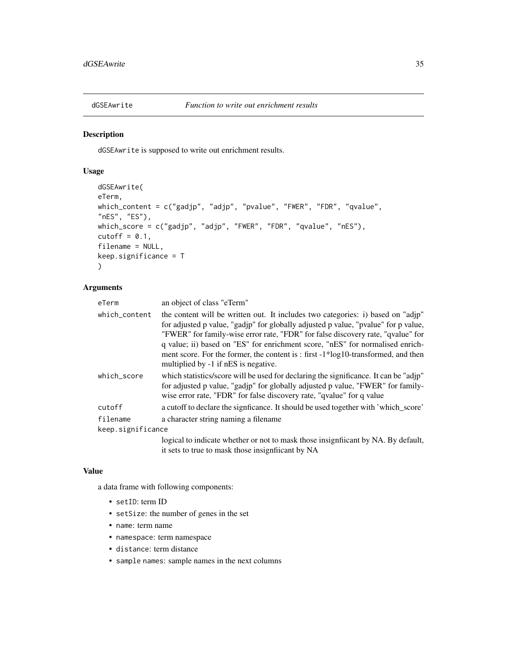<span id="page-34-1"></span><span id="page-34-0"></span>

# Description

dGSEAwrite is supposed to write out enrichment results.

### Usage

```
dGSEAwrite(
eTerm,
which_content = c("gadjp", "adjp", "pvalue", "FWER", "FDR", "qvalue",
"nES", "ES"),
which_score = c("gadjp", "adjp", "FWER", "FDR", "qvalue", "nES"),
cutoff = 0.1,
filename = NULL,
keep.significance = T
)
```
# Arguments

| eTerm             | an object of class "eTerm"                                                                                                                                                                                                                                                                                                                                                                                                                                                |
|-------------------|---------------------------------------------------------------------------------------------------------------------------------------------------------------------------------------------------------------------------------------------------------------------------------------------------------------------------------------------------------------------------------------------------------------------------------------------------------------------------|
| which_content     | the content will be written out. It includes two categories: i) based on "adjp"<br>for adjusted p value, "gadjp" for globally adjusted p value, "pvalue" for p value,<br>"FWER" for family-wise error rate, "FDR" for false discovery rate, "qvalue" for<br>q value; ii) based on "ES" for enrichment score, "nES" for normalised enrich-<br>ment score. For the former, the content is : first $-1*log10$ -transformed, and then<br>multiplied by -1 if nES is negative. |
| which_score       | which statistics/score will be used for declaring the significance. It can be "adjp"<br>for adjusted p value, "gadjp" for globally adjusted p value, "FWER" for family-<br>wise error rate, "FDR" for false discovery rate, "qvalue" for q value                                                                                                                                                                                                                          |
| cutoff            | a cutoff to declare the significance. It should be used together with 'which_score'                                                                                                                                                                                                                                                                                                                                                                                       |
| filename          | a character string naming a filename                                                                                                                                                                                                                                                                                                                                                                                                                                      |
| keep.significance |                                                                                                                                                                                                                                                                                                                                                                                                                                                                           |
|                   | logical to indicate whether or not to mask those insignificant by NA. By default,                                                                                                                                                                                                                                                                                                                                                                                         |

it sets to true to mask those insignfiicant by NA

#### Value

a data frame with following components:

- setID: term ID
- setSize: the number of genes in the set
- name: term name
- namespace: term namespace
- distance: term distance
- sample names: sample names in the next columns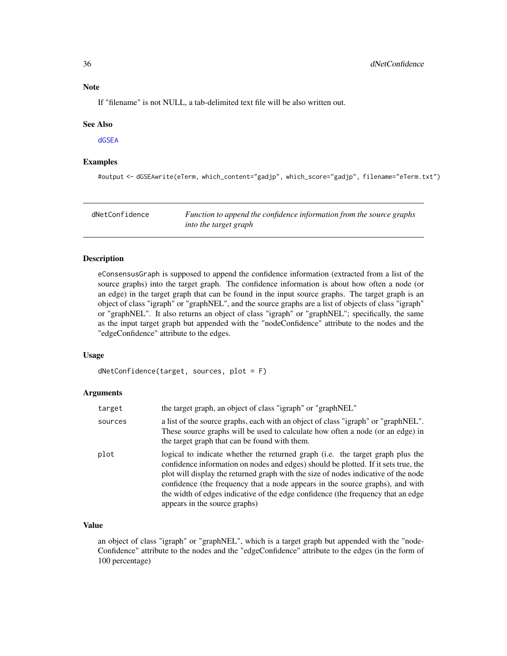# <span id="page-35-0"></span>Note

If "filename" is not NULL, a tab-delimited text file will be also written out.

#### See Also

[dGSEA](#page-28-1)

# Examples

#output <- dGSEAwrite(eTerm, which\_content="gadjp", which\_score="gadjp", filename="eTerm.txt")

| dNetConfidence | Function to append the confidence information from the source graphs |
|----------------|----------------------------------------------------------------------|
|                | into the target graph                                                |

# Description

eConsensusGraph is supposed to append the confidence information (extracted from a list of the source graphs) into the target graph. The confidence information is about how often a node (or an edge) in the target graph that can be found in the input source graphs. The target graph is an object of class "igraph" or "graphNEL", and the source graphs are a list of objects of class "igraph" or "graphNEL". It also returns an object of class "igraph" or "graphNEL"; specifically, the same as the input target graph but appended with the "nodeConfidence" attribute to the nodes and the "edgeConfidence" attribute to the edges.

# Usage

dNetConfidence(target, sources, plot = F)

#### Arguments

| target  | the target graph, an object of class "igraph" or "graphNEL"                                                                                                                                                                                                                                                                                                                                                                                                      |
|---------|------------------------------------------------------------------------------------------------------------------------------------------------------------------------------------------------------------------------------------------------------------------------------------------------------------------------------------------------------------------------------------------------------------------------------------------------------------------|
| sources | a list of the source graphs, each with an object of class "igraph" or "graphNEL".<br>These source graphs will be used to calculate how often a node (or an edge) in<br>the target graph that can be found with them.                                                                                                                                                                                                                                             |
| plot    | logical to indicate whether the returned graph (i.e. the target graph plus the<br>confidence information on nodes and edges) should be plotted. If it sets true, the<br>plot will display the returned graph with the size of nodes indicative of the node<br>confidence (the frequency that a node appears in the source graphs), and with<br>the width of edges indicative of the edge confidence (the frequency that an edge<br>appears in the source graphs) |

# Value

an object of class "igraph" or "graphNEL", which is a target graph but appended with the "node-Confidence" attribute to the nodes and the "edgeConfidence" attribute to the edges (in the form of 100 percentage)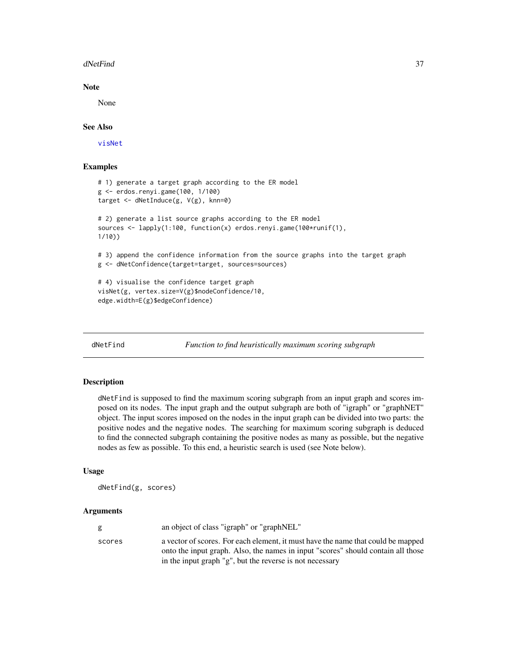### dNetFind 37

## Note

None

# See Also

[visNet](#page-67-0)

# Examples

```
# 1) generate a target graph according to the ER model
g <- erdos.renyi.game(100, 1/100)
target <- dNetInduce(g, V(g), knn=0)
# 2) generate a list source graphs according to the ER model
sources <- lapply(1:100, function(x) erdos.renyi.game(100*runif(1),
1/10))
# 3) append the confidence information from the source graphs into the target graph
g <- dNetConfidence(target=target, sources=sources)
# 4) visualise the confidence target graph
visNet(g, vertex.size=V(g)$nodeConfidence/10,
edge.width=E(g)$edgeConfidence)
```
<span id="page-36-0"></span>

dNetFind *Function to find heuristically maximum scoring subgraph*

# **Description**

dNetFind is supposed to find the maximum scoring subgraph from an input graph and scores imposed on its nodes. The input graph and the output subgraph are both of "igraph" or "graphNET" object. The input scores imposed on the nodes in the input graph can be divided into two parts: the positive nodes and the negative nodes. The searching for maximum scoring subgraph is deduced to find the connected subgraph containing the positive nodes as many as possible, but the negative nodes as few as possible. To this end, a heuristic search is used (see Note below).

#### Usage

dNetFind(g, scores)

|        | an object of class "igraph" or "graphNEL"                                        |
|--------|----------------------------------------------------------------------------------|
| scores | a vector of scores. For each element, it must have the name that could be mapped |
|        | onto the input graph. Also, the names in input "scores" should contain all those |
|        | in the input graph "g", but the reverse is not necessary                         |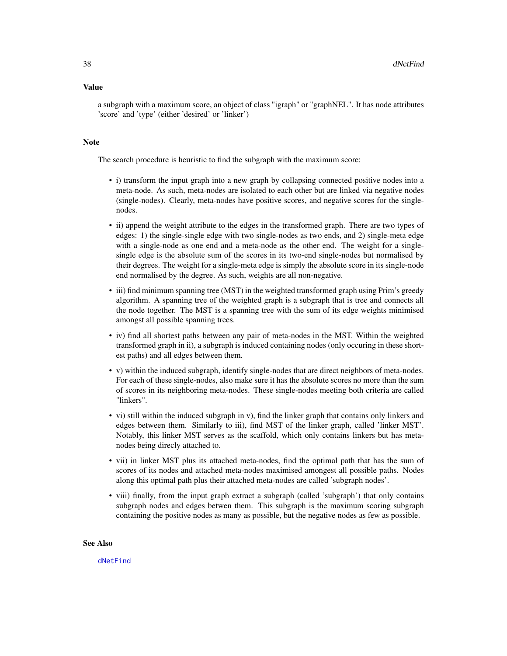a subgraph with a maximum score, an object of class "igraph" or "graphNEL". It has node attributes 'score' and 'type' (either 'desired' or 'linker')

# **Note**

The search procedure is heuristic to find the subgraph with the maximum score:

- i) transform the input graph into a new graph by collapsing connected positive nodes into a meta-node. As such, meta-nodes are isolated to each other but are linked via negative nodes (single-nodes). Clearly, meta-nodes have positive scores, and negative scores for the singlenodes.
- ii) append the weight attribute to the edges in the transformed graph. There are two types of edges: 1) the single-single edge with two single-nodes as two ends, and 2) single-meta edge with a single-node as one end and a meta-node as the other end. The weight for a singlesingle edge is the absolute sum of the scores in its two-end single-nodes but normalised by their degrees. The weight for a single-meta edge is simply the absolute score in its single-node end normalised by the degree. As such, weights are all non-negative.
- iii) find minimum spanning tree (MST) in the weighted transformed graph using Prim's greedy algorithm. A spanning tree of the weighted graph is a subgraph that is tree and connects all the node together. The MST is a spanning tree with the sum of its edge weights minimised amongst all possible spanning trees.
- iv) find all shortest paths between any pair of meta-nodes in the MST. Within the weighted transformed graph in ii), a subgraph is induced containing nodes (only occuring in these shortest paths) and all edges between them.
- v) within the induced subgraph, identify single-nodes that are direct neighbors of meta-nodes. For each of these single-nodes, also make sure it has the absolute scores no more than the sum of scores in its neighboring meta-nodes. These single-nodes meeting both criteria are called "linkers".
- vi) still within the induced subgraph in v), find the linker graph that contains only linkers and edges between them. Similarly to iii), find MST of the linker graph, called 'linker MST'. Notably, this linker MST serves as the scaffold, which only contains linkers but has metanodes being direcly attached to.
- vii) in linker MST plus its attached meta-nodes, find the optimal path that has the sum of scores of its nodes and attached meta-nodes maximised amongest all possible paths. Nodes along this optimal path plus their attached meta-nodes are called 'subgraph nodes'.
- viii) finally, from the input graph extract a subgraph (called 'subgraph') that only contains subgraph nodes and edges betwen them. This subgraph is the maximum scoring subgraph containing the positive nodes as many as possible, but the negative nodes as few as possible.

#### See Also

[dNetFind](#page-36-0)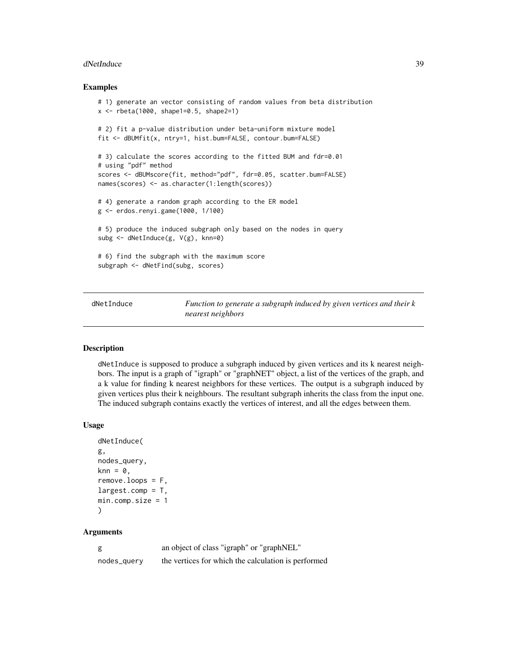#### dNetInduce 39

### Examples

```
# 1) generate an vector consisting of random values from beta distribution
x <- rbeta(1000, shape1=0.5, shape2=1)
# 2) fit a p-value distribution under beta-uniform mixture model
fit <- dBUMfit(x, ntry=1, hist.bum=FALSE, contour.bum=FALSE)
# 3) calculate the scores according to the fitted BUM and fdr=0.01
# using "pdf" method
scores <- dBUMscore(fit, method="pdf", fdr=0.05, scatter.bum=FALSE)
names(scores) <- as.character(1:length(scores))
# 4) generate a random graph according to the ER model
g <- erdos.renyi.game(1000, 1/100)
# 5) produce the induced subgraph only based on the nodes in query
subg <- dNetInduce(g, V(g), knn=0)
# 6) find the subgraph with the maximum score
subgraph <- dNetFind(subg, scores)
```
<span id="page-38-0"></span>dNetInduce *Function to generate a subgraph induced by given vertices and their k nearest neighbors*

## Description

dNetInduce is supposed to produce a subgraph induced by given vertices and its k nearest neighbors. The input is a graph of "igraph" or "graphNET" object, a list of the vertices of the graph, and a k value for finding k nearest neighbors for these vertices. The output is a subgraph induced by given vertices plus their k neighbours. The resultant subgraph inherits the class from the input one. The induced subgraph contains exactly the vertices of interest, and all the edges between them.

### Usage

```
dNetInduce(
g,
nodes_query,
knn = 0,
remove.logps = F,
largest.comp = T,min.comp.size = 1
)
```

|             | an object of class "igraph" or "graphNEL"           |
|-------------|-----------------------------------------------------|
| nodes_query | the vertices for which the calculation is performed |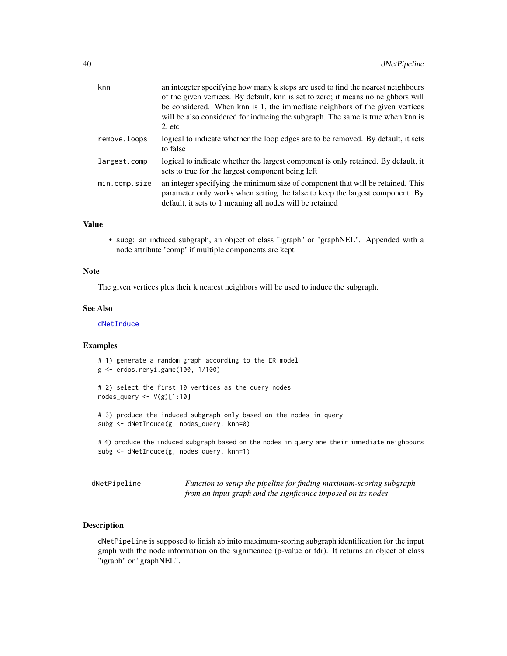| knn           | an integeter specifying how many k steps are used to find the nearest neighbours<br>of the given vertices. By default, knn is set to zero; it means no neighbors will<br>be considered. When knn is 1, the immediate neighbors of the given vertices<br>will be also considered for inducing the subgraph. The same is true when knn is<br>$2,$ etc |
|---------------|-----------------------------------------------------------------------------------------------------------------------------------------------------------------------------------------------------------------------------------------------------------------------------------------------------------------------------------------------------|
| remove.loops  | logical to indicate whether the loop edges are to be removed. By default, it sets<br>to false                                                                                                                                                                                                                                                       |
| largest.comp  | logical to indicate whether the largest component is only retained. By default, it<br>sets to true for the largest component being left                                                                                                                                                                                                             |
| min.comp.size | an integer specifying the minimum size of component that will be retained. This<br>parameter only works when setting the false to keep the largest component. By<br>default, it sets to 1 meaning all nodes will be retained                                                                                                                        |

• subg: an induced subgraph, an object of class "igraph" or "graphNEL". Appended with a node attribute 'comp' if multiple components are kept

#### **Note**

The given vertices plus their k nearest neighbors will be used to induce the subgraph.

#### See Also

[dNetInduce](#page-38-0)

### Examples

# 1) generate a random graph according to the ER model g <- erdos.renyi.game(100, 1/100) # 2) select the first 10 vertices as the query nodes nodes\_query <- V(g)[1:10] # 3) produce the induced subgraph only based on the nodes in query subg <- dNetInduce(g, nodes\_query, knn=0) # 4) produce the induced subgraph based on the nodes in query ane their immediate neighbours subg <- dNetInduce(g, nodes\_query, knn=1)

dNetPipeline *Function to setup the pipeline for finding maximum-scoring subgraph from an input graph and the signficance imposed on its nodes*

# Description

dNetPipeline is supposed to finish ab inito maximum-scoring subgraph identification for the input graph with the node information on the significance (p-value or fdr). It returns an object of class "igraph" or "graphNEL".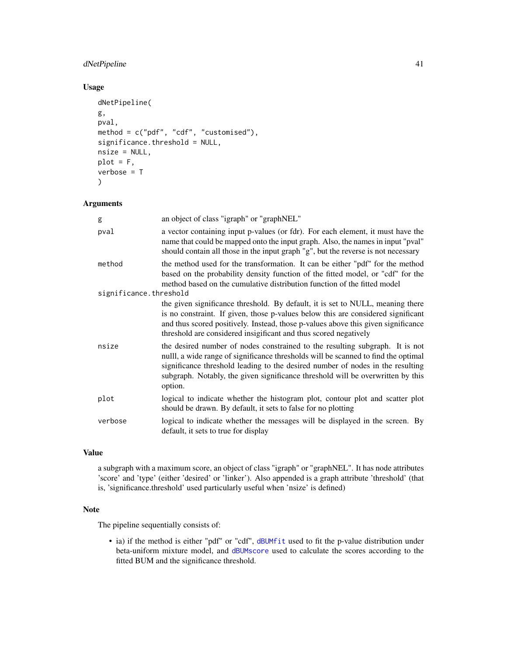# dNetPipeline 41

# Usage

```
dNetPipeline(
g,
pval,
method = c("pdf", "cdf", "customised"),
significance.threshold = NULL,
nsize = NULL,
plot = F,
verbose = T
\mathcal{L}
```
## Arguments

| g                                | an object of class "igraph" or "graphNEL"                                                                                                                                                                                                                                                                                                          |
|----------------------------------|----------------------------------------------------------------------------------------------------------------------------------------------------------------------------------------------------------------------------------------------------------------------------------------------------------------------------------------------------|
| pval                             | a vector containing input p-values (or fdr). For each element, it must have the<br>name that could be mapped onto the input graph. Also, the names in input "pval"<br>should contain all those in the input graph "g", but the reverse is not necessary                                                                                            |
| method<br>significance.threshold | the method used for the transformation. It can be either "pdf" for the method<br>based on the probability density function of the fitted model, or "cdf" for the<br>method based on the cumulative distribution function of the fitted model                                                                                                       |
|                                  | the given significance threshold. By default, it is set to NULL, meaning there<br>is no constraint. If given, those p-values below this are considered significant<br>and thus scored positively. Instead, those p-values above this given significance<br>threshold are considered insigificant and thus scored negatively                        |
| nsize                            | the desired number of nodes constrained to the resulting subgraph. It is not<br>nulll, a wide range of significance thresholds will be scanned to find the optimal<br>significance threshold leading to the desired number of nodes in the resulting<br>subgraph. Notably, the given significance threshold will be overwritten by this<br>option. |
| plot                             | logical to indicate whether the histogram plot, contour plot and scatter plot<br>should be drawn. By default, it sets to false for no plotting                                                                                                                                                                                                     |
| verbose                          | logical to indicate whether the messages will be displayed in the screen. By<br>default, it sets to true for display                                                                                                                                                                                                                               |
|                                  |                                                                                                                                                                                                                                                                                                                                                    |

# Value

a subgraph with a maximum score, an object of class "igraph" or "graphNEL". It has node attributes 'score' and 'type' (either 'desired' or 'linker'). Also appended is a graph attribute 'threshold' (that is, 'significance.threshold' used particularly useful when 'nsize' is defined)

# Note

The pipeline sequentially consists of:

• ia) if the method is either "pdf" or "cdf", [dBUMfit](#page-2-0) used to fit the p-value distribution under beta-uniform mixture model, and [dBUMscore](#page-3-0) used to calculate the scores according to the fitted BUM and the significance threshold.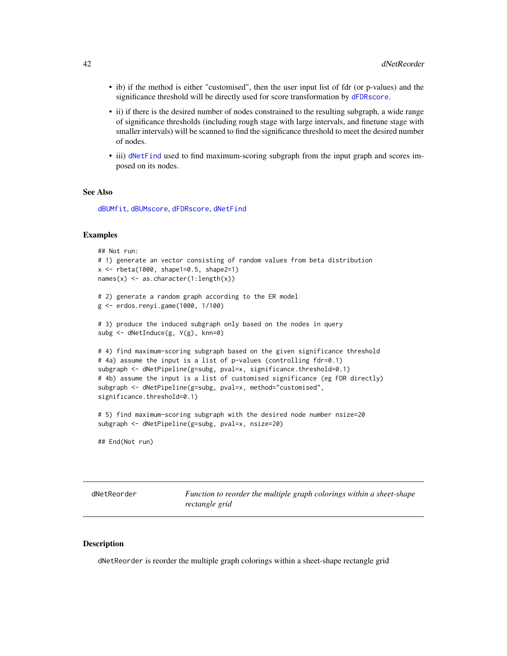- ib) if the method is either "customised", then the user input list of fdr (or p-values) and the significance threshold will be directly used for score transformation by [dFDRscore](#page-26-0).
- ii) if there is the desired number of nodes constrained to the resulting subgraph, a wide range of significance thresholds (including rough stage with large intervals, and finetune stage with smaller intervals) will be scanned to find the significance threshold to meet the desired number of nodes.
- iii) [dNetFind](#page-36-0) used to find maximum-scoring subgraph from the input graph and scores imposed on its nodes.

#### See Also

[dBUMfit](#page-2-0), [dBUMscore](#page-3-0), [dFDRscore](#page-26-0), [dNetFind](#page-36-0)

### Examples

```
## Not run:
# 1) generate an vector consisting of random values from beta distribution
x <- rbeta(1000, shape1=0.5, shape2=1)
names(x) <- as.character(1:length(x))
# 2) generate a random graph according to the ER model
g <- erdos.renyi.game(1000, 1/100)
# 3) produce the induced subgraph only based on the nodes in query
subg <- dNetInduce(g, V(g), knn=0)
# 4) find maximum-scoring subgraph based on the given significance threshold
# 4a) assume the input is a list of p-values (controlling fdr=0.1)
subgraph <- dNetPipeline(g=subg, pval=x, significance.threshold=0.1)
# 4b) assume the input is a list of customised significance (eg FDR directly)
subgraph <- dNetPipeline(g=subg, pval=x, method="customised",
significance.threshold=0.1)
# 5) find maximum-scoring subgraph with the desired node number nsize=20
```
## End(Not run)

subgraph <- dNetPipeline(g=subg, pval=x, nsize=20)

dNetReorder *Function to reorder the multiple graph colorings within a sheet-shape rectangle grid*

#### **Description**

dNetReorder is reorder the multiple graph colorings within a sheet-shape rectangle grid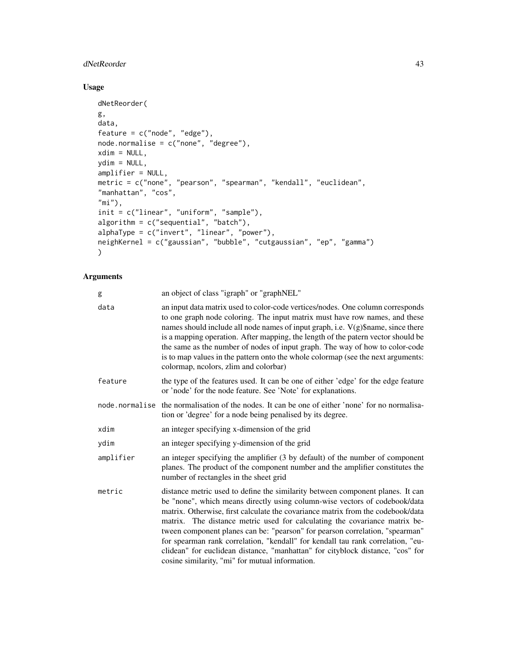# dNetReorder 43

# Usage

```
dNetReorder(
g,
data,
feature = c("node", "edge"),
node.normalise = c("none", "degree"),
xdim = NULL,ydim = NULL,
amplifier = NULL,
metric = c("none", "pearson", "spearman", "kendall", "euclidean",
"manhattan", "cos",
"mi"),
init = c("linear", "uniform", "sample"),
algorithm = c("sequential", "batch"),
alphaType = c("invert", "linear", "power"),
neighKernel = c("gaussian", "bubble", "cutgaussian", "ep", "gamma")
\mathcal{L}
```

| g         | an object of class "igraph" or "graphNEL"                                                                                                                                                                                                                                                                                                                                                                                                                                                                                                                                                                                             |
|-----------|---------------------------------------------------------------------------------------------------------------------------------------------------------------------------------------------------------------------------------------------------------------------------------------------------------------------------------------------------------------------------------------------------------------------------------------------------------------------------------------------------------------------------------------------------------------------------------------------------------------------------------------|
| data      | an input data matrix used to color-code vertices/nodes. One column corresponds<br>to one graph node coloring. The input matrix must have row names, and these<br>names should include all node names of input graph, i.e. $V(g)$ \$name, since there<br>is a mapping operation. After mapping, the length of the patern vector should be<br>the same as the number of nodes of input graph. The way of how to color-code<br>is to map values in the pattern onto the whole colormap (see the next arguments:<br>colormap, neolors, zlim and colorbar)                                                                                 |
| feature   | the type of the features used. It can be one of either 'edge' for the edge feature<br>or 'node' for the node feature. See 'Note' for explanations.                                                                                                                                                                                                                                                                                                                                                                                                                                                                                    |
|           | node normalise the normalisation of the nodes. It can be one of either 'none' for no normalisa-<br>tion or 'degree' for a node being penalised by its degree.                                                                                                                                                                                                                                                                                                                                                                                                                                                                         |
| xdim      | an integer specifying x-dimension of the grid                                                                                                                                                                                                                                                                                                                                                                                                                                                                                                                                                                                         |
| ydim      | an integer specifying y-dimension of the grid                                                                                                                                                                                                                                                                                                                                                                                                                                                                                                                                                                                         |
| amplifier | an integer specifying the amplifier (3 by default) of the number of component<br>planes. The product of the component number and the amplifier constitutes the<br>number of rectangles in the sheet grid                                                                                                                                                                                                                                                                                                                                                                                                                              |
| metric    | distance metric used to define the similarity between component planes. It can<br>be "none", which means directly using column-wise vectors of codebook/data<br>matrix. Otherwise, first calculate the covariance matrix from the codebook/data<br>matrix. The distance metric used for calculating the covariance matrix be-<br>tween component planes can be: "pearson" for pearson correlation, "spearman"<br>for spearman rank correlation, "kendall" for kendall tau rank correlation, "eu-<br>clidean" for euclidean distance, "manhattan" for cityblock distance, "cos" for<br>cosine similarity, "mi" for mutual information. |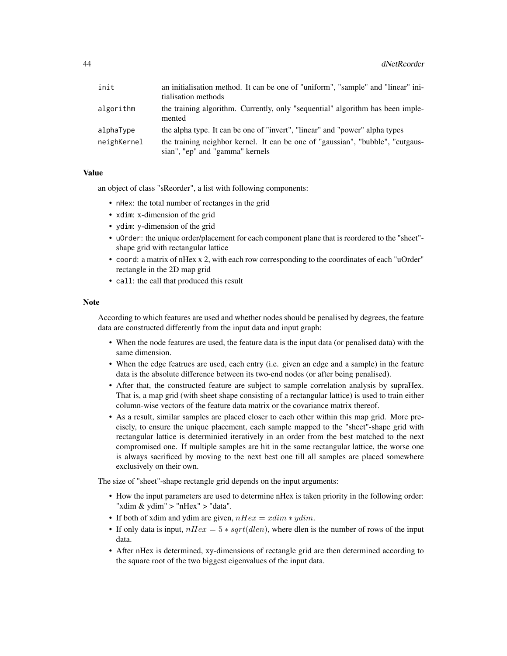| init        | an initialisation method. It can be one of "uniform", "sample" and "linear" ini-<br>tialisation methods           |
|-------------|-------------------------------------------------------------------------------------------------------------------|
| algorithm   | the training algorithm. Currently, only "sequential" algorithm has been imple-<br>mented                          |
| alphaType   | the alpha type. It can be one of "invert", "linear" and "power" alpha types                                       |
| neighKernel | the training neighbor kernel. It can be one of "gaussian", "bubble", "cutgaus-<br>sian", "ep" and "gamma" kernels |

an object of class "sReorder", a list with following components:

- nHex: the total number of rectanges in the grid
- xdim: x-dimension of the grid
- ydim: y-dimension of the grid
- uOrder: the unique order/placement for each component plane that is reordered to the "sheet" shape grid with rectangular lattice
- coord: a matrix of nHex x 2, with each row corresponding to the coordinates of each "uOrder" rectangle in the 2D map grid
- call: the call that produced this result

### **Note**

According to which features are used and whether nodes should be penalised by degrees, the feature data are constructed differently from the input data and input graph:

- When the node features are used, the feature data is the input data (or penalised data) with the same dimension.
- When the edge featrues are used, each entry (i.e. given an edge and a sample) in the feature data is the absolute difference between its two-end nodes (or after being penalised).
- After that, the constructed feature are subject to sample correlation analysis by supraHex. That is, a map grid (with sheet shape consisting of a rectangular lattice) is used to train either column-wise vectors of the feature data matrix or the covariance matrix thereof.
- As a result, similar samples are placed closer to each other within this map grid. More precisely, to ensure the unique placement, each sample mapped to the "sheet"-shape grid with rectangular lattice is determinied iteratively in an order from the best matched to the next compromised one. If multiple samples are hit in the same rectangular lattice, the worse one is always sacrificed by moving to the next best one till all samples are placed somewhere exclusively on their own.

The size of "sheet"-shape rectangle grid depends on the input arguments:

- How the input parameters are used to determine nHex is taken priority in the following order: "xdim & ydim" > "nHex" > "data".
- If both of xdim and ydim are given,  $nHex = xdim * ydim$ .
- If only data is input,  $nHex = 5 * sqrt(dlen)$ , where dlen is the number of rows of the input data.
- After nHex is determined, xy-dimensions of rectangle grid are then determined according to the square root of the two biggest eigenvalues of the input data.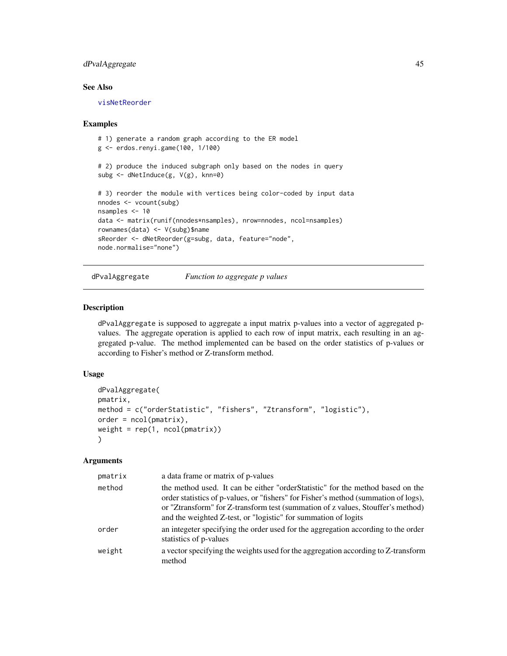# dPvalAggregate 45

# See Also

[visNetReorder](#page-81-0)

### Examples

```
# 1) generate a random graph according to the ER model
g <- erdos.renyi.game(100, 1/100)
# 2) produce the induced subgraph only based on the nodes in query
subg <- dNetInduce(g, V(g), knn=0)
# 3) reorder the module with vertices being color-coded by input data
nnodes <- vcount(subg)
nsamples <- 10
data <- matrix(runif(nnodes*nsamples), nrow=nnodes, ncol=nsamples)
rownames(data) <- V(subg)$name
sReorder <- dNetReorder(g=subg, data, feature="node",
node.normalise="none")
```
<span id="page-44-0"></span>dPvalAggregate *Function to aggregate p values*

### Description

dPvalAggregate is supposed to aggregate a input matrix p-values into a vector of aggregated pvalues. The aggregate operation is applied to each row of input matrix, each resulting in an aggregated p-value. The method implemented can be based on the order statistics of p-values or according to Fisher's method or Z-transform method.

# Usage

```
dPvalAggregate(
pmatrix,
method = c("orderStatistic", "fishers", "Ztransform", "logistic"),
order = ncol(pmatrix),
weight = rep(1, ncol(pmatrix)))
```

| pmatrix | a data frame or matrix of p-values                                                                                                                                                                                                                                                                                          |
|---------|-----------------------------------------------------------------------------------------------------------------------------------------------------------------------------------------------------------------------------------------------------------------------------------------------------------------------------|
| method  | the method used. It can be either "order Statistic" for the method based on the<br>order statistics of p-values, or "fishers" for Fisher's method (summation of logs),<br>or "Ztransform" for Z-transform test (summation of z values, Stouffer's method)<br>and the weighted Z-test, or "logistic" for summation of logits |
| order   | an integeter specifying the order used for the aggregation according to the order<br>statistics of p-values                                                                                                                                                                                                                 |
| weight  | a vector specifying the weights used for the aggregation according to Z-transform<br>method                                                                                                                                                                                                                                 |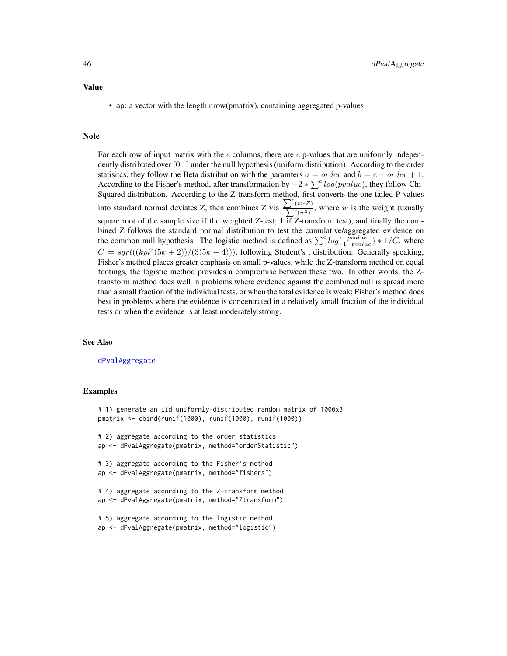• ap: a vector with the length nrow(pmatrix), containing aggregated p-values

## Note

For each row of input matrix with the  $c$  columns, there are  $c$  p-values that are uniformly independently distributed over [0,1] under the null hypothesis (uniform distribution). According to the order statisitcs, they follow the Beta distribution with the paramters  $a = order$  and  $b = c - order + 1$ . According to the Fisher's method, after transformation by  $-2 * \sum^c log(pvalue)$ , they follow Chi-Squared distribution. According to the Z-transform method, first converts the one-tailed P-values into standard normal deviates Z, then combines Z via  $\sum_{n=1}^{\infty}$  $\sum$  $\frac{(w*Z)}{c(w^2)}$ , where w is the weight (usually square root of the sample size if the weighted Z-test; 1  $\overline{if}$  Z-transform test), and finally the combined Z follows the standard normal distribution to test the cumulative/aggregated evidence on the common null hypothesis. The logistic method is defined as  $\sum^{c} log(\frac{pvalue}{1-pvalue}) * 1/C$ , where  $C = sqrt((kpi^2(5k+2))/(3(5k+4)))$ , following Student's t distribution. Generally speaking, Fisher's method places greater emphasis on small p-values, while the Z-transform method on equal footings, the logistic method provides a compromise between these two. In other words, the Ztransform method does well in problems where evidence against the combined null is spread more than a small fraction of the individual tests, or when the total evidence is weak; Fisher's method does best in problems where the evidence is concentrated in a relatively small fraction of the individual tests or when the evidence is at least moderately strong.

### See Also

[dPvalAggregate](#page-44-0)

#### Examples

```
# 1) generate an iid uniformly-distributed random matrix of 1000x3
pmatrix <- cbind(runif(1000), runif(1000), runif(1000))
# 2) aggregate according to the order statistics
ap <- dPvalAggregate(pmatrix, method="orderStatistic")
# 3) aggregate according to the Fisher's method
ap <- dPvalAggregate(pmatrix, method="fishers")
# 4) aggregate according to the Z-transform method
ap <- dPvalAggregate(pmatrix, method="Ztransform")
# 5) aggregate according to the logistic method
ap <- dPvalAggregate(pmatrix, method="logistic")
```
# Value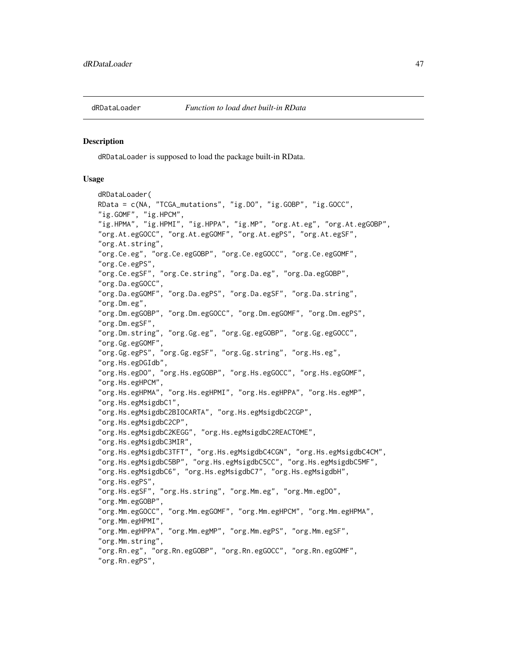<span id="page-46-0"></span>

### Description

dRDataLoader is supposed to load the package built-in RData.

#### Usage

```
dRDataLoader(
RData = c(NA, "TCGA_mutations", "ig.DO", "ig.GOBP", "ig.GOCC",
"ig.GOMF", "ig.HPCM",
"ig.HPMA", "ig.HPMI", "ig.HPPA", "ig.MP", "org.At.eg", "org.At.egGOBP",
"org.At.egGOCC", "org.At.egGOMF", "org.At.egPS", "org.At.egSF",
"org.At.string",
"org.Ce.eg", "org.Ce.egGOBP", "org.Ce.egGOCC", "org.Ce.egGOMF",
"org.Ce.egPS",
"org.Ce.egSF", "org.Ce.string", "org.Da.eg", "org.Da.egGOBP",
"org.Da.egGOCC",
"org.Da.egGOMF", "org.Da.egPS", "org.Da.egSF", "org.Da.string",
"org.Dm.eg",
"org.Dm.egGOBP", "org.Dm.egGOCC", "org.Dm.egGOMF", "org.Dm.egPS",
"org.Dm.egSF",
"org.Dm.string", "org.Gg.eg", "org.Gg.egGOBP", "org.Gg.egGOCC",
"org.Gg.egGOMF",
"org.Gg.egPS", "org.Gg.egSF", "org.Gg.string", "org.Hs.eg",
"org.Hs.egDGIdb",
"org.Hs.egDO", "org.Hs.egGOBP", "org.Hs.egGOCC", "org.Hs.egGOMF",
"org.Hs.egHPCM",
"org.Hs.egHPMA", "org.Hs.egHPMI", "org.Hs.egHPPA", "org.Hs.egMP",
"org.Hs.egMsigdbC1",
"org.Hs.egMsigdbC2BIOCARTA", "org.Hs.egMsigdbC2CGP",
"org.Hs.egMsigdbC2CP",
"org.Hs.egMsigdbC2KEGG", "org.Hs.egMsigdbC2REACTOME",
"org.Hs.egMsigdbC3MIR",
"org.Hs.egMsigdbC3TFT", "org.Hs.egMsigdbC4CGN", "org.Hs.egMsigdbC4CM",
"org.Hs.egMsigdbC5BP", "org.Hs.egMsigdbC5CC", "org.Hs.egMsigdbC5MF",
"org.Hs.egMsigdbC6", "org.Hs.egMsigdbC7", "org.Hs.egMsigdbH",
"org.Hs.egPS",
"org.Hs.egSF", "org.Hs.string", "org.Mm.eg", "org.Mm.egDO",
"org.Mm.egGOBP",
"org.Mm.egGOCC", "org.Mm.egGOMF", "org.Mm.egHPCM", "org.Mm.egHPMA",
"org.Mm.egHPMI",
"org.Mm.egHPPA", "org.Mm.egMP", "org.Mm.egPS", "org.Mm.egSF",
"org.Mm.string",
"org.Rn.eg", "org.Rn.egGOBP", "org.Rn.egGOCC", "org.Rn.egGOMF",
"org.Rn.egPS",
```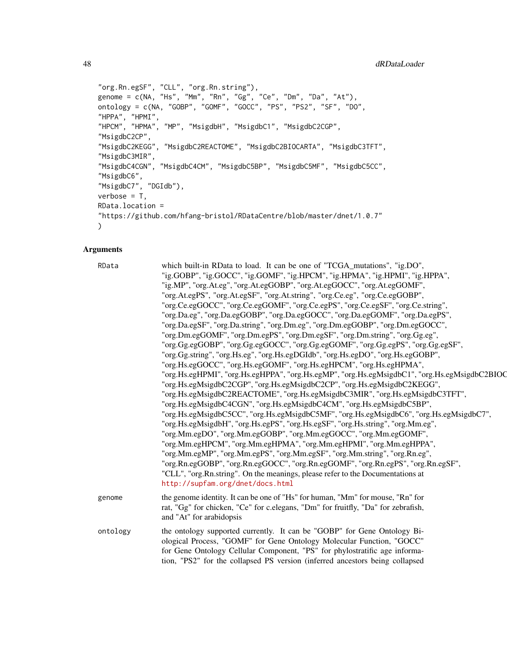```
"org.Rn.egSF", "CLL", "org.Rn.string"),
genome = c(NA, "Hs", "Mm", "Rn", "Gg", "Ce", "Dm", "Da", "At"),
ontology = c(NA, "GOBP", "GOMF", "GOCC", "PS", "PS2", "SF", "DO",
"HPPA", "HPMI",
"HPCM", "HPMA", "MP", "MsigdbH", "MsigdbC1", "MsigdbC2CGP",
"MsigdbC2CP",
"MsigdbC2KEGG", "MsigdbC2REACTOME", "MsigdbC2BIOCARTA", "MsigdbC3TFT",
"MsigdbC3MIR",
"MsigdbC4CGN", "MsigdbC4CM", "MsigdbC5BP", "MsigdbC5MF", "MsigdbC5CC",
"MsigdbC6",
"MsigdbC7", "DGIdb"),
verbose = T,
RData.location =
"https://github.com/hfang-bristol/RDataCentre/blob/master/dnet/1.0.7"
)
```

| <b>Arguments</b> |                                                                                                                                                                                                                                                                                                                                                                                                                                                                                                                                                                                                                                                                                                                                                                                                                                                                                                                                                                                                                                                                                                                                                                                                                                                                                                                                                                                                                                                                                                                                                                                                                                                                                                                                                                                                                                                                   |
|------------------|-------------------------------------------------------------------------------------------------------------------------------------------------------------------------------------------------------------------------------------------------------------------------------------------------------------------------------------------------------------------------------------------------------------------------------------------------------------------------------------------------------------------------------------------------------------------------------------------------------------------------------------------------------------------------------------------------------------------------------------------------------------------------------------------------------------------------------------------------------------------------------------------------------------------------------------------------------------------------------------------------------------------------------------------------------------------------------------------------------------------------------------------------------------------------------------------------------------------------------------------------------------------------------------------------------------------------------------------------------------------------------------------------------------------------------------------------------------------------------------------------------------------------------------------------------------------------------------------------------------------------------------------------------------------------------------------------------------------------------------------------------------------------------------------------------------------------------------------------------------------|
| RData            | which built-in RData to load. It can be one of "TCGA_mutations", "ig.DO",<br>"ig.GOBP", "ig.GOCC", "ig.GOMF", "ig.HPCM", "ig.HPMA", "ig.HPMI", "ig.HPPA",<br>"ig.MP", "org.At.eg", "org.At.egGOBP", "org.At.egGOCC", "org.At.egGOMF",<br>"org.At.egPS", "org.At.egSF", "org.At.string", "org.Ce.eg", "org.Ce.egGOBP",<br>"org.Ce.egGOCC", "org.Ce.egGOMF", "org.Ce.egPS", "org.Ce.egSF", "org.Ce.string",<br>"org.Da.eg", "org.Da.egGOBP", "org.Da.egGOCC", "org.Da.egGOMF", "org.Da.egPS",<br>"org.Da.egSF", "org.Da.string", "org.Dm.eg", "org.Dm.egGOBP", "org.Dm.egGOCC",<br>"org.Dm.egGOMF", "org.Dm.egPS", "org.Dm.egSF", "org.Dm.string", "org.Gg.eg",<br>"org.Gg.egGOBP", "org.Gg.egGOCC", "org.Gg.egGOMF", "org.Gg.egPS", "org.Gg.egSF",<br>"org.Gg.string", "org.Hs.eg", "org.Hs.egDGIdb", "org.Hs.egDO", "org.Hs.egGOBP",<br>"org.Hs.egGOCC", "org.Hs.egGOMF", "org.Hs.egHPCM", "org.Hs.egHPMA",<br>"org.Hs.egHPMI", "org.Hs.egHPPA", "org.Hs.egMP", "org.Hs.egMsigdbC1", "org.Hs.egMsigdbC2BIOQ<br>"org.Hs.egMsigdbC2CGP", "org.Hs.egMsigdbC2CP", "org.Hs.egMsigdbC2KEGG",<br>"org.Hs.egMsigdbC2REACTOME", "org.Hs.egMsigdbC3MIR", "org.Hs.egMsigdbC3TFT",<br>"org.Hs.egMsigdbC4CGN", "org.Hs.egMsigdbC4CM", "org.Hs.egMsigdbC5BP",<br>"org.Hs.egMsigdbC5CC", "org.Hs.egMsigdbC5MF", "org.Hs.egMsigdbC6", "org.Hs.egMsigdbC7",<br>"org.Hs.egMsigdbH", "org.Hs.egPS", "org.Hs.egSF", "org.Hs.string", "org.Mm.eg",<br>"org.Mm.egDO", "org.Mm.egGOBP", "org.Mm.egGOCC", "org.Mm.egGOMF",<br>"org.Mm.egHPCM", "org.Mm.egHPMA", "org.Mm.egHPMI", "org.Mm.egHPPA",<br>"org.Mm.egMP", "org.Mm.egPS", "org.Mm.egSF", "org.Mm.string", "org.Rn.eg",<br>"org.Rn.egGOBP", "org.Rn.egGOCC", "org.Rn.egGOMF", "org.Rn.egPS", "org.Rn.egSF",<br>"CLL", "org.Rn.string". On the meanings, please refer to the Documentations at<br>http://supfam.org/dnet/docs.html |
| genome           | the genome identity. It can be one of "Hs" for human, "Mm" for mouse, "Rn" for<br>rat, "Gg" for chicken, "Ce" for c.elegans, "Dm" for fruitfly, "Da" for zebrafish,<br>and "At" for arabidopsis                                                                                                                                                                                                                                                                                                                                                                                                                                                                                                                                                                                                                                                                                                                                                                                                                                                                                                                                                                                                                                                                                                                                                                                                                                                                                                                                                                                                                                                                                                                                                                                                                                                                   |
| ontology         | the ontology supported currently. It can be "GOBP" for Gene Ontology Bi-<br>ological Process, "GOMF" for Gene Ontology Molecular Function, "GOCC"<br>for Gene Ontology Cellular Component, "PS" for phylostratific age informa-<br>tion, "PS2" for the collapsed PS version (inferred ancestors being collapsed                                                                                                                                                                                                                                                                                                                                                                                                                                                                                                                                                                                                                                                                                                                                                                                                                                                                                                                                                                                                                                                                                                                                                                                                                                                                                                                                                                                                                                                                                                                                                   |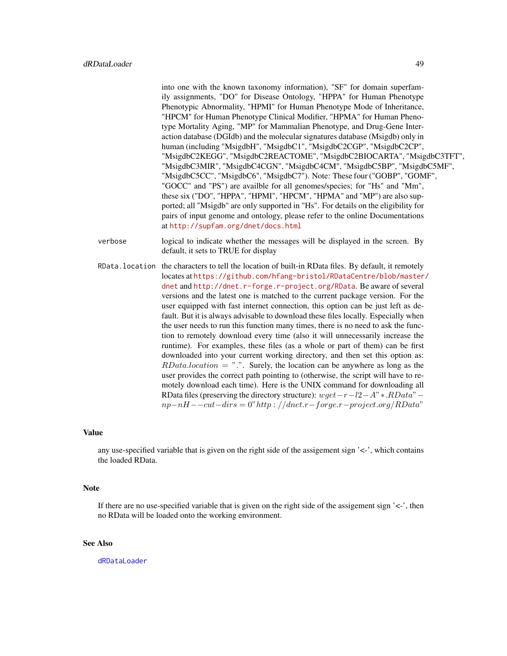into one with the known taxonomy information), "SF" for domain superfamily assignments, "DO" for Disease Ontology, "HPPA" for Human Phenotype Phenotypic Abnormality, "HPMI" for Human Phenotype Mode of Inheritance, "HPCM" for Human Phenotype Clinical Modifier, "HPMA" for Human Phenotype Mortality Aging, "MP" for Mammalian Phenotype, and Drug-Gene Interaction database (DGIdb) and the molecular signatures database (Msigdb) only in human (including "MsigdbH", "MsigdbC1", "MsigdbC2CGP", "MsigdbC2CP", "MsigdbC2KEGG", "MsigdbC2REACTOME", "MsigdbC2BIOCARTA", "MsigdbC3TFT", "MsigdbC3MIR", "MsigdbC4CGN", "MsigdbC4CM", "MsigdbC5BP", "MsigdbC5MF", "MsigdbC5CC", "MsigdbC6", "MsigdbC7"). Note: These four ("GOBP", "GOMF", "GOCC" and "PS") are availble for all genomes/species; for "Hs" and "Mm", these six ("DO", "HPPA", "HPMI", "HPCM", "HPMA" and "MP") are also supported; all "Msigdb" are only supported in "Hs". For details on the eligibility for pairs of input genome and ontology, please refer to the online Documentations at <http://supfam.org/dnet/docs.html>

- verbose logical to indicate whether the messages will be displayed in the screen. By default, it sets to TRUE for display
- RData.location the characters to tell the location of built-in RData files. By default, it remotely locates at [https://github.com/hfang-bristol/RDataCentre/blob/master](https://github.com/hfang-bristol/RDataCentre/blob/master/dnet)/ [dnet](https://github.com/hfang-bristol/RDataCentre/blob/master/dnet) and <http://dnet.r-forge.r-project.org/RData>. Be aware of several versions and the latest one is matched to the current package version. For the user equipped with fast internet connection, this option can be just left as default. But it is always advisable to download these files locally. Especially when the user needs to run this function many times, there is no need to ask the function to remotely download every time (also it will unnecessarily increase the runtime). For examples, these files (as a whole or part of them) can be first downloaded into your current working directory, and then set this option as:  $RData. location = "."$  Surely, the location can be anywhere as long as the user provides the correct path pointing to (otherwise, the script will have to remotely download each time). Here is the UNIX command for downloading all RData files (preserving the directory structure):  $wqet-r-l2-A" * .RData" –$  $np-nH--cut-dirs = 0" http://dnet.r-forge.r-project.org/RData"$

### Value

any use-specified variable that is given on the right side of the assigement sign '<-', which contains the loaded RData.

#### **Note**

If there are no use-specified variable that is given on the right side of the assigement sign  $\leq$ -', then no RData will be loaded onto the working environment.

### See Also

[dRDataLoader](#page-46-0)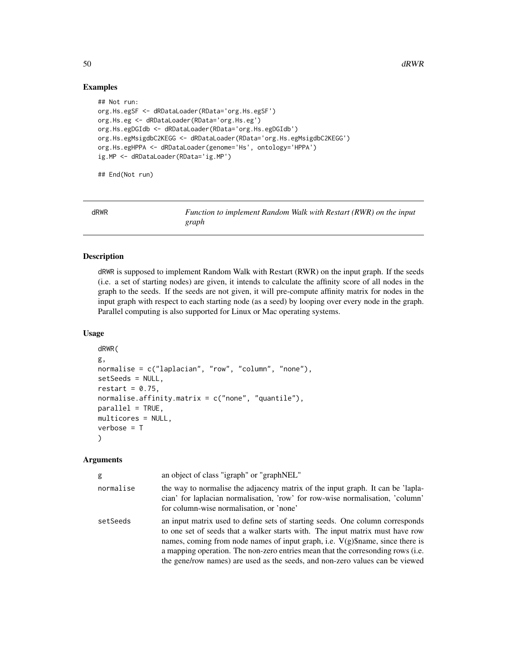# Examples

```
## Not run:
org.Hs.egSF <- dRDataLoader(RData='org.Hs.egSF')
org.Hs.eg <- dRDataLoader(RData='org.Hs.eg')
org.Hs.egDGIdb <- dRDataLoader(RData='org.Hs.egDGIdb')
org.Hs.egMsigdbC2KEGG <- dRDataLoader(RData='org.Hs.egMsigdbC2KEGG')
org.Hs.egHPPA <- dRDataLoader(genome='Hs', ontology='HPPA')
ig.MP <- dRDataLoader(RData='ig.MP')
```
## End(Not run)

<span id="page-49-0"></span>

| dRWR |       | Function to implement Random Walk with Restart (RWR) on the input |
|------|-------|-------------------------------------------------------------------|
|      | graph |                                                                   |

# Description

dRWR is supposed to implement Random Walk with Restart (RWR) on the input graph. If the seeds (i.e. a set of starting nodes) are given, it intends to calculate the affinity score of all nodes in the graph to the seeds. If the seeds are not given, it will pre-compute affinity matrix for nodes in the input graph with respect to each starting node (as a seed) by looping over every node in the graph. Parallel computing is also supported for Linux or Mac operating systems.

### Usage

```
dRWR(
g,
normalise = c("laplacian", "row", "column", "none"),
setSeeds = NULL,
restart = 0.75,
normalise.affinity.matrix = c("none", "quantile"),
parallel = TRUE,
multicores = NULL,
verbose = T
)
```

| g         | an object of class "igraph" or "graphNEL"                                                                                                                                                                                                                                                                                                                                                                            |
|-----------|----------------------------------------------------------------------------------------------------------------------------------------------------------------------------------------------------------------------------------------------------------------------------------------------------------------------------------------------------------------------------------------------------------------------|
| normalise | the way to normalise the adjacency matrix of the input graph. It can be 'lapla-<br>cian' for laplacian normalisation, 'row' for row-wise normalisation, 'column'<br>for column-wise normalisation, or 'none'                                                                                                                                                                                                         |
| setSeeds  | an input matrix used to define sets of starting seeds. One column corresponds<br>to one set of seeds that a walker starts with. The input matrix must have row<br>names, coming from node names of input graph, i.e. $V(g)\$ mame, since there is<br>a mapping operation. The non-zero entries mean that the corresonding rows (i.e.<br>the gene/row names) are used as the seeds, and non-zero values can be viewed |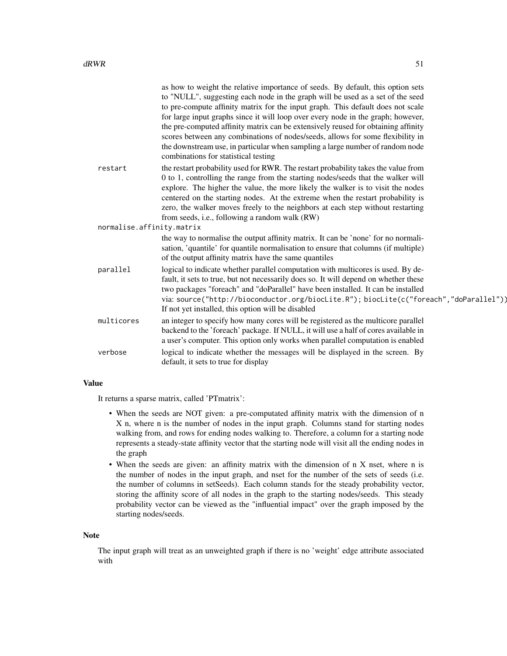|                           | as how to weight the relative importance of seeds. By default, this option sets<br>to "NULL", suggesting each node in the graph will be used as a set of the seed<br>to pre-compute affinity matrix for the input graph. This default does not scale<br>for large input graphs since it will loop over every node in the graph; however,<br>the pre-computed affinity matrix can be extensively reused for obtaining affinity<br>scores between any combinations of nodes/seeds, allows for some flexibility in<br>the downstream use, in particular when sampling a large number of random node<br>combinations for statistical testing |
|---------------------------|------------------------------------------------------------------------------------------------------------------------------------------------------------------------------------------------------------------------------------------------------------------------------------------------------------------------------------------------------------------------------------------------------------------------------------------------------------------------------------------------------------------------------------------------------------------------------------------------------------------------------------------|
| restart                   | the restart probability used for RWR. The restart probability takes the value from<br>0 to 1, controlling the range from the starting nodes/seeds that the walker will<br>explore. The higher the value, the more likely the walker is to visit the nodes<br>centered on the starting nodes. At the extreme when the restart probability is<br>zero, the walker moves freely to the neighbors at each step without restarting<br>from seeds, i.e., following a random walk (RW)                                                                                                                                                          |
| normalise.affinity.matrix |                                                                                                                                                                                                                                                                                                                                                                                                                                                                                                                                                                                                                                          |
|                           | the way to normalise the output affinity matrix. It can be 'none' for no normali-<br>sation, 'quantile' for quantile normalisation to ensure that columns (if multiple)<br>of the output affinity matrix have the same quantiles                                                                                                                                                                                                                                                                                                                                                                                                         |
| parallel                  | logical to indicate whether parallel computation with multicores is used. By de-<br>fault, it sets to true, but not necessarily does so. It will depend on whether these<br>two packages "foreach" and "doParallel" have been installed. It can be installed<br>via: source("http://bioconductor.org/biocLite.R"); biocLite(c("foreach","doParallel"))<br>If not yet installed, this option will be disabled                                                                                                                                                                                                                             |
| multicores                | an integer to specify how many cores will be registered as the multicore parallel<br>backend to the 'foreach' package. If NULL, it will use a half of cores available in<br>a user's computer. This option only works when parallel computation is enabled                                                                                                                                                                                                                                                                                                                                                                               |
| verbose                   | logical to indicate whether the messages will be displayed in the screen. By<br>default, it sets to true for display                                                                                                                                                                                                                                                                                                                                                                                                                                                                                                                     |

It returns a sparse matrix, called 'PTmatrix':

- When the seeds are NOT given: a pre-computated affinity matrix with the dimension of n X n, where n is the number of nodes in the input graph. Columns stand for starting nodes walking from, and rows for ending nodes walking to. Therefore, a column for a starting node represents a steady-state affinity vector that the starting node will visit all the ending nodes in the graph
- When the seeds are given: an affinity matrix with the dimension of n X nset, where n is the number of nodes in the input graph, and nset for the number of the sets of seeds (i.e. the number of columns in setSeeds). Each column stands for the steady probability vector, storing the affinity score of all nodes in the graph to the starting nodes/seeds. This steady probability vector can be viewed as the "influential impact" over the graph imposed by the starting nodes/seeds.

### Note

The input graph will treat as an unweighted graph if there is no 'weight' edge attribute associated with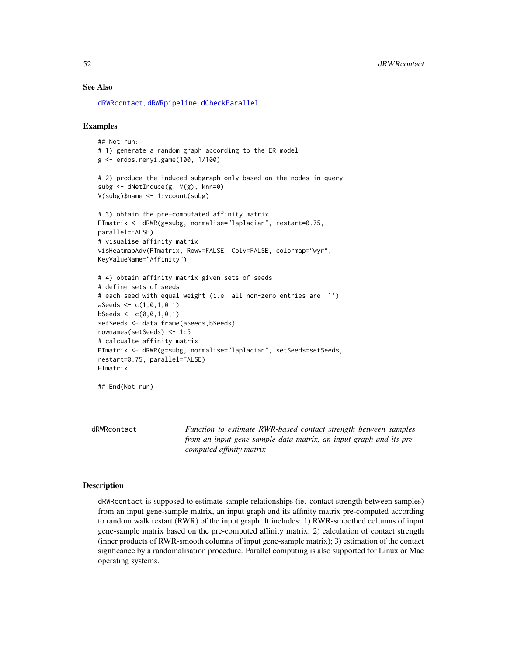## See Also

[dRWRcontact](#page-51-0), [dRWRpipeline](#page-54-0), [dCheckParallel](#page-5-0)

#### Examples

```
## Not run:
# 1) generate a random graph according to the ER model
g <- erdos.renyi.game(100, 1/100)
# 2) produce the induced subgraph only based on the nodes in query
subg <- dNetInduce(g, V(g), knn=0)
V(subg)$name <- 1:vcount(subg)
# 3) obtain the pre-computated affinity matrix
PTmatrix <- dRWR(g=subg, normalise="laplacian", restart=0.75,
parallel=FALSE)
# visualise affinity matrix
visHeatmapAdv(PTmatrix, Rowv=FALSE, Colv=FALSE, colormap="wyr",
KeyValueName="Affinity")
# 4) obtain affinity matrix given sets of seeds
# define sets of seeds
# each seed with equal weight (i.e. all non-zero entries are '1')
aSeeds \leq c(1, 0, 1, 0, 1)bSeeds <- c(0,0,1,0,1)
setSeeds <- data.frame(aSeeds,bSeeds)
rownames(setSeeds) <- 1:5
# calcualte affinity matrix
PTmatrix <- dRWR(g=subg, normalise="laplacian", setSeeds=setSeeds,
restart=0.75, parallel=FALSE)
PTmatrix
## End(Not run)
```
<span id="page-51-0"></span>

dRWRcontact *Function to estimate RWR-based contact strength between samples from an input gene-sample data matrix, an input graph and its precomputed affinity matrix*

# Description

dRWRcontact is supposed to estimate sample relationships (ie. contact strength between samples) from an input gene-sample matrix, an input graph and its affinity matrix pre-computed according to random walk restart (RWR) of the input graph. It includes: 1) RWR-smoothed columns of input gene-sample matrix based on the pre-computed affinity matrix; 2) calculation of contact strength (inner products of RWR-smooth columns of input gene-sample matrix); 3) estimation of the contact signficance by a randomalisation procedure. Parallel computing is also supported for Linux or Mac operating systems.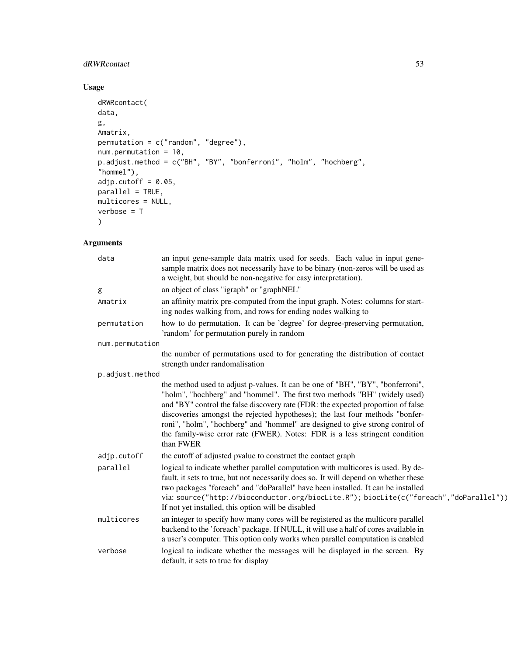# dRWRcontact 53

# Usage

```
dRWRcontact(
data,
g,
Amatrix,
permutation = c("random", "degree"),
num.permutation = 10,
p.adjust.method = c("BH", "BY", "bonferroni", "holm", "hochberg",
"hommel"),
adjp.cutoff = 0.05,
parallel = TRUE,
multicores = NULL,
verbose = T
\mathcal{L}
```

| data            | an input gene-sample data matrix used for seeds. Each value in input gene-<br>sample matrix does not necessarily have to be binary (non-zeros will be used as<br>a weight, but should be non-negative for easy interpretation).                                                                                                                                                                                                                                                                              |
|-----------------|--------------------------------------------------------------------------------------------------------------------------------------------------------------------------------------------------------------------------------------------------------------------------------------------------------------------------------------------------------------------------------------------------------------------------------------------------------------------------------------------------------------|
| g               | an object of class "igraph" or "graphNEL"                                                                                                                                                                                                                                                                                                                                                                                                                                                                    |
| Amatrix         | an affinity matrix pre-computed from the input graph. Notes: columns for start-<br>ing nodes walking from, and rows for ending nodes walking to                                                                                                                                                                                                                                                                                                                                                              |
| permutation     | how to do permutation. It can be 'degree' for degree-preserving permutation,<br>'random' for permutation purely in random                                                                                                                                                                                                                                                                                                                                                                                    |
| num.permutation |                                                                                                                                                                                                                                                                                                                                                                                                                                                                                                              |
|                 | the number of permutations used to for generating the distribution of contact<br>strength under randomalisation                                                                                                                                                                                                                                                                                                                                                                                              |
| p.adjust.method |                                                                                                                                                                                                                                                                                                                                                                                                                                                                                                              |
|                 | the method used to adjust p-values. It can be one of "BH", "BY", "bonferroni",<br>"holm", "hochberg" and "hommel". The first two methods "BH" (widely used)<br>and "BY" control the false discovery rate (FDR: the expected proportion of false<br>discoveries amongst the rejected hypotheses); the last four methods "bonfer-<br>roni", "holm", "hochberg" and "hommel" are designed to give strong control of<br>the family-wise error rate (FWER). Notes: FDR is a less stringent condition<br>than FWER |
| adjp.cutoff     | the cutoff of adjusted pvalue to construct the contact graph                                                                                                                                                                                                                                                                                                                                                                                                                                                 |
| parallel        | logical to indicate whether parallel computation with multicores is used. By de-<br>fault, it sets to true, but not necessarily does so. It will depend on whether these<br>two packages "foreach" and "doParallel" have been installed. It can be installed<br>via: source("http://bioconductor.org/biocLite.R"); biocLite(c("foreach","doParallel"))<br>If not yet installed, this option will be disabled                                                                                                 |
| multicores      | an integer to specify how many cores will be registered as the multicore parallel<br>backend to the 'foreach' package. If NULL, it will use a half of cores available in<br>a user's computer. This option only works when parallel computation is enabled                                                                                                                                                                                                                                                   |
| verbose         | logical to indicate whether the messages will be displayed in the screen. By<br>default, it sets to true for display                                                                                                                                                                                                                                                                                                                                                                                         |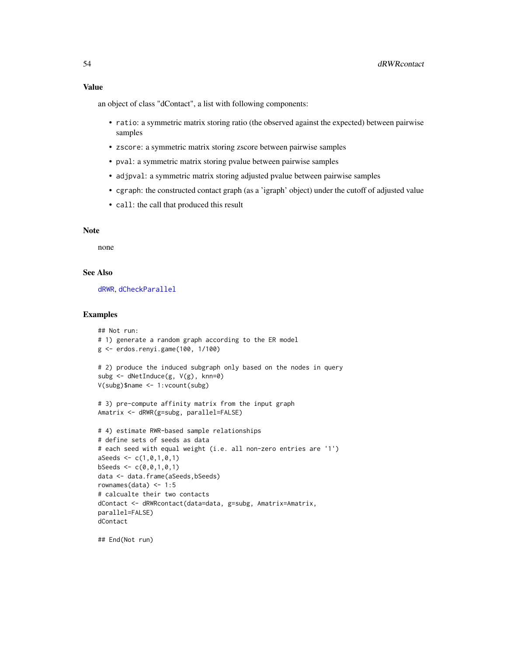an object of class "dContact", a list with following components:

- ratio: a symmetric matrix storing ratio (the observed against the expected) between pairwise samples
- zscore: a symmetric matrix storing zscore between pairwise samples
- pval: a symmetric matrix storing pvalue between pairwise samples
- adjpval: a symmetric matrix storing adjusted pvalue between pairwise samples
- cgraph: the constructed contact graph (as a 'igraph' object) under the cutoff of adjusted value
- call: the call that produced this result

### Note

none

# See Also

[dRWR](#page-49-0), [dCheckParallel](#page-5-0)

### Examples

```
## Not run:
# 1) generate a random graph according to the ER model
g <- erdos.renyi.game(100, 1/100)
# 2) produce the induced subgraph only based on the nodes in query
subg <- dNetInduce(g, V(g), knn=0)
V(subg)$name <- 1:vcount(subg)
# 3) pre-compute affinity matrix from the input graph
Amatrix <- dRWR(g=subg, parallel=FALSE)
# 4) estimate RWR-based sample relationships
# define sets of seeds as data
# each seed with equal weight (i.e. all non-zero entries are '1')
aSeeds \leftarrow c(1, 0, 1, 0, 1)bSeeds \leq c(0,0,1,0,1)data <- data.frame(aSeeds,bSeeds)
rownames(data) <-1:5# calcualte their two contacts
dContact <- dRWRcontact(data=data, g=subg, Amatrix=Amatrix,
parallel=FALSE)
dContact
```
## End(Not run)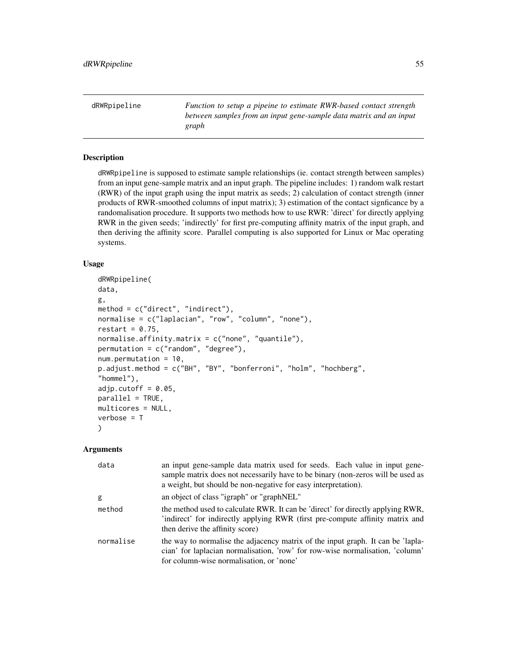<span id="page-54-0"></span>dRWRpipeline *Function to setup a pipeine to estimate RWR-based contact strength between samples from an input gene-sample data matrix and an input graph*

# Description

dRWRpipeline is supposed to estimate sample relationships (ie. contact strength between samples) from an input gene-sample matrix and an input graph. The pipeline includes: 1) random walk restart (RWR) of the input graph using the input matrix as seeds; 2) calculation of contact strength (inner products of RWR-smoothed columns of input matrix); 3) estimation of the contact signficance by a randomalisation procedure. It supports two methods how to use RWR: 'direct' for directly applying RWR in the given seeds; 'indirectly' for first pre-computing affinity matrix of the input graph, and then deriving the affinity score. Parallel computing is also supported for Linux or Mac operating systems.

### Usage

```
dRWRpipeline(
data,
g,
method = c("direct", "indirect"),
normalise = c("laplacian", "row", "column", "none"),
restart = 0.75,
normalise.affinity.matrix = c("none", "quantile"),
permutation = c("random", "degree"),
num.permutation = 10,
p.adjust.method = c("BH", "BY", "bonferroni", "holm", "hochberg",
"hommel"),
adjp.cutoff = 0.05,
parallel = TRUE,
multicores = NULL,
verbose = T
)
```

| data      | an input gene-sample data matrix used for seeds. Each value in input gene-<br>sample matrix does not necessarily have to be binary (non-zeros will be used as<br>a weight, but should be non-negative for easy interpretation). |
|-----------|---------------------------------------------------------------------------------------------------------------------------------------------------------------------------------------------------------------------------------|
| g         | an object of class "igraph" or "graphNEL"                                                                                                                                                                                       |
| method    | the method used to calculate RWR. It can be 'direct' for directly applying RWR,<br>indirect' for indirectly applying RWR (first pre-compute affinity matrix and<br>then derive the affinity score)                              |
| normalise | the way to normalise the adjacency matrix of the input graph. It can be 'lapla-<br>cian' for laplacian normalisation, 'row' for row-wise normalisation, 'column'<br>for column-wise normalisation, or 'none'                    |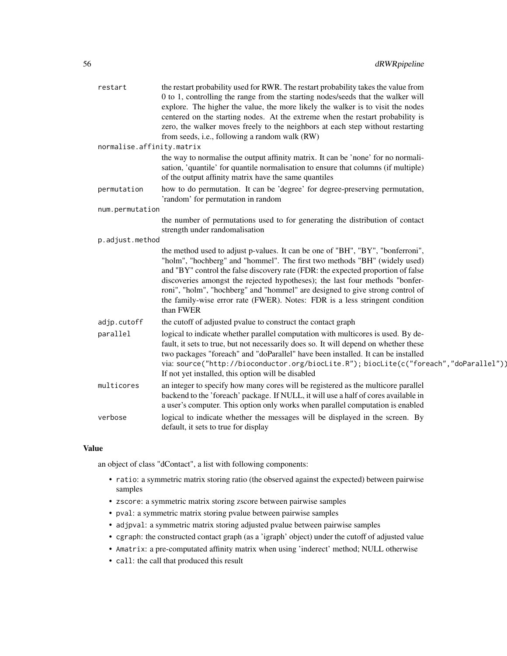| restart                   | the restart probability used for RWR. The restart probability takes the value from<br>0 to 1, controlling the range from the starting nodes/seeds that the walker will<br>explore. The higher the value, the more likely the walker is to visit the nodes<br>centered on the starting nodes. At the extreme when the restart probability is<br>zero, the walker moves freely to the neighbors at each step without restarting<br>from seeds, i.e., following a random walk (RW)                              |
|---------------------------|--------------------------------------------------------------------------------------------------------------------------------------------------------------------------------------------------------------------------------------------------------------------------------------------------------------------------------------------------------------------------------------------------------------------------------------------------------------------------------------------------------------|
| normalise.affinity.matrix |                                                                                                                                                                                                                                                                                                                                                                                                                                                                                                              |
|                           | the way to normalise the output affinity matrix. It can be 'none' for no normali-<br>sation, 'quantile' for quantile normalisation to ensure that columns (if multiple)<br>of the output affinity matrix have the same quantiles                                                                                                                                                                                                                                                                             |
| permutation               | how to do permutation. It can be 'degree' for degree-preserving permutation,<br>'random' for permutation in random                                                                                                                                                                                                                                                                                                                                                                                           |
| num.permutation           |                                                                                                                                                                                                                                                                                                                                                                                                                                                                                                              |
|                           | the number of permutations used to for generating the distribution of contact<br>strength under randomalisation                                                                                                                                                                                                                                                                                                                                                                                              |
| p.adjust.method           |                                                                                                                                                                                                                                                                                                                                                                                                                                                                                                              |
|                           | the method used to adjust p-values. It can be one of "BH", "BY", "bonferroni",<br>"holm", "hochberg" and "hommel". The first two methods "BH" (widely used)<br>and "BY" control the false discovery rate (FDR: the expected proportion of false<br>discoveries amongst the rejected hypotheses); the last four methods "bonfer-<br>roni", "holm", "hochberg" and "hommel" are designed to give strong control of<br>the family-wise error rate (FWER). Notes: FDR is a less stringent condition<br>than FWER |
| adjp.cutoff               | the cutoff of adjusted pvalue to construct the contact graph                                                                                                                                                                                                                                                                                                                                                                                                                                                 |
| parallel                  | logical to indicate whether parallel computation with multicores is used. By de-<br>fault, it sets to true, but not necessarily does so. It will depend on whether these<br>two packages "foreach" and "doParallel" have been installed. It can be installed<br>via: source("http://bioconductor.org/biocLite.R"); biocLite(c("foreach","doParallel"))<br>If not yet installed, this option will be disabled                                                                                                 |
| multicores                | an integer to specify how many cores will be registered as the multicore parallel<br>backend to the 'foreach' package. If NULL, it will use a half of cores available in<br>a user's computer. This option only works when parallel computation is enabled                                                                                                                                                                                                                                                   |
| verbose                   | logical to indicate whether the messages will be displayed in the screen. By<br>default, it sets to true for display                                                                                                                                                                                                                                                                                                                                                                                         |

an object of class "dContact", a list with following components:

- ratio: a symmetric matrix storing ratio (the observed against the expected) between pairwise samples
- zscore: a symmetric matrix storing zscore between pairwise samples
- pval: a symmetric matrix storing pvalue between pairwise samples
- adjpval: a symmetric matrix storing adjusted pvalue between pairwise samples
- cgraph: the constructed contact graph (as a 'igraph' object) under the cutoff of adjusted value
- Amatrix: a pre-computated affinity matrix when using 'inderect' method; NULL otherwise
- call: the call that produced this result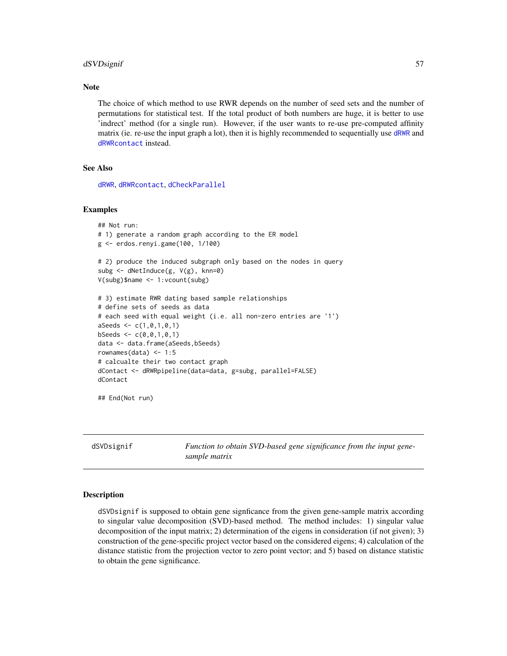### dSVDsignif 57

# **Note**

The choice of which method to use RWR depends on the number of seed sets and the number of permutations for statistical test. If the total product of both numbers are huge, it is better to use 'indrect' method (for a single run). However, if the user wants to re-use pre-computed affinity matrix (ie. re-use the input graph a lot), then it is highly recommended to sequentially use [dRWR](#page-49-0) and [dRWRcontact](#page-51-0) instead.

# See Also

[dRWR](#page-49-0), [dRWRcontact](#page-51-0), [dCheckParallel](#page-5-0)

## Examples

```
## Not run:
# 1) generate a random graph according to the ER model
g <- erdos.renyi.game(100, 1/100)
# 2) produce the induced subgraph only based on the nodes in query
subg <- dNetInduce(g, V(g), knn=0)
V(subg)$name <- 1:vcount(subg)
# 3) estimate RWR dating based sample relationships
# define sets of seeds as data
# each seed with equal weight (i.e. all non-zero entries are '1')
aSeeds \leftarrow c(1, 0, 1, 0, 1)bSeeds \leq c(0, 0, 1, 0, 1)data <- data.frame(aSeeds,bSeeds)
rownames(data) <-1:5# calcualte their two contact graph
dContact <- dRWRpipeline(data=data, g=subg, parallel=FALSE)
dContact
```
## End(Not run)

dSVDsignif *Function to obtain SVD-based gene significance from the input genesample matrix*

### **Description**

dSVDsignif is supposed to obtain gene signficance from the given gene-sample matrix according to singular value decomposition (SVD)-based method. The method includes: 1) singular value decomposition of the input matrix; 2) determination of the eigens in consideration (if not given); 3) construction of the gene-specific project vector based on the considered eigens; 4) calculation of the distance statistic from the projection vector to zero point vector; and 5) based on distance statistic to obtain the gene significance.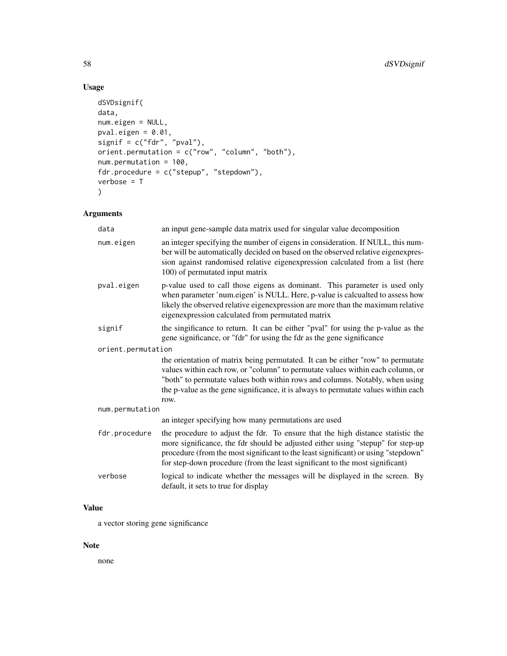# Usage

```
dSVDsignif(
data,
num.eigen = NULL,
pval.eigen = 0.01,
signif = c("fdr", "pval"),orient.permutation = c("row", "column", "both"),
num.permutation = 100,
fdr.procedure = c("stepup", "stepdown"),
verbose = T
\mathcal{L}
```
# Arguments

| data               | an input gene-sample data matrix used for singular value decomposition                                                                                                                                                                                                                                                                          |  |
|--------------------|-------------------------------------------------------------------------------------------------------------------------------------------------------------------------------------------------------------------------------------------------------------------------------------------------------------------------------------------------|--|
| num.eigen          | an integer specifying the number of eigens in consideration. If NULL, this num-<br>ber will be automatically decided on based on the observed relative eigenexpres-<br>sion against randomised relative eigenexpression calculated from a list (here<br>100) of permutated input matrix                                                         |  |
| pval.eigen         | p-value used to call those eigens as dominant. This parameter is used only<br>when parameter 'num.eigen' is NULL. Here, p-value is calcualted to assess how<br>likely the observed relative eigenexpression are more than the maximum relative<br>eigenexpression calculated from permutated matrix                                             |  |
| signif             | the singificance to return. It can be either "pval" for using the p-value as the<br>gene significance, or "fdr" for using the fdr as the gene significance                                                                                                                                                                                      |  |
| orient.permutation |                                                                                                                                                                                                                                                                                                                                                 |  |
|                    | the orientation of matrix being permutated. It can be either "row" to permutate<br>values within each row, or "column" to permutate values within each column, or<br>"both" to permutate values both within rows and columns. Notably, when using<br>the p-value as the gene significance, it is always to permutate values within each<br>row. |  |
| num.permutation    |                                                                                                                                                                                                                                                                                                                                                 |  |
|                    | an integer specifying how many permutations are used                                                                                                                                                                                                                                                                                            |  |
| fdr.procedure      | the procedure to adjust the fdr. To ensure that the high distance statistic the<br>more significance, the fdr should be adjusted either using "stepup" for step-up<br>procedure (from the most significant to the least significant) or using "stepdown"<br>for step-down procedure (from the least significant to the most significant)        |  |
| verbose            | logical to indicate whether the messages will be displayed in the screen. By<br>default, it sets to true for display                                                                                                                                                                                                                            |  |

# Value

a vector storing gene significance

# Note

none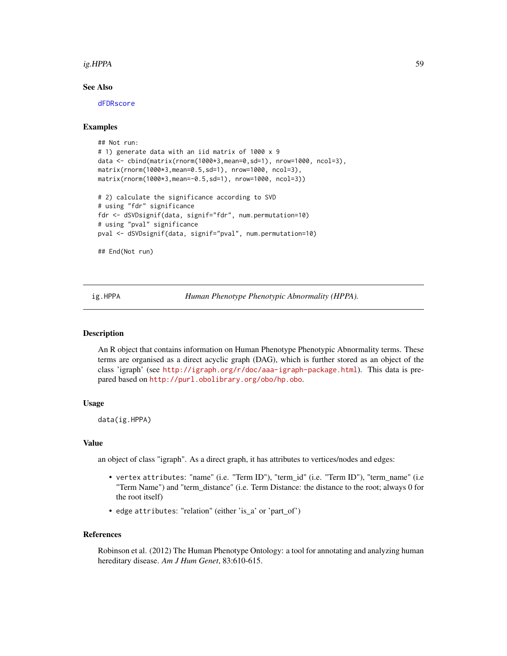### ig.HPPA 59

## See Also

[dFDRscore](#page-26-0)

# Examples

```
## Not run:
# 1) generate data with an iid matrix of 1000 x 9
data <- cbind(matrix(rnorm(1000*3,mean=0,sd=1), nrow=1000, ncol=3),
matrix(rnorm(1000*3,mean=0.5,sd=1), nrow=1000, ncol=3),
matrix(rnorm(1000*3,mean=-0.5,sd=1), nrow=1000, ncol=3))
# 2) calculate the significance according to SVD
# using "fdr" significance
fdr <- dSVDsignif(data, signif="fdr", num.permutation=10)
# using "pval" significance
pval <- dSVDsignif(data, signif="pval", num.permutation=10)
```
## End(Not run)

ig.HPPA *Human Phenotype Phenotypic Abnormality (HPPA).*

### Description

An R object that contains information on Human Phenotype Phenotypic Abnormality terms. These terms are organised as a direct acyclic graph (DAG), which is further stored as an object of the class 'igraph' (see <http://igraph.org/r/doc/aaa-igraph-package.html>). This data is prepared based on <http://purl.obolibrary.org/obo/hp.obo>.

# Usage

data(ig.HPPA)

#### Value

an object of class "igraph". As a direct graph, it has attributes to vertices/nodes and edges:

- vertex attributes: "name" (i.e. "Term ID"), "term\_id" (i.e. "Term ID"), "term\_name" (i.e "Term Name") and "term\_distance" (i.e. Term Distance: the distance to the root; always 0 for the root itself)
- edge attributes: "relation" (either 'is\_a' or 'part\_of')

#### References

Robinson et al. (2012) The Human Phenotype Ontology: a tool for annotating and analyzing human hereditary disease. *Am J Hum Genet*, 83:610-615.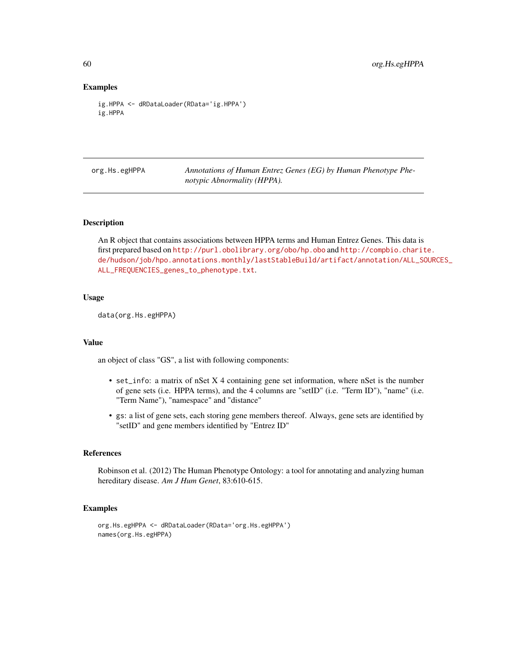### Examples

```
ig.HPPA <- dRDataLoader(RData='ig.HPPA')
ig.HPPA
```
org.Hs.egHPPA *Annotations of Human Entrez Genes (EG) by Human Phenotype Phenotypic Abnormality (HPPA).*

# Description

An R object that contains associations between HPPA terms and Human Entrez Genes. This data is first prepared based on <http://purl.obolibrary.org/obo/hp.obo> and [http://compbio.charit](http://compbio.charite.de/hudson/job/hpo.annotations.monthly/lastStableBuild/artifact/annotation/ALL_SOURCES_ALL_FREQUENCIES_genes_to_phenotype.txt)e. [de/hudson/job/hpo.annotations.monthly/lastStableBuild/artifact/annotation/ALL\\_SO](http://compbio.charite.de/hudson/job/hpo.annotations.monthly/lastStableBuild/artifact/annotation/ALL_SOURCES_ALL_FREQUENCIES_genes_to_phenotype.txt)URCES\_ [ALL\\_FREQUENCIES\\_genes\\_to\\_phenotype.txt](http://compbio.charite.de/hudson/job/hpo.annotations.monthly/lastStableBuild/artifact/annotation/ALL_SOURCES_ALL_FREQUENCIES_genes_to_phenotype.txt).

### Usage

data(org.Hs.egHPPA)

#### Value

an object of class "GS", a list with following components:

- set\_info: a matrix of nSet X 4 containing gene set information, where nSet is the number of gene sets (i.e. HPPA terms), and the 4 columns are "setID" (i.e. "Term ID"), "name" (i.e. "Term Name"), "namespace" and "distance"
- gs: a list of gene sets, each storing gene members thereof. Always, gene sets are identified by "setID" and gene members identified by "Entrez ID"

# References

Robinson et al. (2012) The Human Phenotype Ontology: a tool for annotating and analyzing human hereditary disease. *Am J Hum Genet*, 83:610-615.

### Examples

```
org.Hs.egHPPA <- dRDataLoader(RData='org.Hs.egHPPA')
names(org.Hs.egHPPA)
```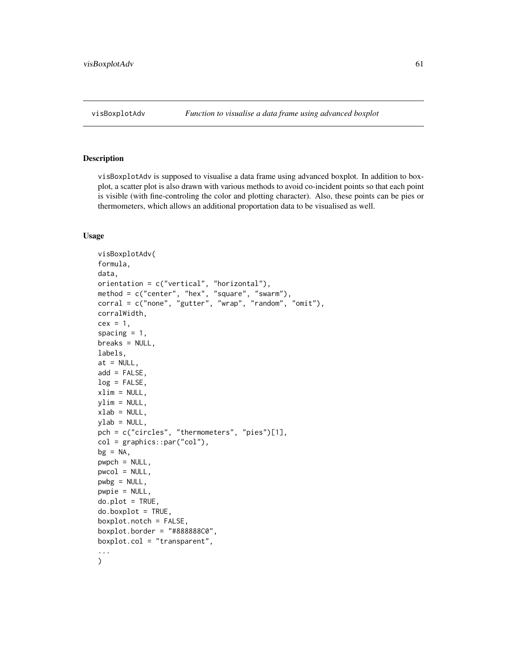<span id="page-60-0"></span>

### Description

visBoxplotAdv is supposed to visualise a data frame using advanced boxplot. In addition to boxplot, a scatter plot is also drawn with various methods to avoid co-incident points so that each point is visible (with fine-controling the color and plotting character). Also, these points can be pies or thermometers, which allows an additional proportation data to be visualised as well.

### Usage

```
visBoxplotAdv(
formula,
data,
orientation = c("vertical", "horizontal"),
method = c("center", "hex", "square", "swarm"),
corral = c("none", "gutter", "wrap", "random", "omit"),
corralWidth,
cex = 1,
spacing = 1,
breaks = NULL,
labels,
at = NULL,add = FALSE,log = FALSE,
xlim = NULL,vlim = NULL,xlab = NULL,ylab = NULL,pch = c("circles", "thermometers", "pies")[1],
col = graphics::par("col"),bg = NA,
pwpch = NULL,
pwcol = NULL,pwbg = NULL,pwpie = NULL,
do.plot = TRUE,do.boxplot = TRUE,boxplot.notch = FALSE,
boxplot.border = "#88888800".boxplot.col = "transparent",
...
\mathcal{L}
```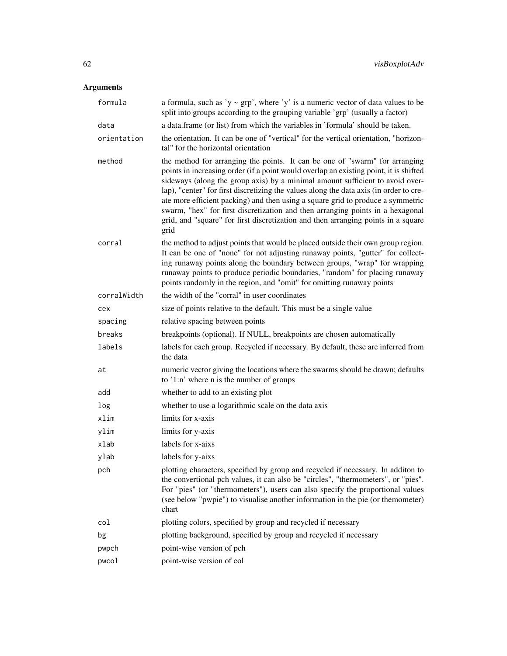| formula      | a formula, such as 'y $\sim$ grp', where 'y' is a numeric vector of data values to be<br>split into groups according to the grouping variable 'grp' (usually a factor)                                                                                                                                                                                                                                                                                                                                                                                                                                            |
|--------------|-------------------------------------------------------------------------------------------------------------------------------------------------------------------------------------------------------------------------------------------------------------------------------------------------------------------------------------------------------------------------------------------------------------------------------------------------------------------------------------------------------------------------------------------------------------------------------------------------------------------|
| data         | a data.frame (or list) from which the variables in 'formula' should be taken.                                                                                                                                                                                                                                                                                                                                                                                                                                                                                                                                     |
| orientation  | the orientation. It can be one of "vertical" for the vertical orientation, "horizon-<br>tal" for the horizontal orientation                                                                                                                                                                                                                                                                                                                                                                                                                                                                                       |
| method       | the method for arranging the points. It can be one of "swarm" for arranging<br>points in increasing order (if a point would overlap an existing point, it is shifted<br>sideways (along the group axis) by a minimal amount sufficient to avoid over-<br>lap), "center" for first discretizing the values along the data axis (in order to cre-<br>ate more efficient packing) and then using a square grid to produce a symmetric<br>swarm, "hex" for first discretization and then arranging points in a hexagonal<br>grid, and "square" for first discretization and then arranging points in a square<br>grid |
| corral       | the method to adjust points that would be placed outside their own group region.<br>It can be one of "none" for not adjusting runaway points, "gutter" for collect-<br>ing runaway points along the boundary between groups, "wrap" for wrapping<br>runaway points to produce periodic boundaries, "random" for placing runaway<br>points randomly in the region, and "omit" for omitting runaway points                                                                                                                                                                                                          |
| corralWidth  | the width of the "corral" in user coordinates                                                                                                                                                                                                                                                                                                                                                                                                                                                                                                                                                                     |
| cex          | size of points relative to the default. This must be a single value                                                                                                                                                                                                                                                                                                                                                                                                                                                                                                                                               |
| spacing      | relative spacing between points                                                                                                                                                                                                                                                                                                                                                                                                                                                                                                                                                                                   |
| breaks       | breakpoints (optional). If NULL, breakpoints are chosen automatically                                                                                                                                                                                                                                                                                                                                                                                                                                                                                                                                             |
| labels       | labels for each group. Recycled if necessary. By default, these are inferred from<br>the data                                                                                                                                                                                                                                                                                                                                                                                                                                                                                                                     |
| at           | numeric vector giving the locations where the swarms should be drawn; defaults<br>to '1:n' where n is the number of groups                                                                                                                                                                                                                                                                                                                                                                                                                                                                                        |
| add          | whether to add to an existing plot                                                                                                                                                                                                                                                                                                                                                                                                                                                                                                                                                                                |
| log          | whether to use a logarithmic scale on the data axis                                                                                                                                                                                                                                                                                                                                                                                                                                                                                                                                                               |
| xlim         | limits for x-axis                                                                                                                                                                                                                                                                                                                                                                                                                                                                                                                                                                                                 |
| ylim         | limits for y-axis                                                                                                                                                                                                                                                                                                                                                                                                                                                                                                                                                                                                 |
| xlab         | labels for x-aixs                                                                                                                                                                                                                                                                                                                                                                                                                                                                                                                                                                                                 |
| ylab         | labels for y-aixs                                                                                                                                                                                                                                                                                                                                                                                                                                                                                                                                                                                                 |
| pch          | plotting characters, specified by group and recycled if necessary. In additon to<br>the convertional pch values, it can also be "circles", "thermometers", or "pies".<br>For "pies" (or "thermometers"), users can also specify the proportional values<br>(see below "pwpie") to visualise another information in the pie (or themometer)<br>chart                                                                                                                                                                                                                                                               |
| $\text{col}$ | plotting colors, specified by group and recycled if necessary                                                                                                                                                                                                                                                                                                                                                                                                                                                                                                                                                     |
| bg           | plotting background, specified by group and recycled if necessary                                                                                                                                                                                                                                                                                                                                                                                                                                                                                                                                                 |
| pwpch        | point-wise version of pch                                                                                                                                                                                                                                                                                                                                                                                                                                                                                                                                                                                         |
| pwcol        | point-wise version of col                                                                                                                                                                                                                                                                                                                                                                                                                                                                                                                                                                                         |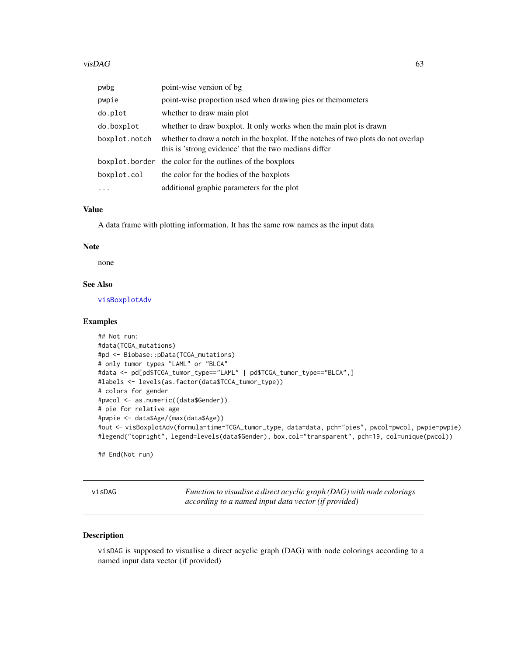| pwbg          | point-wise version of bg                                                                                                                    |
|---------------|---------------------------------------------------------------------------------------------------------------------------------------------|
| pwpie         | point-wise proportion used when drawing pies or themometers                                                                                 |
| do.plot       | whether to draw main plot                                                                                                                   |
| do.boxplot    | whether to draw boxplot. It only works when the main plot is drawn                                                                          |
| boxplot.notch | whether to draw a notch in the boxplot. If the notches of two plots do not overlap<br>this is 'strong evidence' that the two medians differ |
|               | boxplot border the color for the outlines of the boxplots                                                                                   |
| boxplot.col   | the color for the bodies of the boxplots                                                                                                    |
| $\cdot$       | additional graphic parameters for the plot                                                                                                  |

A data frame with plotting information. It has the same row names as the input data

#### Note

none

# See Also

[visBoxplotAdv](#page-60-0)

#### Examples

```
## Not run:
#data(TCGA_mutations)
#pd <- Biobase::pData(TCGA_mutations)
# only tumor types "LAML" or "BLCA"
#data <- pd[pd$TCGA_tumor_type=="LAML" | pd$TCGA_tumor_type=="BLCA",]
#labels <- levels(as.factor(data$TCGA_tumor_type))
# colors for gender
#pwcol <- as.numeric((data$Gender))
# pie for relative age
#pwpie <- data$Age/(max(data$Age))
#out <- visBoxplotAdv(formula=time~TCGA_tumor_type, data=data, pch="pies", pwcol=pwcol, pwpie=pwpie)
#legend("topright", legend=levels(data$Gender), box.col="transparent", pch=19, col=unique(pwcol))
```
## End(Not run)

visDAG *Function to visualise a direct acyclic graph (DAG) with node colorings according to a named input data vector (if provided)*

### Description

visDAG is supposed to visualise a direct acyclic graph (DAG) with node colorings according to a named input data vector (if provided)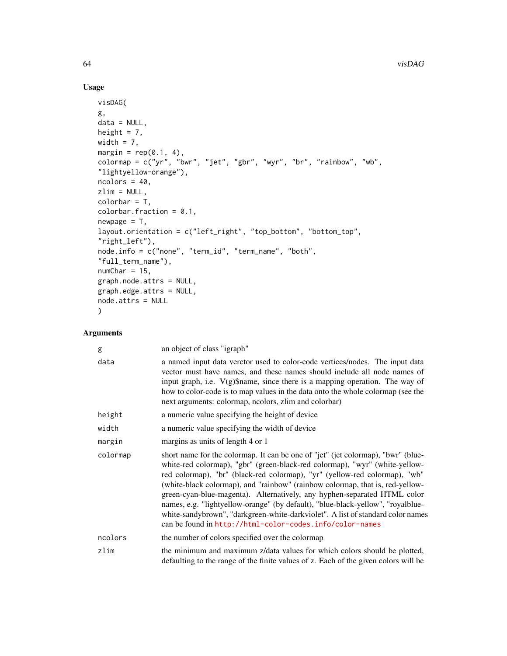# Usage

```
visDAG(
g,
data = NULL,height = 7,
width = 7,
margin = rep(0.1, 4),
colormap = c("yr", "bwr", "jet", "gbr", "wyr", "br", "rainbow", "wb",
"lightyellow-orange"),
ncolors = 40,
zlim = NULL,
colorbar = T,
colorbar.fraction = 0.1,
newpage = T,layout.orientation = c("left_right", "top_bottom", "bottom_top",
"right_left"),
node.info = c("none", "term_id", "term_name", "both",
"full_term_name"),
numChar = 15,
graph.node.attrs = NULL,
graph.edge.attrs = NULL,
node.attrs = NULL
\mathcal{L}
```

| g        | an object of class "igraph"                                                                                                                                                                                                                                                                                                                                                                                                                                                                                                                                                                                                                  |
|----------|----------------------------------------------------------------------------------------------------------------------------------------------------------------------------------------------------------------------------------------------------------------------------------------------------------------------------------------------------------------------------------------------------------------------------------------------------------------------------------------------------------------------------------------------------------------------------------------------------------------------------------------------|
| data     | a named input data verctor used to color-code vertices/nodes. The input data<br>vector must have names, and these names should include all node names of<br>input graph, i.e. $V(g)\$ \$name, since there is a mapping operation. The way of<br>how to color-code is to map values in the data onto the whole colormap (see the<br>next arguments: colormap, ncolors, zlim and colorbar)                                                                                                                                                                                                                                                     |
| height   | a numeric value specifying the height of device                                                                                                                                                                                                                                                                                                                                                                                                                                                                                                                                                                                              |
| width    | a numeric value specifying the width of device                                                                                                                                                                                                                                                                                                                                                                                                                                                                                                                                                                                               |
| margin   | margins as units of length 4 or 1                                                                                                                                                                                                                                                                                                                                                                                                                                                                                                                                                                                                            |
| colormap | short name for the colormap. It can be one of "jet" (jet colormap), "bwr" (blue-<br>white-red colormap), "gbr" (green-black-red colormap), "wyr" (white-yellow-<br>red colormap), "br" (black-red colormap), "yr" (yellow-red colormap), "wb"<br>(white-black colormap), and "rainbow" (rainbow colormap, that is, red-yellow-<br>green-cyan-blue-magenta). Alternatively, any hyphen-separated HTML color<br>names, e.g. "lightyellow-orange" (by default), "blue-black-yellow", "royalblue-<br>white-sandybrown", "darkgreen-white-darkviolet". A list of standard color names<br>can be found in http://html-color-codes.info/color-names |
| ncolors  | the number of colors specified over the colormap                                                                                                                                                                                                                                                                                                                                                                                                                                                                                                                                                                                             |
| zlim     | the minimum and maximum z/data values for which colors should be plotted,<br>defaulting to the range of the finite values of z. Each of the given colors will be                                                                                                                                                                                                                                                                                                                                                                                                                                                                             |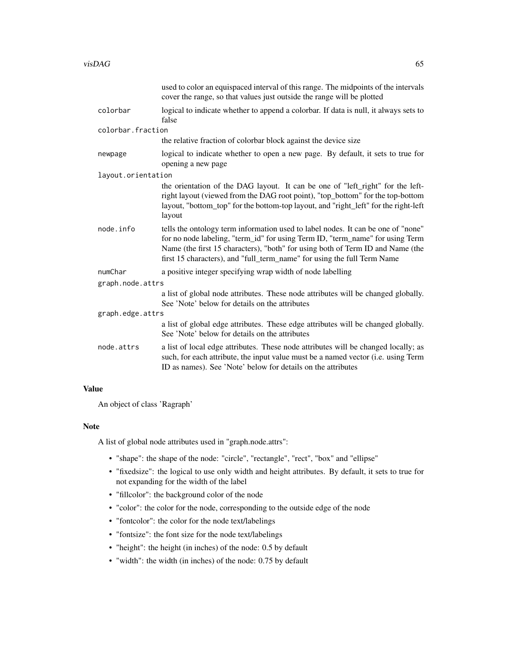|                    | used to color an equispaced interval of this range. The midpoints of the intervals<br>cover the range, so that values just outside the range will be plotted                                                                                                                                                                   |  |
|--------------------|--------------------------------------------------------------------------------------------------------------------------------------------------------------------------------------------------------------------------------------------------------------------------------------------------------------------------------|--|
| colorbar           | logical to indicate whether to append a colorbar. If data is null, it always sets to<br>false                                                                                                                                                                                                                                  |  |
| colorbar.fraction  |                                                                                                                                                                                                                                                                                                                                |  |
|                    | the relative fraction of colorbar block against the device size                                                                                                                                                                                                                                                                |  |
| newpage            | logical to indicate whether to open a new page. By default, it sets to true for<br>opening a new page                                                                                                                                                                                                                          |  |
| layout.orientation |                                                                                                                                                                                                                                                                                                                                |  |
|                    | the orientation of the DAG layout. It can be one of "left_right" for the left-<br>right layout (viewed from the DAG root point), "top_bottom" for the top-bottom<br>layout, "bottom_top" for the bottom-top layout, and "right_left" for the right-left<br>layout                                                              |  |
| node.info          | tells the ontology term information used to label nodes. It can be one of "none"<br>for no node labeling, "term_id" for using Term ID, "term_name" for using Term<br>Name (the first 15 characters), "both" for using both of Term ID and Name (the<br>first 15 characters), and "full_term_name" for using the full Term Name |  |
| numChar            | a positive integer specifying wrap width of node labelling                                                                                                                                                                                                                                                                     |  |
| graph.node.attrs   |                                                                                                                                                                                                                                                                                                                                |  |
|                    | a list of global node attributes. These node attributes will be changed globally.<br>See 'Note' below for details on the attributes                                                                                                                                                                                            |  |
| graph.edge.attrs   |                                                                                                                                                                                                                                                                                                                                |  |
|                    | a list of global edge attributes. These edge attributes will be changed globally.<br>See 'Note' below for details on the attributes                                                                                                                                                                                            |  |
| node.attrs         | a list of local edge attributes. These node attributes will be changed locally; as<br>such, for each attribute, the input value must be a named vector (i.e. using Term<br>ID as names). See 'Note' below for details on the attributes                                                                                        |  |

An object of class 'Ragraph'

### Note

A list of global node attributes used in "graph.node.attrs":

- "shape": the shape of the node: "circle", "rectangle", "rect", "box" and "ellipse"
- "fixedsize": the logical to use only width and height attributes. By default, it sets to true for not expanding for the width of the label
- "fillcolor": the background color of the node
- "color": the color for the node, corresponding to the outside edge of the node
- "fontcolor": the color for the node text/labelings
- "fontsize": the font size for the node text/labelings
- "height": the height (in inches) of the node: 0.5 by default
- "width": the width (in inches) of the node: 0.75 by default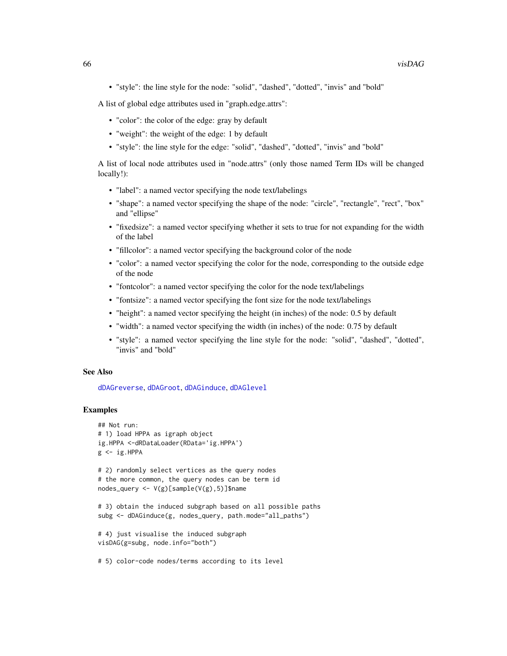• "style": the line style for the node: "solid", "dashed", "dotted", "invis" and "bold"

A list of global edge attributes used in "graph.edge.attrs":

- "color": the color of the edge: gray by default
- "weight": the weight of the edge: 1 by default
- "style": the line style for the edge: "solid", "dashed", "dotted", "invis" and "bold"

A list of local node attributes used in "node.attrs" (only those named Term IDs will be changed locally!):

- "label": a named vector specifying the node text/labelings
- "shape": a named vector specifying the shape of the node: "circle", "rectangle", "rect", "box" and "ellipse"
- "fixedsize": a named vector specifying whether it sets to true for not expanding for the width of the label
- "fillcolor": a named vector specifying the background color of the node
- "color": a named vector specifying the color for the node, corresponding to the outside edge of the node
- "fontcolor": a named vector specifying the color for the node text/labelings
- "fontsize": a named vector specifying the font size for the node text/labelings
- "height": a named vector specifying the height (in inches) of the node: 0.5 by default
- "width": a named vector specifying the width (in inches) of the node: 0.75 by default
- "style": a named vector specifying the line style for the node: "solid", "dashed", "dotted", "invis" and "bold"

### See Also

[dDAGreverse](#page-16-0), [dDAGroot](#page-17-0), [dDAGinduce](#page-13-0), [dDAGlevel](#page-15-0)

# Examples

```
## Not run:
# 1) load HPPA as igraph object
ig.HPPA <-dRDataLoader(RData='ig.HPPA')
g \leftarrow ig.HPPA# 2) randomly select vertices as the query nodes
```

```
# the more common, the query nodes can be term id
nodes_query <- V(g)[sample(V(g),5)]$name
```

```
# 3) obtain the induced subgraph based on all possible paths
subg <- dDAGinduce(g, nodes_query, path.mode="all_paths")
```

```
# 4) just visualise the induced subgraph
visDAG(g=subg, node.info="both")
```
# 5) color-code nodes/terms according to its level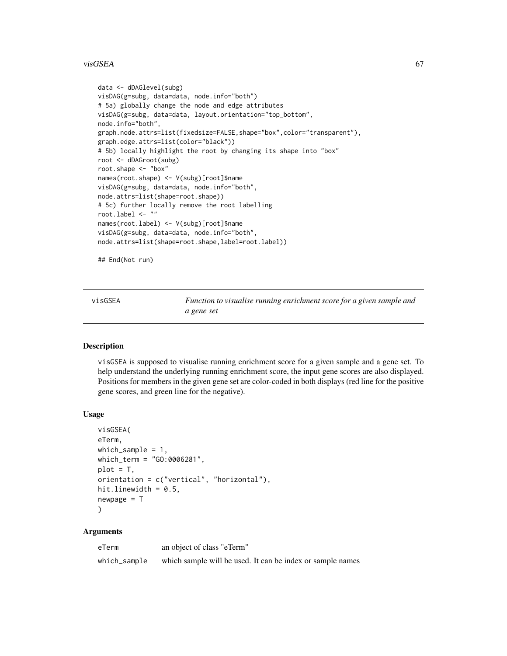#### visGSEA 67

```
data <- dDAGlevel(subg)
visDAG(g=subg, data=data, node.info="both")
# 5a) globally change the node and edge attributes
visDAG(g=subg, data=data, layout.orientation="top_bottom",
node.info="both",
graph.node.attrs=list(fixedsize=FALSE,shape="box",color="transparent"),
graph.edge.attrs=list(color="black"))
# 5b) locally highlight the root by changing its shape into "box"
root <- dDAGroot(subg)
root.shape <- "box"
names(root.shape) <- V(subg)[root]$name
visDAG(g=subg, data=data, node.info="both",
node.attrs=list(shape=root.shape))
# 5c) further locally remove the root labelling
root.label <- ""
names(root.label) <- V(subg)[root]$name
visDAG(g=subg, data=data, node.info="both",
node.attrs=list(shape=root.shape,label=root.label))
```
## End(Not run)

visGSEA *Function to visualise running enrichment score for a given sample and a gene set*

# **Description**

visGSEA is supposed to visualise running enrichment score for a given sample and a gene set. To help understand the underlying running enrichment score, the input gene scores are also displayed. Positions for members in the given gene set are color-coded in both displays (red line for the positive gene scores, and green line for the negative).

### Usage

```
visGSEA(
eTerm,
which_sample = 1,
which_term = "GO:0006281",
plot = T,
orientation = c("vertical", "horizontal"),
hit.linewidth = 0.5,
newpage = T)
```

| eTerm        | an object of class "eTerm"                                 |
|--------------|------------------------------------------------------------|
| which_sample | which sample will be used. It can be index or sample names |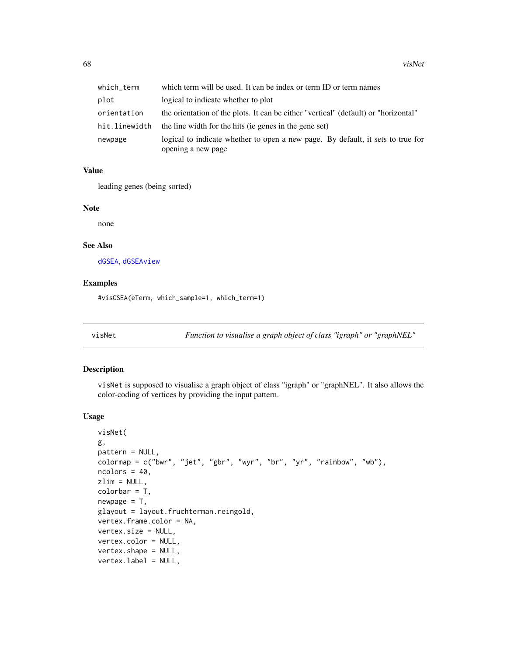| which term    | which term will be used. It can be index or term ID or term names                   |
|---------------|-------------------------------------------------------------------------------------|
| plot          | logical to indicate whether to plot                                                 |
| orientation   | the orientation of the plots. It can be either "vertical" (default) or "horizontal" |
| hit.linewidth | the line width for the hits (ie genes in the gene set)                              |
| newpage       | logical to indicate whether to open a new page. By default, it sets to true for     |
|               | opening a new page                                                                  |

leading genes (being sorted)

## Note

none

### See Also

[dGSEA](#page-28-0), [dGSEAview](#page-32-0)

# Examples

#visGSEA(eTerm, which\_sample=1, which\_term=1)

<span id="page-67-0"></span>visNet *Function to visualise a graph object of class "igraph" or "graphNEL"*

# Description

visNet is supposed to visualise a graph object of class "igraph" or "graphNEL". It also allows the color-coding of vertices by providing the input pattern.

#### Usage

```
visNet(
g,
pattern = NULL,
colormap = c("bwr", "jet", "gbr", "wyr", "br", "yr", "rainbow", "wb"),
ncolors = 40,zlim = NULL,
colorbar = T,
newpage = T,glayout = layout.fruchterman.reingold,
vertex.frame.color = NA,
vertex.size = NULL,
vertex.color = NULL,
vertex.shape = NULL,
vertex.label = NULL,
```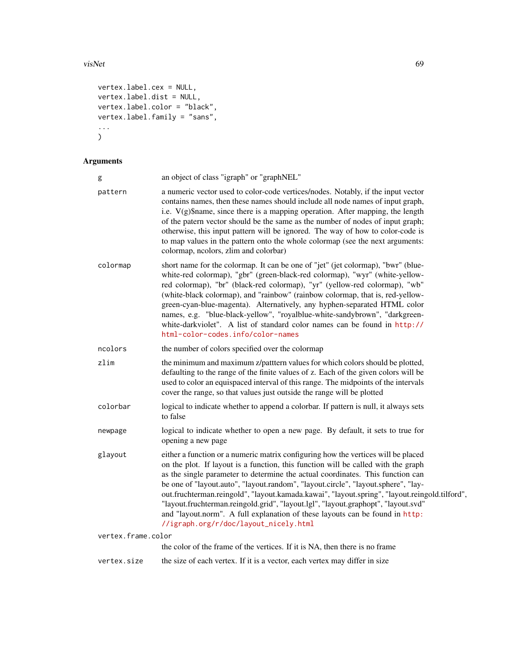### visNet 69

```
vertex.label.cex = NULL,
vertex.label.dist = NULL,
vertex.label.color = "black",
vertex.label.family = "sans",
...
)
```

| g                  | an object of class "igraph" or "graphNEL"                                                                                                                                                                                                                                                                                                                                                                                                                                                                                                                                                                                                                    |
|--------------------|--------------------------------------------------------------------------------------------------------------------------------------------------------------------------------------------------------------------------------------------------------------------------------------------------------------------------------------------------------------------------------------------------------------------------------------------------------------------------------------------------------------------------------------------------------------------------------------------------------------------------------------------------------------|
| pattern            | a numeric vector used to color-code vertices/nodes. Notably, if the input vector<br>contains names, then these names should include all node names of input graph,<br>i.e. $V(g)$ \$name, since there is a mapping operation. After mapping, the length<br>of the patern vector should be the same as the number of nodes of input graph;<br>otherwise, this input pattern will be ignored. The way of how to color-code is<br>to map values in the pattern onto the whole colormap (see the next arguments:<br>colormap, neolors, zlim and colorbar)                                                                                                        |
| colormap           | short name for the colormap. It can be one of "jet" (jet colormap), "bwr" (blue-<br>white-red colormap), "gbr" (green-black-red colormap), "wyr" (white-yellow-<br>red colormap), "br" (black-red colormap), "yr" (yellow-red colormap), "wb"<br>(white-black colormap), and "rainbow" (rainbow colormap, that is, red-yellow-<br>green-cyan-blue-magenta). Alternatively, any hyphen-separated HTML color<br>names, e.g. "blue-black-yellow", "royalblue-white-sandybrown", "darkgreen-<br>white-darkviolet". A list of standard color names can be found in http://<br>html-color-codes.info/color-names                                                   |
| ncolors            | the number of colors specified over the colormap                                                                                                                                                                                                                                                                                                                                                                                                                                                                                                                                                                                                             |
| zlim               | the minimum and maximum z/patttern values for which colors should be plotted,<br>defaulting to the range of the finite values of z. Each of the given colors will be<br>used to color an equispaced interval of this range. The midpoints of the intervals<br>cover the range, so that values just outside the range will be plotted                                                                                                                                                                                                                                                                                                                         |
| colorbar           | logical to indicate whether to append a colorbar. If pattern is null, it always sets<br>to false                                                                                                                                                                                                                                                                                                                                                                                                                                                                                                                                                             |
| newpage            | logical to indicate whether to open a new page. By default, it sets to true for<br>opening a new page                                                                                                                                                                                                                                                                                                                                                                                                                                                                                                                                                        |
| glayout            | either a function or a numeric matrix configuring how the vertices will be placed<br>on the plot. If layout is a function, this function will be called with the graph<br>as the single parameter to determine the actual coordinates. This function can<br>be one of "layout.auto", "layout.random", "layout.circle", "layout.sphere", "lay-<br>out.fruchterman.reingold", "layout.kamada.kawai", "layout.spring", "layout.reingold.tilford",<br>"layout.fruchterman.reingold.grid", "layout.lgl", "layout.graphopt", "layout.svd"<br>and "layout.norm". A full explanation of these layouts can be found in http:<br>//igraph.org/r/doc/layout_nicely.html |
| vertex.frame.color |                                                                                                                                                                                                                                                                                                                                                                                                                                                                                                                                                                                                                                                              |
|                    | the color of the frame of the vertices. If it is NA, then there is no frame                                                                                                                                                                                                                                                                                                                                                                                                                                                                                                                                                                                  |
| vertex.size        | the size of each vertex. If it is a vector, each vertex may differ in size                                                                                                                                                                                                                                                                                                                                                                                                                                                                                                                                                                                   |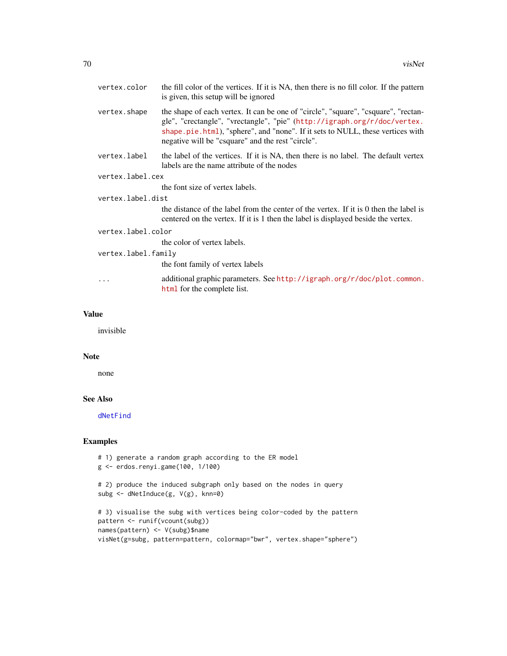|                     | vertex.color     | the fill color of the vertices. If it is NA, then there is no fill color. If the pattern<br>is given, this setup will be ignored                                                                                                                                                                      |
|---------------------|------------------|-------------------------------------------------------------------------------------------------------------------------------------------------------------------------------------------------------------------------------------------------------------------------------------------------------|
|                     | vertex.shape     | the shape of each vertex. It can be one of "circle", "square", "csquare", "rectan-<br>gle", "crectangle", "vrectangle", "pie" (http://igraph.org/r/doc/vertex.<br>shape.pie.html), "sphere", and "none". If it sets to NULL, these vertices with<br>negative will be "csquare" and the rest "circle". |
|                     | vertex.label     | the label of the vertices. If it is NA, then there is no label. The default vertex<br>labels are the name attribute of the nodes                                                                                                                                                                      |
|                     | vertex.label.cex |                                                                                                                                                                                                                                                                                                       |
|                     |                  | the font size of vertex labels.                                                                                                                                                                                                                                                                       |
| vertex.label.dist   |                  |                                                                                                                                                                                                                                                                                                       |
|                     |                  | the distance of the label from the center of the vertex. If it is 0 then the label is<br>centered on the vertex. If it is 1 then the label is displayed beside the vertex.                                                                                                                            |
| vertex.label.color  |                  |                                                                                                                                                                                                                                                                                                       |
|                     |                  | the color of vertex labels.                                                                                                                                                                                                                                                                           |
| vertex.label.family |                  |                                                                                                                                                                                                                                                                                                       |
|                     |                  | the font family of vertex labels                                                                                                                                                                                                                                                                      |
|                     | .                | additional graphic parameters. See http://igraph.org/r/doc/plot.common.<br>html for the complete list.                                                                                                                                                                                                |
|                     |                  |                                                                                                                                                                                                                                                                                                       |

invisible

### Note

none

## See Also

[dNetFind](#page-36-0)

# Examples

```
# 1) generate a random graph according to the ER model
g <- erdos.renyi.game(100, 1/100)
# 2) produce the induced subgraph only based on the nodes in query
subg <- dNetInduce(g, V(g), knn=0)
# 3) visualise the subg with vertices being color-coded by the pattern
pattern <- runif(vcount(subg))
names(pattern) <- V(subg)$name
visNet(g=subg, pattern=pattern, colormap="bwr", vertex.shape="sphere")
```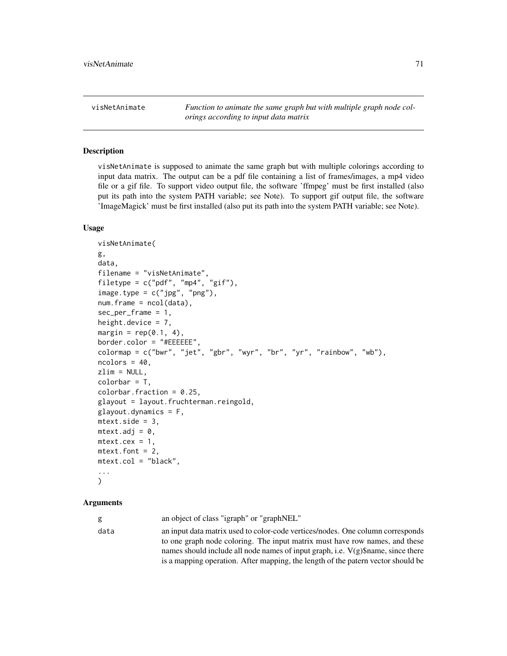visNetAnimate *Function to animate the same graph but with multiple graph node colorings according to input data matrix*

## Description

visNetAnimate is supposed to animate the same graph but with multiple colorings according to input data matrix. The output can be a pdf file containing a list of frames/images, a mp4 video file or a gif file. To support video output file, the software 'ffmpeg' must be first installed (also put its path into the system PATH variable; see Note). To support gif output file, the software 'ImageMagick' must be first installed (also put its path into the system PATH variable; see Note).

### Usage

```
visNetAnimate(
g,
data,
filename = "visNetAnimate",
filetype = c("pdf", "mp4", "gif"),
image-type = c("jpg", "png"),num.findme = ncol(data),
sec\_per\_frame = 1,
height.device = 7,
margin = rep(0.1, 4),
border.color = "#EEEEEE",
colormap = c("bwr", "jet", "gbr", "wyr", "br", "yr", "rainbow", "wb"),ncolors = 40,
zlim = NULL,
colorbar = T,
colorbar.fraction = 0.25,
glayout = layout.fruchterman.reingold,
glayout.dynamics = F,mtext{text.size} = 3,
mtext{text.add} = 0,
mtext{text.cex} = 1,
mtext{text.font} = 2,
mtext.col = "black",
...
)
```
## Arguments

g an object of class "igraph" or "graphNEL"

data an input data matrix used to color-code vertices/nodes. One column corresponds to one graph node coloring. The input matrix must have row names, and these names should include all node names of input graph, i.e.  $V(g)$ \$name, since there is a mapping operation. After mapping, the length of the patern vector should be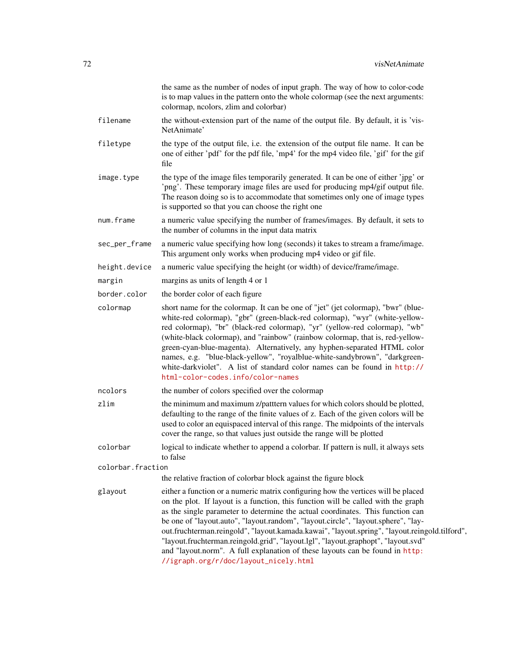|                   | the same as the number of nodes of input graph. The way of how to color-code<br>is to map values in the pattern onto the whole colormap (see the next arguments:<br>colormap, neolors, zlim and colorbar)                                                                                                                                                                                                                                                                                                                                                                                                                                                    |
|-------------------|--------------------------------------------------------------------------------------------------------------------------------------------------------------------------------------------------------------------------------------------------------------------------------------------------------------------------------------------------------------------------------------------------------------------------------------------------------------------------------------------------------------------------------------------------------------------------------------------------------------------------------------------------------------|
| filename          | the without-extension part of the name of the output file. By default, it is 'vis-<br>NetAnimate'                                                                                                                                                                                                                                                                                                                                                                                                                                                                                                                                                            |
| filetype          | the type of the output file, i.e. the extension of the output file name. It can be<br>one of either 'pdf' for the pdf file, 'mp4' for the mp4 video file, 'gif' for the gif<br>file                                                                                                                                                                                                                                                                                                                                                                                                                                                                          |
| image.type        | the type of the image files temporarily generated. It can be one of either 'jpg' or<br>'png'. These temporary image files are used for producing mp4/gif output file.<br>The reason doing so is to accommodate that sometimes only one of image types<br>is supported so that you can choose the right one                                                                                                                                                                                                                                                                                                                                                   |
| num.frame         | a numeric value specifying the number of frames/images. By default, it sets to<br>the number of columns in the input data matrix                                                                                                                                                                                                                                                                                                                                                                                                                                                                                                                             |
| sec_per_frame     | a numeric value specifying how long (seconds) it takes to stream a frame/image.<br>This argument only works when producing mp4 video or gif file.                                                                                                                                                                                                                                                                                                                                                                                                                                                                                                            |
| height.device     | a numeric value specifying the height (or width) of device/frame/image.                                                                                                                                                                                                                                                                                                                                                                                                                                                                                                                                                                                      |
| margin            | margins as units of length 4 or 1                                                                                                                                                                                                                                                                                                                                                                                                                                                                                                                                                                                                                            |
| border.color      | the border color of each figure                                                                                                                                                                                                                                                                                                                                                                                                                                                                                                                                                                                                                              |
| colormap          | short name for the colormap. It can be one of "jet" (jet colormap), "bwr" (blue-<br>white-red colormap), "gbr" (green-black-red colormap), "wyr" (white-yellow-<br>red colormap), "br" (black-red colormap), "yr" (yellow-red colormap), "wb"<br>(white-black colormap), and "rainbow" (rainbow colormap, that is, red-yellow-<br>green-cyan-blue-magenta). Alternatively, any hyphen-separated HTML color<br>names, e.g. "blue-black-yellow", "royalblue-white-sandybrown", "darkgreen-<br>white-darkviolet". A list of standard color names can be found in http://<br>html-color-codes.info/color-names                                                   |
| ncolors           | the number of colors specified over the colormap                                                                                                                                                                                                                                                                                                                                                                                                                                                                                                                                                                                                             |
| zlim              | the minimum and maximum z/patttern values for which colors should be plotted,<br>defaulting to the range of the finite values of z. Each of the given colors will be<br>used to color an equispaced interval of this range. The midpoints of the intervals<br>cover the range, so that values just outside the range will be plotted                                                                                                                                                                                                                                                                                                                         |
| colorbar          | logical to indicate whether to append a colorbar. If pattern is null, it always sets<br>to false                                                                                                                                                                                                                                                                                                                                                                                                                                                                                                                                                             |
| colorbar.fraction |                                                                                                                                                                                                                                                                                                                                                                                                                                                                                                                                                                                                                                                              |
|                   | the relative fraction of colorbar block against the figure block                                                                                                                                                                                                                                                                                                                                                                                                                                                                                                                                                                                             |
| glayout           | either a function or a numeric matrix configuring how the vertices will be placed<br>on the plot. If layout is a function, this function will be called with the graph<br>as the single parameter to determine the actual coordinates. This function can<br>be one of "layout.auto", "layout.random", "layout.circle", "layout.sphere", "lay-<br>out.fruchterman.reingold", "layout.kamada.kawai", "layout.spring", "layout.reingold.tilford",<br>"layout.fruchterman.reingold.grid", "layout.lgl", "layout.graphopt", "layout.svd"<br>and "layout.norm". A full explanation of these layouts can be found in http:<br>//igraph.org/r/doc/layout_nicely.html |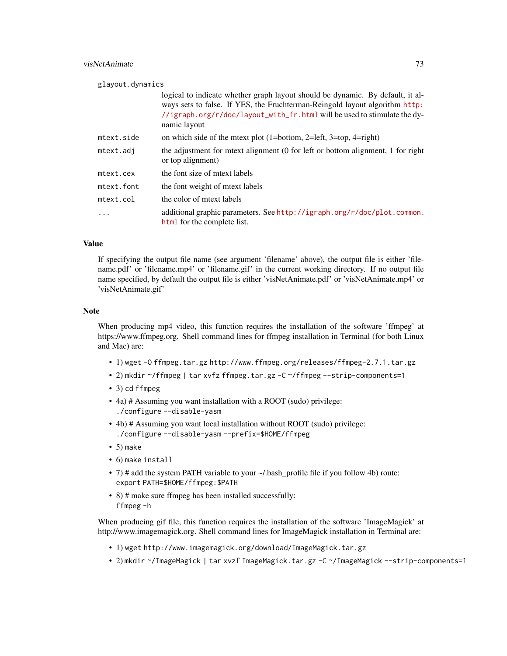# visNetAnimate 73

glayout.dynamics

|            | logical to indicate whether graph layout should be dynamic. By default, it al-<br>ways sets to false. If YES, the Fruchterman-Reingold layout algorithm http:<br>//igraph.org/r/doc/layout_with_fr.html will be used to stimulate the dy-<br>namic layout |
|------------|-----------------------------------------------------------------------------------------------------------------------------------------------------------------------------------------------------------------------------------------------------------|
| mtext.side | on which side of the metric plot $(1=bottom, 2=left, 3=top, 4=right)$                                                                                                                                                                                     |
| mtext.adj  | the adjustment for mext alignment (0 for left or bottom alignment, 1 for right<br>or top alignment)                                                                                                                                                       |
| mtext.cex  | the font size of metxt labels                                                                                                                                                                                                                             |
| mtext.font | the font weight of meet labels                                                                                                                                                                                                                            |
| mtext.col  | the color of mtext labels                                                                                                                                                                                                                                 |
| .          | additional graphic parameters. See http://igraph.org/r/doc/plot.common.<br>html for the complete list.                                                                                                                                                    |

#### Value

If specifying the output file name (see argument 'filename' above), the output file is either 'filename.pdf' or 'filename.mp4' or 'filename.gif' in the current working directory. If no output file name specified, by default the output file is either 'visNetAnimate.pdf' or 'visNetAnimate.mp4' or 'visNetAnimate.gif'

#### Note

When producing mp4 video, this function requires the installation of the software 'ffmpeg' at https://www.ffmpeg.org. Shell command lines for ffmpeg installation in Terminal (for both Linux and Mac) are:

- 1) wget -O ffmpeg.tar.gz http://www.ffmpeg.org/releases/ffmpeg-2.7.1.tar.gz
- 2) mkdir ~/ffmpeg | tar xvfz ffmpeg.tar.gz -C ~/ffmpeg --strip-components=1
- 3) cd ffmpeg
- 4a) # Assuming you want installation with a ROOT (sudo) privilege: ./configure --disable-yasm
- 4b) # Assuming you want local installation without ROOT (sudo) privilege: ./configure --disable-yasm --prefix=\$HOME/ffmpeg
- 5) make
- 6) make install
- 7) # add the system PATH variable to your ~/.bash\_profile file if you follow 4b) route: export PATH=\$HOME/ffmpeg:\$PATH
- 8) # make sure ffmpeg has been installed successfully: ffmpeg -h

When producing gif file, this function requires the installation of the software 'ImageMagick' at http://www.imagemagick.org. Shell command lines for ImageMagick installation in Terminal are:

- 1) wget http://www.imagemagick.org/download/ImageMagick.tar.gz
- 2) mkdir ~/ImageMagick | tar xvzf ImageMagick.tar.gz -C ~/ImageMagick --strip-components=1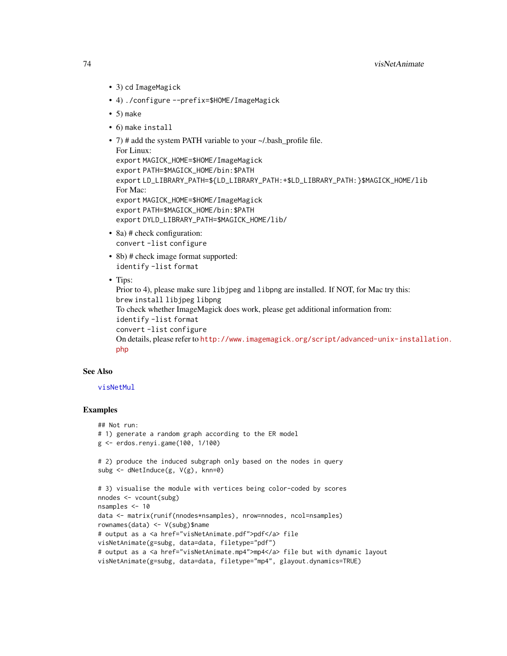- 3) cd ImageMagick
- 4) ./configure --prefix=\$HOME/ImageMagick
- $\bullet$  5) make
- 6) make install
- 7) # add the system PATH variable to your ~/.bash\_profile file. For Linux: export MAGICK\_HOME=\$HOME/ImageMagick export PATH=\$MAGICK\_HOME/bin:\$PATH export LD\_LIBRARY\_PATH=\${LD\_LIBRARY\_PATH:+\$LD\_LIBRARY\_PATH:}\$MAGICK\_HOME/lib For Mac: export MAGICK\_HOME=\$HOME/ImageMagick export PATH=\$MAGICK\_HOME/bin:\$PATH export DYLD\_LIBRARY\_PATH=\$MAGICK\_HOME/lib/
- 8a) # check configuration: convert -list configure
- 8b) # check image format supported: identify -list format
- Tips:

```
Prior to 4), please make sure libjpeg and libpng are installed. If NOT, for Mac try this:
brew install libjpeg libpng
To check whether ImageMagick does work, please get additional information from:
identify -list format
convert -list configure
On details, please refer to http://www.imagemagick.org/script/advanced-unix-installation.
php
```
#### See Also

#### [visNetMul](#page-79-0)

```
## Not run:
# 1) generate a random graph according to the ER model
g <- erdos.renyi.game(100, 1/100)
# 2) produce the induced subgraph only based on the nodes in query
subg <- dNetInduce(g, V(g), knn=0)
# 3) visualise the module with vertices being color-coded by scores
nnodes <- vcount(subg)
nsamples <- 10
data <- matrix(runif(nnodes*nsamples), nrow=nnodes, ncol=nsamples)
rownames(data) <- V(subg)$name
# output as a <a href="visNetAnimate.pdf">pdf</a> file
visNetAnimate(g=subg, data=data, filetype="pdf")
# output as a <a href="visNetAnimate.mp4">mp4</a> file but with dynamic layout
visNetAnimate(g=subg, data=data, filetype="mp4", glayout.dynamics=TRUE)
```
<span id="page-73-0"></span>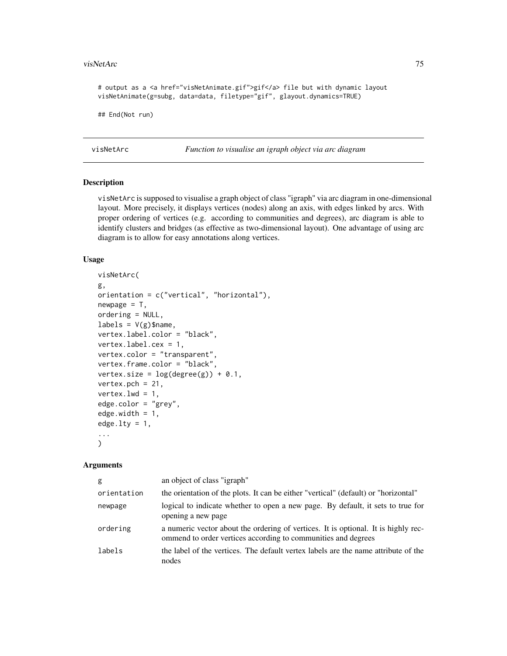#### <span id="page-74-0"></span>visNetArc 75

```
# output as a <a href="visNetAnimate.gif">gif</a> file but with dynamic layout
visNetAnimate(g=subg, data=data, filetype="gif", glayout.dynamics=TRUE)
```
## End(Not run)

visNetArc *Function to visualise an igraph object via arc diagram*

# Description

visNetArc is supposed to visualise a graph object of class "igraph" via arc diagram in one-dimensional layout. More precisely, it displays vertices (nodes) along an axis, with edges linked by arcs. With proper ordering of vertices (e.g. according to communities and degrees), arc diagram is able to identify clusters and bridges (as effective as two-dimensional layout). One advantage of using arc diagram is to allow for easy annotations along vertices.

#### Usage

```
visNetArc(
g,
orientation = c("vertical", "horizontal"),
newpage = T,ordering = NULL,
labels = V(g)$name,
vertex.label.color = "black",
vertex.label.cex = 1,
vertex.color = "transparent",
vertex.frame.color = "black",
vertex.size = log(degree(g)) + 0.1,
vertex.pch = 21,
vertex.lwd = 1,
edge.color = "grey",
edge.width = 1,
edge.lty = 1,
...
\lambda
```

| g           | an object of class "igraph"                                                                                                                         |
|-------------|-----------------------------------------------------------------------------------------------------------------------------------------------------|
| orientation | the orientation of the plots. It can be either "vertical" (default) or "horizontal"                                                                 |
| newpage     | logical to indicate whether to open a new page. By default, it sets to true for<br>opening a new page                                               |
| ordering    | a numeric vector about the ordering of vertices. It is optional. It is highly rec-<br>ommend to order vertices according to communities and degrees |
| labels      | the label of the vertices. The default vertex labels are the name attribute of the<br>nodes                                                         |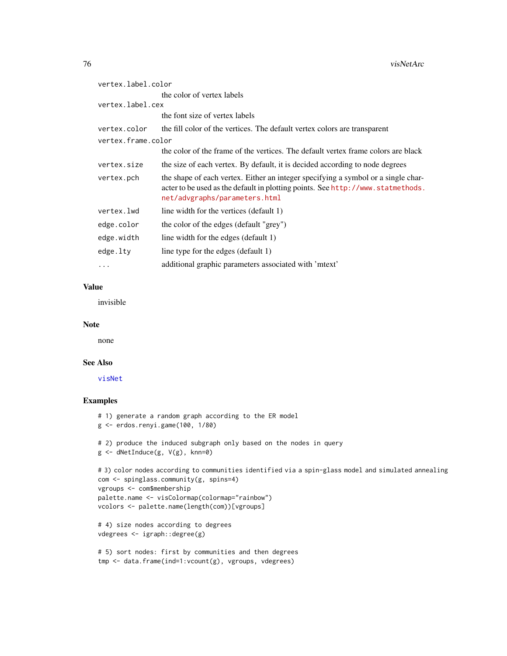<span id="page-75-0"></span>

| vertex.label.color |                                                                                                                                                                                                       |
|--------------------|-------------------------------------------------------------------------------------------------------------------------------------------------------------------------------------------------------|
|                    | the color of vertex labels                                                                                                                                                                            |
| vertex.label.cex   |                                                                                                                                                                                                       |
|                    | the font size of vertex labels                                                                                                                                                                        |
| vertex.color       | the fill color of the vertices. The default vertex colors are transparent                                                                                                                             |
| vertex.frame.color |                                                                                                                                                                                                       |
|                    | the color of the frame of the vertices. The default vertex frame colors are black                                                                                                                     |
| vertex.size        | the size of each vertex. By default, it is decided according to node degrees                                                                                                                          |
| vertex.pch         | the shape of each vertex. Either an integer specifying a symbol or a single char-<br>acter to be used as the default in plotting points. See http://www.statmethods.<br>net/advgraphs/parameters.html |
| vertex.lwd         | line width for the vertices (default 1)                                                                                                                                                               |
| edge.color         | the color of the edges (default "grey")                                                                                                                                                               |
| edge.width         | line width for the edges (default 1)                                                                                                                                                                  |
| edge.lty           | line type for the edges (default 1)                                                                                                                                                                   |
| $\cdots$           | additional graphic parameters associated with 'mtext'                                                                                                                                                 |

# Value

invisible

#### Note

none

#### See Also

[visNet](#page-67-0)

```
# 1) generate a random graph according to the ER model
g <- erdos.renyi.game(100, 1/80)
# 2) produce the induced subgraph only based on the nodes in query
g <- dNetInduce(g, V(g), knn=0)
# 3) color nodes according to communities identified via a spin-glass model and simulated annealing
com <- spinglass.community(g, spins=4)
vgroups <- com$membership
palette.name <- visColormap(colormap="rainbow")
vcolors <- palette.name(length(com))[vgroups]
# 4) size nodes according to degrees
vdegrees <- igraph::degree(g)
# 5) sort nodes: first by communities and then degrees
```

```
tmp <- data.frame(ind=1:vcount(g), vgroups, vdegrees)
```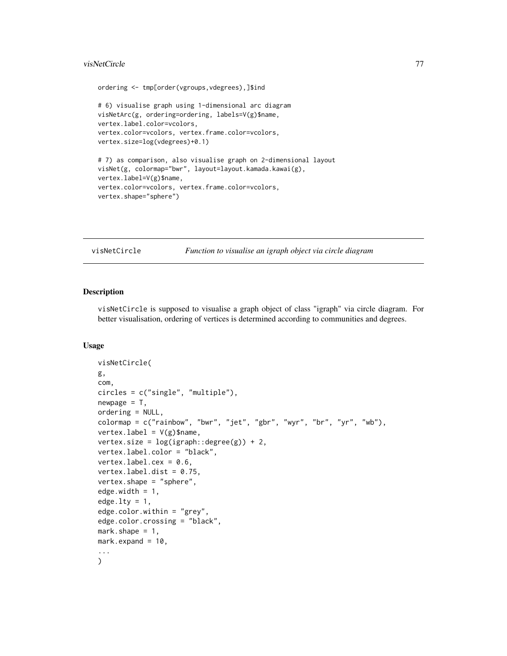#### <span id="page-76-0"></span>visNetCircle 77

```
ordering <- tmp[order(vgroups,vdegrees),]$ind
# 6) visualise graph using 1-dimensional arc diagram
visNetArc(g, ordering=ordering, labels=V(g)$name,
vertex.label.color=vcolors,
vertex.color=vcolors, vertex.frame.color=vcolors,
vertex.size=log(vdegrees)+0.1)
# 7) as comparison, also visualise graph on 2-dimensional layout
visNet(g, colormap="bwr", layout=layout.kamada.kawai(g),
vertex.label=V(g)$name,
vertex.color=vcolors, vertex.frame.color=vcolors,
vertex.shape="sphere")
```
visNetCircle *Function to visualise an igraph object via circle diagram*

# Description

visNetCircle is supposed to visualise a graph object of class "igraph" via circle diagram. For better visualisation, ordering of vertices is determined according to communities and degrees.

# Usage

```
visNetCircle(
g,
com,
circles = c("single", "multiple"),
newpage = T,
ordering = NULL,
colormap = c("rainbow", "bwr", "jet", "gbr", "wyr", "br", "yr", "wb"),
vertex.label = V(g)$name,
vertex.size = log(ignaph::degree(g)) + 2,
vertex.label.color = "black",
vertex.label.cex = 0.6,
vertex.label.dist = 0.75,
vertex.shape = "sphere",
edge.width = 1,
edge.lty = 1,
edge.color.within = "grey",
edge.color.crossing = "black",
mark.shape = 1,
mark.expand = 10,
...
\mathcal{L}
```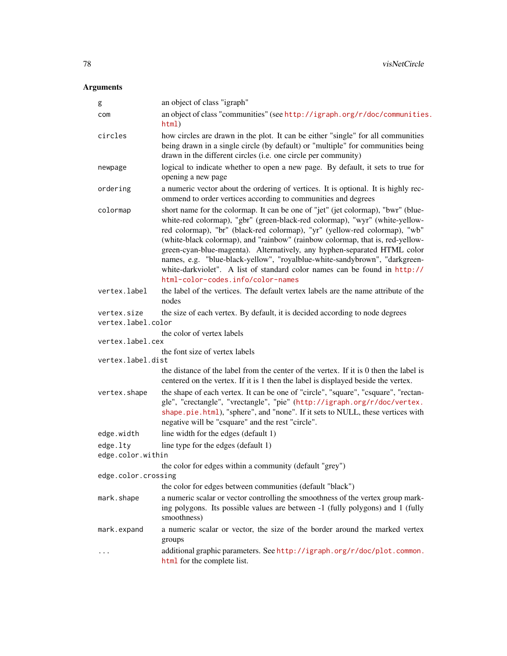| g                                 | an object of class "igraph"                                                                                                                                                                                                                                                                                                                                                                                                                                                                                                                                                                                |
|-----------------------------------|------------------------------------------------------------------------------------------------------------------------------------------------------------------------------------------------------------------------------------------------------------------------------------------------------------------------------------------------------------------------------------------------------------------------------------------------------------------------------------------------------------------------------------------------------------------------------------------------------------|
| com                               | an object of class "communities" (see http://igraph.org/r/doc/communities.<br>html)                                                                                                                                                                                                                                                                                                                                                                                                                                                                                                                        |
| circles                           | how circles are drawn in the plot. It can be either "single" for all communities<br>being drawn in a single circle (by default) or "multiple" for communities being<br>drawn in the different circles (i.e. one circle per community)                                                                                                                                                                                                                                                                                                                                                                      |
| newpage                           | logical to indicate whether to open a new page. By default, it sets to true for<br>opening a new page                                                                                                                                                                                                                                                                                                                                                                                                                                                                                                      |
| ordering                          | a numeric vector about the ordering of vertices. It is optional. It is highly rec-<br>ommend to order vertices according to communities and degrees                                                                                                                                                                                                                                                                                                                                                                                                                                                        |
| colormap                          | short name for the colormap. It can be one of "jet" (jet colormap), "bwr" (blue-<br>white-red colormap), "gbr" (green-black-red colormap), "wyr" (white-yellow-<br>red colormap), "br" (black-red colormap), "yr" (yellow-red colormap), "wb"<br>(white-black colormap), and "rainbow" (rainbow colormap, that is, red-yellow-<br>green-cyan-blue-magenta). Alternatively, any hyphen-separated HTML color<br>names, e.g. "blue-black-yellow", "royalblue-white-sandybrown", "darkgreen-<br>white-darkviolet". A list of standard color names can be found in http://<br>html-color-codes.info/color-names |
| vertex.label                      | the label of the vertices. The default vertex labels are the name attribute of the<br>nodes                                                                                                                                                                                                                                                                                                                                                                                                                                                                                                                |
| vertex.size<br>vertex.label.color | the size of each vertex. By default, it is decided according to node degrees                                                                                                                                                                                                                                                                                                                                                                                                                                                                                                                               |
| vertex.label.cex                  | the color of vertex labels                                                                                                                                                                                                                                                                                                                                                                                                                                                                                                                                                                                 |
| vertex.label.dist                 | the font size of vertex labels                                                                                                                                                                                                                                                                                                                                                                                                                                                                                                                                                                             |
|                                   | the distance of the label from the center of the vertex. If it is 0 then the label is<br>centered on the vertex. If it is 1 then the label is displayed beside the vertex.                                                                                                                                                                                                                                                                                                                                                                                                                                 |
| vertex.shape                      | the shape of each vertex. It can be one of "circle", "square", "csquare", "rectan-<br>gle", "crectangle", "vrectangle", "pie" (http://igraph.org/r/doc/vertex.<br>shape.pie.html), "sphere", and "none". If it sets to NULL, these vertices with<br>negative will be "csquare" and the rest "circle".                                                                                                                                                                                                                                                                                                      |
| edge.width                        | line width for the edges (default 1)                                                                                                                                                                                                                                                                                                                                                                                                                                                                                                                                                                       |
| edge.lty                          | line type for the edges (default 1)                                                                                                                                                                                                                                                                                                                                                                                                                                                                                                                                                                        |
| edge.color.within                 |                                                                                                                                                                                                                                                                                                                                                                                                                                                                                                                                                                                                            |
| edge.color.crossing               | the color for edges within a community (default "grey")                                                                                                                                                                                                                                                                                                                                                                                                                                                                                                                                                    |
|                                   | the color for edges between communities (default "black")                                                                                                                                                                                                                                                                                                                                                                                                                                                                                                                                                  |
| mark.shape                        | a numeric scalar or vector controlling the smoothness of the vertex group mark-<br>ing polygons. Its possible values are between -1 (fully polygons) and 1 (fully<br>smoothness)                                                                                                                                                                                                                                                                                                                                                                                                                           |
| mark.expand                       | a numeric scalar or vector, the size of the border around the marked vertex<br>groups                                                                                                                                                                                                                                                                                                                                                                                                                                                                                                                      |
|                                   | additional graphic parameters. See http://igraph.org/r/doc/plot.common.<br>html for the complete list.                                                                                                                                                                                                                                                                                                                                                                                                                                                                                                     |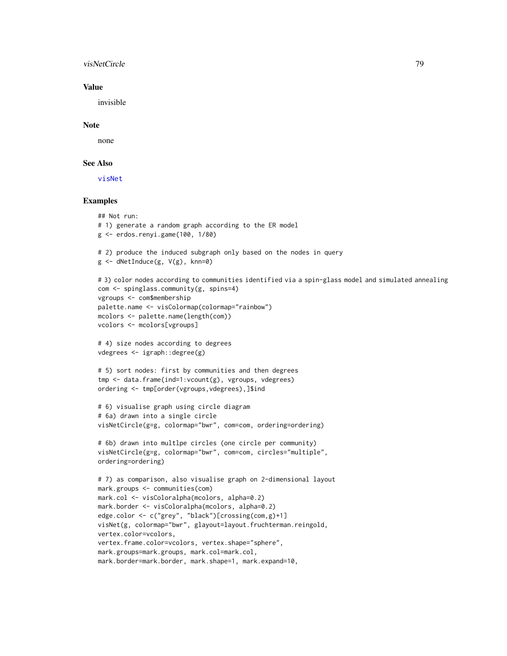#### <span id="page-78-0"></span>visNetCircle 79

# Value

invisible

#### Note

none

# See Also

[visNet](#page-67-0)

```
## Not run:
# 1) generate a random graph according to the ER model
g <- erdos.renyi.game(100, 1/80)
# 2) produce the induced subgraph only based on the nodes in query
g <- dNetInduce(g, V(g), knn=0)
# 3) color nodes according to communities identified via a spin-glass model and simulated annealing
com <- spinglass.community(g, spins=4)
vgroups <- com$membership
palette.name <- visColormap(colormap="rainbow")
mcolors <- palette.name(length(com))
vcolors <- mcolors[vgroups]
# 4) size nodes according to degrees
vdegrees <- igraph::degree(g)
# 5) sort nodes: first by communities and then degrees
tmp <- data.frame(ind=1:vcount(g), vgroups, vdegrees)
ordering <- tmp[order(vgroups,vdegrees),]$ind
# 6) visualise graph using circle diagram
# 6a) drawn into a single circle
visNetCircle(g=g, colormap="bwr", com=com, ordering=ordering)
# 6b) drawn into multlpe circles (one circle per community)
visNetCircle(g=g, colormap="bwr", com=com, circles="multiple",
ordering=ordering)
# 7) as comparison, also visualise graph on 2-dimensional layout
mark.groups <- communities(com)
mark.col <- visColoralpha(mcolors, alpha=0.2)
mark.border <- visColoralpha(mcolors, alpha=0.2)
edge.color <- c("grey", "black")[crossing(com,g)+1]
visNet(g, colormap="bwr", glayout=layout.fruchterman.reingold,
vertex.color=vcolors,
vertex.frame.color=vcolors, vertex.shape="sphere",
mark.groups=mark.groups, mark.col=mark.col,
mark.border=mark.border, mark.shape=1, mark.expand=10,
```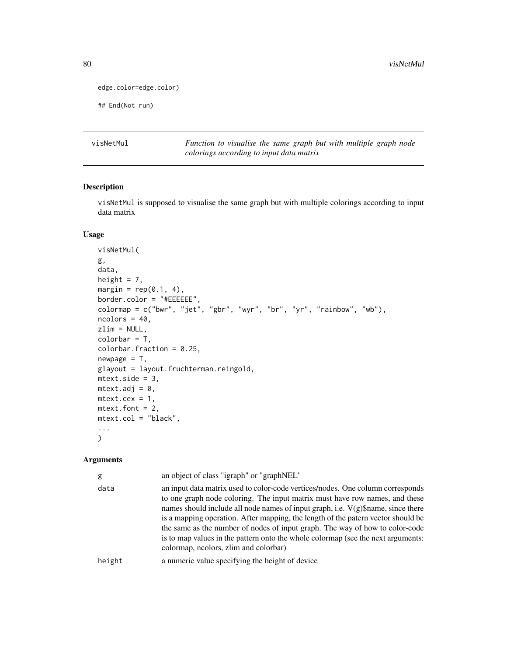```
edge.color=edge.color)
```
## End(Not run)

<span id="page-79-0"></span>visNetMul *Function to visualise the same graph but with multiple graph node colorings according to input data matrix*

# Description

visNetMul is supposed to visualise the same graph but with multiple colorings according to input data matrix

# Usage

```
visNetMul(
g,
data,
height = 7,
margin = rep(0.1, 4),
border.color = "#EEEEEE",
colormap = c("bwr", "jet", "gbr", "wyr", "br", "yr", "rainbow", "wb"),
ncolors = 40,
zlim = NULL,
colorbar = T,
colorbar.fraction = 0.25,
newpage = T,glayout = layout.fruchterman.reingold,
mtext{text.size} = 3,
mtext{text.add} = 0,
mtext{text.cex} = 1,
mtext{text.font} = 2,
mtext.col = "black",
...
\mathcal{L}
```

| g      | an object of class "igraph" or "graphNEL"                                                                                                                                                                                                                                                                                                                                                                                                                                                                                                            |
|--------|------------------------------------------------------------------------------------------------------------------------------------------------------------------------------------------------------------------------------------------------------------------------------------------------------------------------------------------------------------------------------------------------------------------------------------------------------------------------------------------------------------------------------------------------------|
| data   | an input data matrix used to color-code vertices/nodes. One column corresponds<br>to one graph node coloring. The input matrix must have row names, and these<br>names should include all node names of input graph, i.e. $V(g)\$ name, since there<br>is a mapping operation. After mapping, the length of the patern vector should be<br>the same as the number of nodes of input graph. The way of how to color-code<br>is to map values in the pattern onto the whole colormap (see the next arguments:<br>colormap, neolors, zlim and colorbar) |
| height | a numeric value specifying the height of device                                                                                                                                                                                                                                                                                                                                                                                                                                                                                                      |
|        |                                                                                                                                                                                                                                                                                                                                                                                                                                                                                                                                                      |

<span id="page-79-1"></span>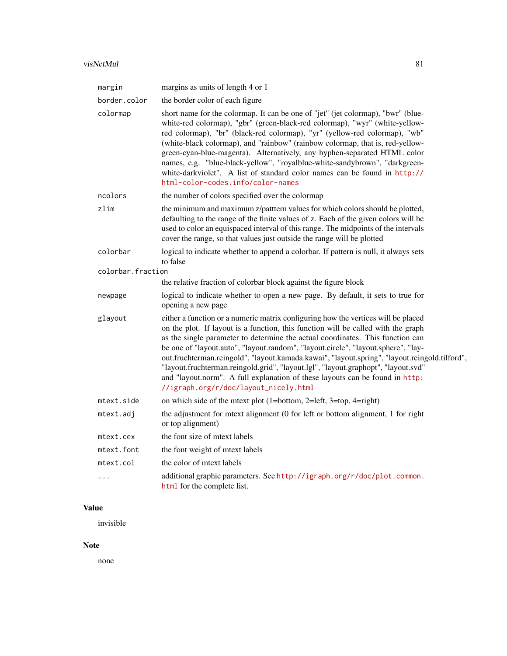| margin            | margins as units of length 4 or 1                                                                                                                                                                                                                                                                                                                                                                                                                                                                                                                                                                                                                            |
|-------------------|--------------------------------------------------------------------------------------------------------------------------------------------------------------------------------------------------------------------------------------------------------------------------------------------------------------------------------------------------------------------------------------------------------------------------------------------------------------------------------------------------------------------------------------------------------------------------------------------------------------------------------------------------------------|
| border.color      | the border color of each figure                                                                                                                                                                                                                                                                                                                                                                                                                                                                                                                                                                                                                              |
| colormap          | short name for the colormap. It can be one of "jet" (jet colormap), "bwr" (blue-<br>white-red colormap), "gbr" (green-black-red colormap), "wyr" (white-yellow-<br>red colormap), "br" (black-red colormap), "yr" (yellow-red colormap), "wb"<br>(white-black colormap), and "rainbow" (rainbow colormap, that is, red-yellow-<br>green-cyan-blue-magenta). Alternatively, any hyphen-separated HTML color<br>names, e.g. "blue-black-yellow", "royalblue-white-sandybrown", "darkgreen-<br>white-darkviolet". A list of standard color names can be found in http://<br>html-color-codes.info/color-names                                                   |
| ncolors           | the number of colors specified over the colormap                                                                                                                                                                                                                                                                                                                                                                                                                                                                                                                                                                                                             |
| zlim              | the minimum and maximum z/patttern values for which colors should be plotted,<br>defaulting to the range of the finite values of z. Each of the given colors will be<br>used to color an equispaced interval of this range. The midpoints of the intervals<br>cover the range, so that values just outside the range will be plotted                                                                                                                                                                                                                                                                                                                         |
| colorbar          | logical to indicate whether to append a colorbar. If pattern is null, it always sets<br>to false                                                                                                                                                                                                                                                                                                                                                                                                                                                                                                                                                             |
| colorbar.fraction |                                                                                                                                                                                                                                                                                                                                                                                                                                                                                                                                                                                                                                                              |
|                   | the relative fraction of colorbar block against the figure block                                                                                                                                                                                                                                                                                                                                                                                                                                                                                                                                                                                             |
| newpage           | logical to indicate whether to open a new page. By default, it sets to true for<br>opening a new page                                                                                                                                                                                                                                                                                                                                                                                                                                                                                                                                                        |
| glayout           | either a function or a numeric matrix configuring how the vertices will be placed<br>on the plot. If layout is a function, this function will be called with the graph<br>as the single parameter to determine the actual coordinates. This function can<br>be one of "layout.auto", "layout.random", "layout.circle", "layout.sphere", "lay-<br>out.fruchterman.reingold", "layout.kamada.kawai", "layout.spring", "layout.reingold.tilford",<br>"layout.fruchterman.reingold.grid", "layout.lgl", "layout.graphopt", "layout.svd"<br>and "layout.norm". A full explanation of these layouts can be found in http:<br>//igraph.org/r/doc/layout_nicely.html |
| mtext.side        | on which side of the metric plot $(1=bottom, 2=left, 3=top, 4=right)$                                                                                                                                                                                                                                                                                                                                                                                                                                                                                                                                                                                        |
| mtext.adj         | the adjustment for mtext alignment (0 for left or bottom alignment, 1 for right<br>or top alignment)                                                                                                                                                                                                                                                                                                                                                                                                                                                                                                                                                         |
| mtext.cex         | the font size of mtext labels                                                                                                                                                                                                                                                                                                                                                                                                                                                                                                                                                                                                                                |
| mtext.font        | the font weight of mtext labels                                                                                                                                                                                                                                                                                                                                                                                                                                                                                                                                                                                                                              |
| mtext.col         | the color of mtext labels                                                                                                                                                                                                                                                                                                                                                                                                                                                                                                                                                                                                                                    |
| .                 | additional graphic parameters. See http://igraph.org/r/doc/plot.common.<br>html for the complete list.                                                                                                                                                                                                                                                                                                                                                                                                                                                                                                                                                       |

# Value

invisible

# Note

none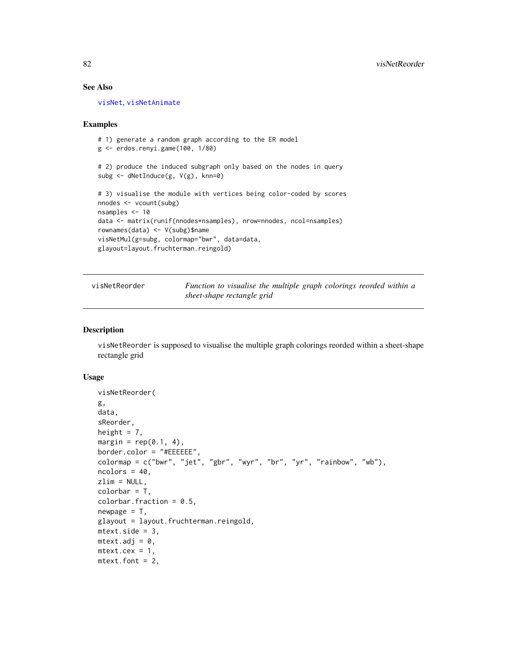#### See Also

[visNet](#page-67-0), [visNetAnimate](#page-70-0)

#### Examples

```
# 1) generate a random graph according to the ER model
g <- erdos.renyi.game(100, 1/80)
# 2) produce the induced subgraph only based on the nodes in query
subg <- dNetInduce(g, V(g), knn=0)
# 3) visualise the module with vertices being color-coded by scores
nnodes <- vcount(subg)
nsamples <- 10
data <- matrix(runif(nnodes*nsamples), nrow=nnodes, ncol=nsamples)
rownames(data) <- V(subg)$name
visNetMul(g=subg, colormap="bwr", data=data,
glayout=layout.fruchterman.reingold)
```
visNetReorder *Function to visualise the multiple graph colorings reorded within a sheet-shape rectangle grid*

#### Description

visNetReorder is supposed to visualise the multiple graph colorings reorded within a sheet-shape rectangle grid

#### Usage

```
visNetReorder(
g,
data,
sReorder,
height = 7,
margin = rep(0.1, 4),
border.color = "#EEEEEE",
colormap = c("bwr", "jet", "gbr", "wyr", "br", "yr", "rainbow", "wb"),
ncolors = 40,zlim = NULL,
colorbar = T,
colorbar.fraction = 0.5,
newpage = T,
glayout = layout.fruchterman.reingold,
mtext{text.size} = 3,
mtext{text.add} = 0,
mtext{text.cex} = 1,
mtext{text.font} = 2,
```
<span id="page-81-0"></span>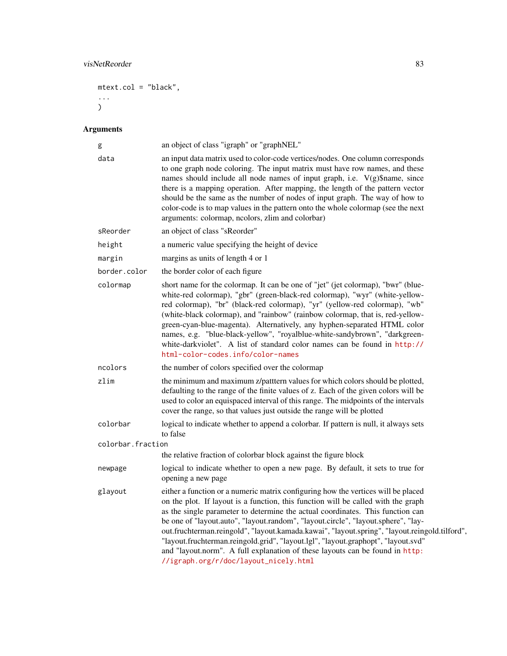```
mtext.col = "black",
...
)
```

| g                 | an object of class "igraph" or "graphNEL"                                                                                                                                                                                                                                                                                                                                                                                                                                                                                                                                                                                                                    |
|-------------------|--------------------------------------------------------------------------------------------------------------------------------------------------------------------------------------------------------------------------------------------------------------------------------------------------------------------------------------------------------------------------------------------------------------------------------------------------------------------------------------------------------------------------------------------------------------------------------------------------------------------------------------------------------------|
| data              | an input data matrix used to color-code vertices/nodes. One column corresponds<br>to one graph node coloring. The input matrix must have row names, and these<br>names should include all node names of input graph, i.e. V(g)\$name, since<br>there is a mapping operation. After mapping, the length of the pattern vector<br>should be the same as the number of nodes of input graph. The way of how to<br>color-code is to map values in the pattern onto the whole colormap (see the next<br>arguments: colormap, ncolors, zlim and colorbar)                                                                                                          |
| sReorder          | an object of class "sReorder"                                                                                                                                                                                                                                                                                                                                                                                                                                                                                                                                                                                                                                |
| height            | a numeric value specifying the height of device                                                                                                                                                                                                                                                                                                                                                                                                                                                                                                                                                                                                              |
| margin            | margins as units of length 4 or 1                                                                                                                                                                                                                                                                                                                                                                                                                                                                                                                                                                                                                            |
| border.color      | the border color of each figure                                                                                                                                                                                                                                                                                                                                                                                                                                                                                                                                                                                                                              |
| colormap          | short name for the colormap. It can be one of "jet" (jet colormap), "bwr" (blue-<br>white-red colormap), "gbr" (green-black-red colormap), "wyr" (white-yellow-<br>red colormap), "br" (black-red colormap), "yr" (yellow-red colormap), "wb"<br>(white-black colormap), and "rainbow" (rainbow colormap, that is, red-yellow-<br>green-cyan-blue-magenta). Alternatively, any hyphen-separated HTML color<br>names, e.g. "blue-black-yellow", "royalblue-white-sandybrown", "darkgreen-<br>white-darkviolet". A list of standard color names can be found in http://<br>html-color-codes.info/color-names                                                   |
| ncolors           | the number of colors specified over the colormap                                                                                                                                                                                                                                                                                                                                                                                                                                                                                                                                                                                                             |
| zlim              | the minimum and maximum z/patttern values for which colors should be plotted,<br>defaulting to the range of the finite values of z. Each of the given colors will be<br>used to color an equispaced interval of this range. The midpoints of the intervals<br>cover the range, so that values just outside the range will be plotted                                                                                                                                                                                                                                                                                                                         |
| colorbar          | logical to indicate whether to append a colorbar. If pattern is null, it always sets<br>to false                                                                                                                                                                                                                                                                                                                                                                                                                                                                                                                                                             |
| colorbar.fraction |                                                                                                                                                                                                                                                                                                                                                                                                                                                                                                                                                                                                                                                              |
|                   | the relative fraction of colorbar block against the figure block                                                                                                                                                                                                                                                                                                                                                                                                                                                                                                                                                                                             |
| newpage           | logical to indicate whether to open a new page. By default, it sets to true for<br>opening a new page                                                                                                                                                                                                                                                                                                                                                                                                                                                                                                                                                        |
| glayout           | either a function or a numeric matrix configuring how the vertices will be placed<br>on the plot. If layout is a function, this function will be called with the graph<br>as the single parameter to determine the actual coordinates. This function can<br>be one of "layout.auto", "layout.random", "layout.circle", "layout.sphere", "lay-<br>out.fruchterman.reingold", "layout.kamada.kawai", "layout.spring", "layout.reingold.tilford",<br>"layout.fruchterman.reingold.grid", "layout.lgl", "layout.graphopt", "layout.svd"<br>and "layout.norm". A full explanation of these layouts can be found in http:<br>//igraph.org/r/doc/layout_nicely.html |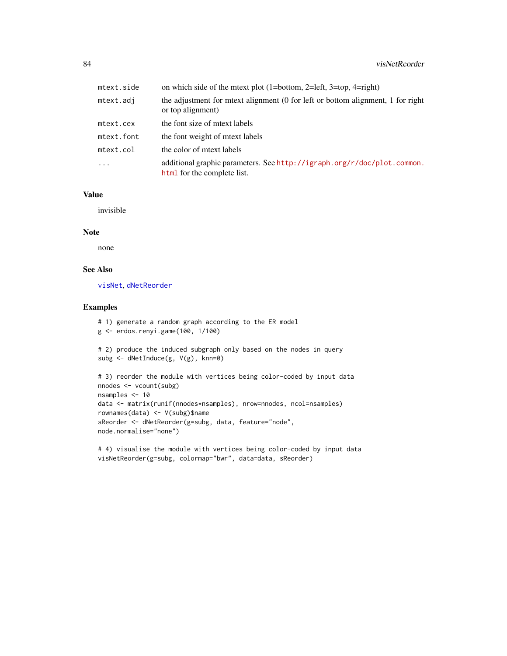<span id="page-83-0"></span>

| mtext.side | on which side of the metric plot $(1=bottom, 2=left, 3=top, 4=right)$                                  |
|------------|--------------------------------------------------------------------------------------------------------|
| mtext.adj  | the adjustment for mext alignment (0 for left or bottom alignment, 1 for right<br>or top alignment)    |
| mtext.cex  | the font size of metxt labels                                                                          |
| mtext.font | the font weight of meet labels                                                                         |
| mtext.col  | the color of metxt labels                                                                              |
| .          | additional graphic parameters. See http://igraph.org/r/doc/plot.common.<br>html for the complete list. |

# Value

invisible

## Note

none

# See Also

[visNet](#page-67-0), [dNetReorder](#page-41-0)

```
# 1) generate a random graph according to the ER model
g <- erdos.renyi.game(100, 1/100)
# 2) produce the induced subgraph only based on the nodes in query
subg <- dNetInduce(g, V(g), knn=0)
```

```
# 3) reorder the module with vertices being color-coded by input data
nnodes <- vcount(subg)
nsamples <- 10
data <- matrix(runif(nnodes*nsamples), nrow=nnodes, ncol=nsamples)
rownames(data) <- V(subg)$name
sReorder <- dNetReorder(g=subg, data, feature="node",
node.normalise="none")
```

```
# 4) visualise the module with vertices being color-coded by input data
visNetReorder(g=subg, colormap="bwr", data=data, sReorder)
```